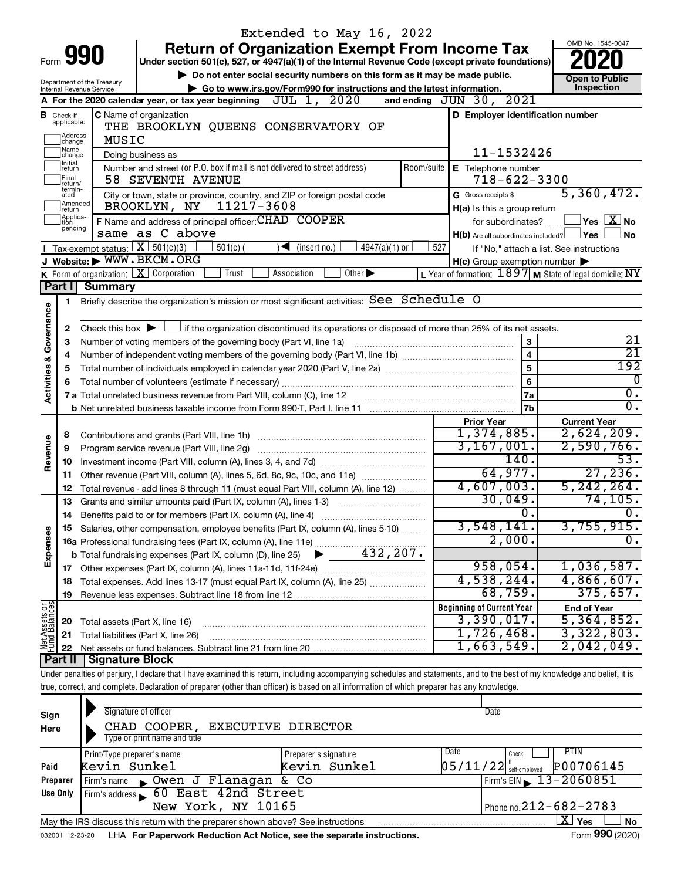|                         |                               |                                                        |                                                                          | Extended to May 16, 2022                                                                                                                                                   |                             |                                                     |                                                                                                                                                                                  |  |  |
|-------------------------|-------------------------------|--------------------------------------------------------|--------------------------------------------------------------------------|----------------------------------------------------------------------------------------------------------------------------------------------------------------------------|-----------------------------|-----------------------------------------------------|----------------------------------------------------------------------------------------------------------------------------------------------------------------------------------|--|--|
|                         |                               |                                                        |                                                                          | <b>Return of Organization Exempt From Income Tax</b>                                                                                                                       |                             |                                                     | OMB No. 1545-0047                                                                                                                                                                |  |  |
|                         |                               | Form 990                                               |                                                                          | Under section 501(c), 527, or 4947(a)(1) of the Internal Revenue Code (except private foundations)                                                                         |                             |                                                     |                                                                                                                                                                                  |  |  |
|                         |                               |                                                        |                                                                          | Do not enter social security numbers on this form as it may be made public.                                                                                                |                             |                                                     | <b>Open to Public</b>                                                                                                                                                            |  |  |
|                         |                               | Department of the Treasury<br>Internal Revenue Service |                                                                          | Go to www.irs.gov/Form990 for instructions and the latest information.                                                                                                     |                             |                                                     | Inspection                                                                                                                                                                       |  |  |
|                         |                               |                                                        | A For the 2020 calendar year, or tax year beginning                      | JUL 1, 2020                                                                                                                                                                |                             | and ending JUN 30, 2021                             |                                                                                                                                                                                  |  |  |
|                         | <b>B</b> Check if applicable: |                                                        | C Name of organization                                                   |                                                                                                                                                                            |                             | D Employer identification number                    |                                                                                                                                                                                  |  |  |
|                         |                               | MUSIC                                                  |                                                                          | THE BROOKLYN QUEENS CONSERVATORY OF                                                                                                                                        |                             |                                                     |                                                                                                                                                                                  |  |  |
|                         | ]Address<br>]change           |                                                        |                                                                          |                                                                                                                                                                            |                             |                                                     |                                                                                                                                                                                  |  |  |
|                         | Name<br>change                | 11-1532426                                             |                                                                          |                                                                                                                                                                            |                             |                                                     |                                                                                                                                                                                  |  |  |
|                         | Initial<br>return             |                                                        |                                                                          | Number and street (or P.O. box if mail is not delivered to street address)                                                                                                 | Room/suite                  | E Telephone number                                  |                                                                                                                                                                                  |  |  |
|                         | Final<br>return/<br>termin-   |                                                        | 58 SEVENTH AVENUE                                                        | $718 - 622 - 3300$                                                                                                                                                         |                             |                                                     |                                                                                                                                                                                  |  |  |
|                         | ated<br>Amended               |                                                        | City or town, state or province, country, and ZIP or foreign postal code | G Gross receipts \$                                                                                                                                                        | 5,360,472.                  |                                                     |                                                                                                                                                                                  |  |  |
|                         | return                        |                                                        | BROOKLYN, NY                                                             | 11217-3608                                                                                                                                                                 | H(a) Is this a group return |                                                     |                                                                                                                                                                                  |  |  |
|                         | Applica-<br>Ition<br>pending  |                                                        |                                                                          | F Name and address of principal officer: CHAD COOPER                                                                                                                       |                             | for subordinates?                                   | $ {\mathsf Y}\mathsf{es}\mathrel{\mathop{\perp\!\!\!\!\!\!}\mathop{\perp\!\!\!\!\!\!}}\mathop{\mathop{\perp\!\!\!\!\!}}\nolimits\mathop{\mathop{\perp\!\!\!\!\!\!}}\nolimits$ No |  |  |
|                         |                               | Tax exempt status: $X \overline{3}$ 501(c)(3)          | same as C above                                                          |                                                                                                                                                                            |                             | $H(b)$ Are all subordinates included? $\Box$ Yes    | No                                                                                                                                                                               |  |  |
|                         |                               |                                                        | $501(c)$ (<br>J Website: WWW.BKCM.ORG                                    | $\sqrt{\frac{1}{1}}$ (insert no.)<br>$4947(a)(1)$ or                                                                                                                       | 527                         |                                                     | If "No," attach a list. See instructions                                                                                                                                         |  |  |
|                         |                               |                                                        | K Form of organization: $X$ Corporation<br>Trust                         | Association<br>Other $\blacktriangleright$                                                                                                                                 |                             | $H(c)$ Group exemption number $\blacktriangleright$ | L Year of formation: $1897$ M State of legal domicile: NY                                                                                                                        |  |  |
|                         | Part I                        | <b>Summary</b>                                         |                                                                          |                                                                                                                                                                            |                             |                                                     |                                                                                                                                                                                  |  |  |
|                         | 1                             |                                                        |                                                                          | Briefly describe the organization's mission or most significant activities: See Schedule O                                                                                 |                             |                                                     |                                                                                                                                                                                  |  |  |
| Governance              |                               |                                                        |                                                                          |                                                                                                                                                                            |                             |                                                     |                                                                                                                                                                                  |  |  |
|                         | 2                             |                                                        |                                                                          | Check this box $\blacktriangleright$ $\Box$ if the organization discontinued its operations or disposed of more than 25% of its net assets.                                |                             |                                                     |                                                                                                                                                                                  |  |  |
|                         | З                             |                                                        |                                                                          | Number of voting members of the governing body (Part VI, line 1a)                                                                                                          |                             | 3                                                   | 21                                                                                                                                                                               |  |  |
|                         |                               |                                                        |                                                                          |                                                                                                                                                                            |                             | $\overline{\mathbf{4}}$                             | $\overline{21}$                                                                                                                                                                  |  |  |
|                         | 5                             |                                                        |                                                                          |                                                                                                                                                                            |                             | 5                                                   | 192                                                                                                                                                                              |  |  |
|                         |                               |                                                        | 0                                                                        |                                                                                                                                                                            |                             |                                                     |                                                                                                                                                                                  |  |  |
| <b>Activities &amp;</b> |                               |                                                        |                                                                          |                                                                                                                                                                            |                             | 7a                                                  | $\overline{0}$ .                                                                                                                                                                 |  |  |
|                         |                               |                                                        |                                                                          |                                                                                                                                                                            |                             | 7 <sub>b</sub>                                      | σ.                                                                                                                                                                               |  |  |
|                         |                               |                                                        |                                                                          |                                                                                                                                                                            |                             | <b>Prior Year</b>                                   | <b>Current Year</b>                                                                                                                                                              |  |  |
|                         | 8                             |                                                        | Contributions and grants (Part VIII, line 1h)                            |                                                                                                                                                                            |                             | 1,374,885.                                          | 2,624,209.                                                                                                                                                                       |  |  |
| Revenue                 | 9                             |                                                        | Program service revenue (Part VIII, line 2g)                             |                                                                                                                                                                            |                             | 3,167,001.                                          | 2,590,766.                                                                                                                                                                       |  |  |
|                         | 10                            |                                                        |                                                                          |                                                                                                                                                                            |                             | 140.                                                | 53.                                                                                                                                                                              |  |  |
|                         | 11                            |                                                        |                                                                          |                                                                                                                                                                            |                             | 64,977.                                             | 27,236.                                                                                                                                                                          |  |  |
|                         | 12                            |                                                        |                                                                          | Total revenue - add lines 8 through 11 (must equal Part VIII, column (A), line 12)                                                                                         |                             | 4,607,003.                                          | 5, 242, 264.                                                                                                                                                                     |  |  |
|                         | 13                            |                                                        |                                                                          | Grants and similar amounts paid (Part IX, column (A), lines 1-3) <i></i>                                                                                                   |                             | 30,049.                                             | 74, 105.                                                                                                                                                                         |  |  |
|                         | 14                            |                                                        |                                                                          |                                                                                                                                                                            |                             | 0.<br>3,548,141.                                    | ο.                                                                                                                                                                               |  |  |
| Expenses                |                               |                                                        |                                                                          | 15 Salaries, other compensation, employee benefits (Part IX, column (A), lines 5-10)                                                                                       |                             | 2,000.                                              | 3,755,915.                                                                                                                                                                       |  |  |
|                         |                               |                                                        |                                                                          |                                                                                                                                                                            |                             |                                                     |                                                                                                                                                                                  |  |  |
|                         |                               |                                                        |                                                                          |                                                                                                                                                                            |                             | 958,054.                                            | 1,036,587.                                                                                                                                                                       |  |  |
|                         | 18                            |                                                        |                                                                          | Total expenses. Add lines 13-17 (must equal Part IX, column (A), line 25)                                                                                                  |                             | 4,538,244.                                          | 4,866,607.                                                                                                                                                                       |  |  |
|                         | 19                            |                                                        |                                                                          |                                                                                                                                                                            |                             | 68,759.                                             | 375,657.                                                                                                                                                                         |  |  |
|                         |                               |                                                        |                                                                          |                                                                                                                                                                            |                             | <b>Beginning of Current Year</b>                    | <b>End of Year</b>                                                                                                                                                               |  |  |
| Net Assets or           | 20                            |                                                        | Total assets (Part X, line 16)                                           |                                                                                                                                                                            |                             | 3,390,017.                                          | 5,364,852.                                                                                                                                                                       |  |  |
|                         | 21                            |                                                        | Total liabilities (Part X, line 26)                                      |                                                                                                                                                                            |                             | 1,726,468.                                          | 3,322,803.                                                                                                                                                                       |  |  |
|                         | 22                            |                                                        |                                                                          |                                                                                                                                                                            |                             | 1,663,549.                                          | 2,042,049.                                                                                                                                                                       |  |  |
|                         | Part II                       | <b>Signature Block</b>                                 |                                                                          |                                                                                                                                                                            |                             |                                                     |                                                                                                                                                                                  |  |  |
|                         |                               |                                                        |                                                                          | Under penalties of perjury, I declare that I have examined this return, including accompanying schedules and statements, and to the best of my knowledge and belief, it is |                             |                                                     |                                                                                                                                                                                  |  |  |
|                         |                               |                                                        |                                                                          | true, correct, and complete. Declaration of preparer (other than officer) is based on all information of which preparer has any knowledge.                                 |                             |                                                     |                                                                                                                                                                                  |  |  |
|                         |                               |                                                        |                                                                          |                                                                                                                                                                            |                             |                                                     |                                                                                                                                                                                  |  |  |
| Sign                    |                               |                                                        | Signature of officer                                                     |                                                                                                                                                                            |                             | Date                                                |                                                                                                                                                                                  |  |  |
| Here                    |                               |                                                        | CHAD COOPER,                                                             | <b>EXECUTIVE DIRECTOR</b>                                                                                                                                                  |                             |                                                     |                                                                                                                                                                                  |  |  |
|                         |                               |                                                        | Type or print name and title                                             |                                                                                                                                                                            |                             | Date                                                | <b>PTIN</b>                                                                                                                                                                      |  |  |
|                         |                               | Print/Type preparer's name                             |                                                                          | Preparer's signature                                                                                                                                                       |                             | Check                                               |                                                                                                                                                                                  |  |  |
| Paid                    |                               | Kevin Sunkel                                           |                                                                          | Kevin Sunkel                                                                                                                                                               |                             | $05/11/22$ self-employed                            | P00706145                                                                                                                                                                        |  |  |
|                         | Preparer                      | Firm's name                                            | b Owen J Flanagan & Co                                                   |                                                                                                                                                                            |                             | Firm's EIN                                          | 13-2060851                                                                                                                                                                       |  |  |
|                         | Use Only                      |                                                        | Firm's address 60 East 42nd Street<br>New York, NY 10165                 |                                                                                                                                                                            |                             |                                                     | Phone no 212-682-2783                                                                                                                                                            |  |  |

New York, NY 10165 212-682-2783

|                          | May the IRS discuss this return with the preparer shown above? See instructions | ves | No     |
|--------------------------|---------------------------------------------------------------------------------|-----|--------|
| $12 - 23 - 20$<br>032001 | For Paperwork Reduction Act Notice, see the separate instructions.<br>I HA      | orn | (2020) |

Phone no. 212 - 682 - 2783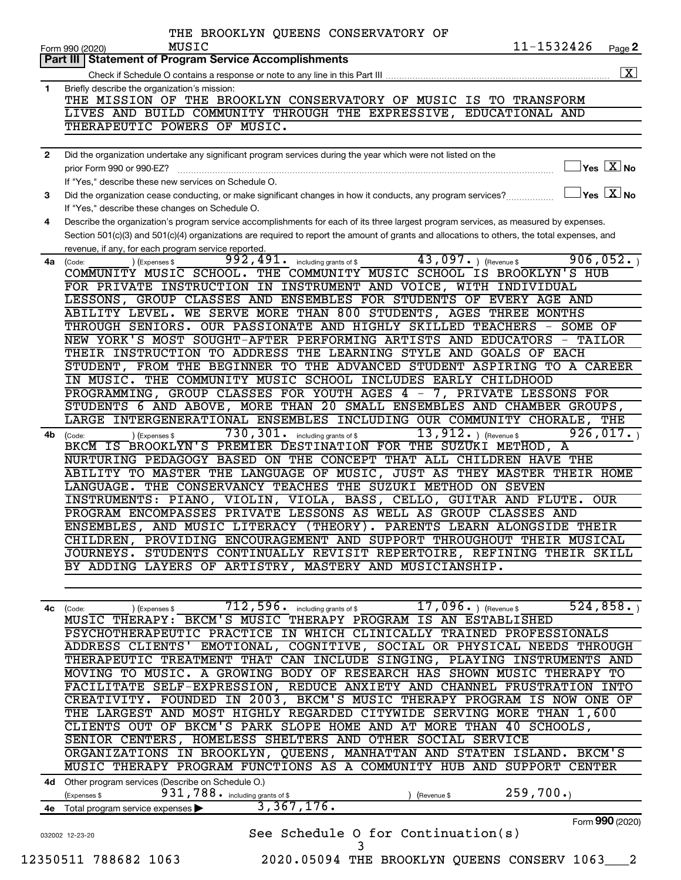| Part III I<br>1<br>$\mathbf{2}$<br>3<br>4<br>4a l<br>4b<br>(Code: | <b>Statement of Program Service Accomplishments</b><br>Briefly describe the organization's mission:<br>THE MISSION OF THE BROOKLYN CONSERVATORY OF MUSIC IS TO TRANSFORM<br>LIVES AND BUILD COMMUNITY THROUGH THE EXPRESSIVE, EDUCATIONAL AND<br>THERAPEUTIC POWERS OF MUSIC.<br>Did the organization undertake any significant program services during the year which were not listed on the<br>$\,$ Yes $\,$ $\rm X$ No $\,$<br>prior Form 990 or 990-EZ?<br>If "Yes," describe these new services on Schedule O.<br>$\Box$ Yes $[\overline{\mathrm{X}}]$ No<br>Did the organization cease conducting, or make significant changes in how it conducts, any program services?<br>If "Yes," describe these changes on Schedule O.<br>Describe the organization's program service accomplishments for each of its three largest program services, as measured by expenses.<br>Section 501(c)(3) and 501(c)(4) organizations are required to report the amount of grants and allocations to others, the total expenses, and<br>revenue, if any, for each program service reported.<br>43,097. $ $ (Revenue \$<br>906,052.<br>$992,491.$ including grants of \$<br>(Code:<br>(Expenses \$<br>COMMUNITY MUSIC SCHOOL. THE COMMUNITY MUSIC SCHOOL IS BROOKLYN'S HUB<br>FOR PRIVATE INSTRUCTION IN INSTRUMENT AND VOICE, WITH INDIVIDUAL<br>LESSONS, GROUP CLASSES AND ENSEMBLES FOR STUDENTS OF EVERY AGE AND<br>ABILITY LEVEL. WE SERVE MORE THAN 800 STUDENTS, AGES THREE MONTHS<br>THROUGH SENIORS. OUR PASSIONATE AND HIGHLY SKILLED TEACHERS - SOME OF<br>NEW YORK'S MOST SOUGHT-AFTER PERFORMING ARTISTS AND EDUCATORS - TAILOR<br>THEIR INSTRUCTION TO ADDRESS THE LEARNING STYLE AND GOALS OF EACH<br>STUDENT, FROM THE BEGINNER TO THE ADVANCED STUDENT ASPIRING TO A CAREER<br>IN MUSIC. THE COMMUNITY MUSIC SCHOOL INCLUDES EARLY CHILDHOOD<br>PROGRAMMING, GROUP CLASSES FOR YOUTH AGES 4 - 7, PRIVATE LESSONS FOR |
|-------------------------------------------------------------------|---------------------------------------------------------------------------------------------------------------------------------------------------------------------------------------------------------------------------------------------------------------------------------------------------------------------------------------------------------------------------------------------------------------------------------------------------------------------------------------------------------------------------------------------------------------------------------------------------------------------------------------------------------------------------------------------------------------------------------------------------------------------------------------------------------------------------------------------------------------------------------------------------------------------------------------------------------------------------------------------------------------------------------------------------------------------------------------------------------------------------------------------------------------------------------------------------------------------------------------------------------------------------------------------------------------------------------------------------------------------------------------------------------------------------------------------------------------------------------------------------------------------------------------------------------------------------------------------------------------------------------------------------------------------------------------------------------------------------------------------------------------------------------------------------------------------------------------------------------------------------------------------------------------------------|
|                                                                   |                                                                                                                                                                                                                                                                                                                                                                                                                                                                                                                                                                                                                                                                                                                                                                                                                                                                                                                                                                                                                                                                                                                                                                                                                                                                                                                                                                                                                                                                                                                                                                                                                                                                                                                                                                                                                                                                                                                           |
|                                                                   |                                                                                                                                                                                                                                                                                                                                                                                                                                                                                                                                                                                                                                                                                                                                                                                                                                                                                                                                                                                                                                                                                                                                                                                                                                                                                                                                                                                                                                                                                                                                                                                                                                                                                                                                                                                                                                                                                                                           |
|                                                                   |                                                                                                                                                                                                                                                                                                                                                                                                                                                                                                                                                                                                                                                                                                                                                                                                                                                                                                                                                                                                                                                                                                                                                                                                                                                                                                                                                                                                                                                                                                                                                                                                                                                                                                                                                                                                                                                                                                                           |
|                                                                   |                                                                                                                                                                                                                                                                                                                                                                                                                                                                                                                                                                                                                                                                                                                                                                                                                                                                                                                                                                                                                                                                                                                                                                                                                                                                                                                                                                                                                                                                                                                                                                                                                                                                                                                                                                                                                                                                                                                           |
|                                                                   |                                                                                                                                                                                                                                                                                                                                                                                                                                                                                                                                                                                                                                                                                                                                                                                                                                                                                                                                                                                                                                                                                                                                                                                                                                                                                                                                                                                                                                                                                                                                                                                                                                                                                                                                                                                                                                                                                                                           |
|                                                                   |                                                                                                                                                                                                                                                                                                                                                                                                                                                                                                                                                                                                                                                                                                                                                                                                                                                                                                                                                                                                                                                                                                                                                                                                                                                                                                                                                                                                                                                                                                                                                                                                                                                                                                                                                                                                                                                                                                                           |
|                                                                   |                                                                                                                                                                                                                                                                                                                                                                                                                                                                                                                                                                                                                                                                                                                                                                                                                                                                                                                                                                                                                                                                                                                                                                                                                                                                                                                                                                                                                                                                                                                                                                                                                                                                                                                                                                                                                                                                                                                           |
|                                                                   |                                                                                                                                                                                                                                                                                                                                                                                                                                                                                                                                                                                                                                                                                                                                                                                                                                                                                                                                                                                                                                                                                                                                                                                                                                                                                                                                                                                                                                                                                                                                                                                                                                                                                                                                                                                                                                                                                                                           |
|                                                                   |                                                                                                                                                                                                                                                                                                                                                                                                                                                                                                                                                                                                                                                                                                                                                                                                                                                                                                                                                                                                                                                                                                                                                                                                                                                                                                                                                                                                                                                                                                                                                                                                                                                                                                                                                                                                                                                                                                                           |
|                                                                   |                                                                                                                                                                                                                                                                                                                                                                                                                                                                                                                                                                                                                                                                                                                                                                                                                                                                                                                                                                                                                                                                                                                                                                                                                                                                                                                                                                                                                                                                                                                                                                                                                                                                                                                                                                                                                                                                                                                           |
|                                                                   |                                                                                                                                                                                                                                                                                                                                                                                                                                                                                                                                                                                                                                                                                                                                                                                                                                                                                                                                                                                                                                                                                                                                                                                                                                                                                                                                                                                                                                                                                                                                                                                                                                                                                                                                                                                                                                                                                                                           |
|                                                                   |                                                                                                                                                                                                                                                                                                                                                                                                                                                                                                                                                                                                                                                                                                                                                                                                                                                                                                                                                                                                                                                                                                                                                                                                                                                                                                                                                                                                                                                                                                                                                                                                                                                                                                                                                                                                                                                                                                                           |
|                                                                   |                                                                                                                                                                                                                                                                                                                                                                                                                                                                                                                                                                                                                                                                                                                                                                                                                                                                                                                                                                                                                                                                                                                                                                                                                                                                                                                                                                                                                                                                                                                                                                                                                                                                                                                                                                                                                                                                                                                           |
|                                                                   |                                                                                                                                                                                                                                                                                                                                                                                                                                                                                                                                                                                                                                                                                                                                                                                                                                                                                                                                                                                                                                                                                                                                                                                                                                                                                                                                                                                                                                                                                                                                                                                                                                                                                                                                                                                                                                                                                                                           |
|                                                                   |                                                                                                                                                                                                                                                                                                                                                                                                                                                                                                                                                                                                                                                                                                                                                                                                                                                                                                                                                                                                                                                                                                                                                                                                                                                                                                                                                                                                                                                                                                                                                                                                                                                                                                                                                                                                                                                                                                                           |
|                                                                   |                                                                                                                                                                                                                                                                                                                                                                                                                                                                                                                                                                                                                                                                                                                                                                                                                                                                                                                                                                                                                                                                                                                                                                                                                                                                                                                                                                                                                                                                                                                                                                                                                                                                                                                                                                                                                                                                                                                           |
|                                                                   |                                                                                                                                                                                                                                                                                                                                                                                                                                                                                                                                                                                                                                                                                                                                                                                                                                                                                                                                                                                                                                                                                                                                                                                                                                                                                                                                                                                                                                                                                                                                                                                                                                                                                                                                                                                                                                                                                                                           |
|                                                                   |                                                                                                                                                                                                                                                                                                                                                                                                                                                                                                                                                                                                                                                                                                                                                                                                                                                                                                                                                                                                                                                                                                                                                                                                                                                                                                                                                                                                                                                                                                                                                                                                                                                                                                                                                                                                                                                                                                                           |
|                                                                   |                                                                                                                                                                                                                                                                                                                                                                                                                                                                                                                                                                                                                                                                                                                                                                                                                                                                                                                                                                                                                                                                                                                                                                                                                                                                                                                                                                                                                                                                                                                                                                                                                                                                                                                                                                                                                                                                                                                           |
|                                                                   |                                                                                                                                                                                                                                                                                                                                                                                                                                                                                                                                                                                                                                                                                                                                                                                                                                                                                                                                                                                                                                                                                                                                                                                                                                                                                                                                                                                                                                                                                                                                                                                                                                                                                                                                                                                                                                                                                                                           |
|                                                                   |                                                                                                                                                                                                                                                                                                                                                                                                                                                                                                                                                                                                                                                                                                                                                                                                                                                                                                                                                                                                                                                                                                                                                                                                                                                                                                                                                                                                                                                                                                                                                                                                                                                                                                                                                                                                                                                                                                                           |
|                                                                   |                                                                                                                                                                                                                                                                                                                                                                                                                                                                                                                                                                                                                                                                                                                                                                                                                                                                                                                                                                                                                                                                                                                                                                                                                                                                                                                                                                                                                                                                                                                                                                                                                                                                                                                                                                                                                                                                                                                           |
|                                                                   |                                                                                                                                                                                                                                                                                                                                                                                                                                                                                                                                                                                                                                                                                                                                                                                                                                                                                                                                                                                                                                                                                                                                                                                                                                                                                                                                                                                                                                                                                                                                                                                                                                                                                                                                                                                                                                                                                                                           |
|                                                                   |                                                                                                                                                                                                                                                                                                                                                                                                                                                                                                                                                                                                                                                                                                                                                                                                                                                                                                                                                                                                                                                                                                                                                                                                                                                                                                                                                                                                                                                                                                                                                                                                                                                                                                                                                                                                                                                                                                                           |
|                                                                   |                                                                                                                                                                                                                                                                                                                                                                                                                                                                                                                                                                                                                                                                                                                                                                                                                                                                                                                                                                                                                                                                                                                                                                                                                                                                                                                                                                                                                                                                                                                                                                                                                                                                                                                                                                                                                                                                                                                           |
|                                                                   | STUDENTS 6 AND ABOVE, MORE THAN 20 SMALL ENSEMBLES AND CHAMBER GROUPS,<br>LARGE INTERGENERATIONAL ENSEMBLES INCLUDING OUR COMMUNITY CHORALE, THE                                                                                                                                                                                                                                                                                                                                                                                                                                                                                                                                                                                                                                                                                                                                                                                                                                                                                                                                                                                                                                                                                                                                                                                                                                                                                                                                                                                                                                                                                                                                                                                                                                                                                                                                                                          |
|                                                                   | $730, 301$ $\cdot$ including grants of \$<br>13, 912. $ $ (Revenue \$<br>926,017.                                                                                                                                                                                                                                                                                                                                                                                                                                                                                                                                                                                                                                                                                                                                                                                                                                                                                                                                                                                                                                                                                                                                                                                                                                                                                                                                                                                                                                                                                                                                                                                                                                                                                                                                                                                                                                         |
|                                                                   | (Expenses \$<br>BKCM IS BROOKLYN'S PREMIER DESTINATION FOR THE SUZUKI METHOD, A                                                                                                                                                                                                                                                                                                                                                                                                                                                                                                                                                                                                                                                                                                                                                                                                                                                                                                                                                                                                                                                                                                                                                                                                                                                                                                                                                                                                                                                                                                                                                                                                                                                                                                                                                                                                                                           |
|                                                                   | NURTURING PEDAGOGY BASED ON THE CONCEPT THAT ALL CHILDREN HAVE THE                                                                                                                                                                                                                                                                                                                                                                                                                                                                                                                                                                                                                                                                                                                                                                                                                                                                                                                                                                                                                                                                                                                                                                                                                                                                                                                                                                                                                                                                                                                                                                                                                                                                                                                                                                                                                                                        |
|                                                                   | ABILITY TO MASTER THE LANGUAGE OF MUSIC, JUST AS THEY MASTER THEIR HOME                                                                                                                                                                                                                                                                                                                                                                                                                                                                                                                                                                                                                                                                                                                                                                                                                                                                                                                                                                                                                                                                                                                                                                                                                                                                                                                                                                                                                                                                                                                                                                                                                                                                                                                                                                                                                                                   |
|                                                                   | LANGUAGE. THE CONSERVANCY TEACHES THE SUZUKI METHOD ON SEVEN                                                                                                                                                                                                                                                                                                                                                                                                                                                                                                                                                                                                                                                                                                                                                                                                                                                                                                                                                                                                                                                                                                                                                                                                                                                                                                                                                                                                                                                                                                                                                                                                                                                                                                                                                                                                                                                              |
|                                                                   | INSTRUMENTS: PIANO, VIOLIN, VIOLA, BASS, CELLO, GUITAR AND FLUTE.<br>OUR.                                                                                                                                                                                                                                                                                                                                                                                                                                                                                                                                                                                                                                                                                                                                                                                                                                                                                                                                                                                                                                                                                                                                                                                                                                                                                                                                                                                                                                                                                                                                                                                                                                                                                                                                                                                                                                                 |
|                                                                   | PROGRAM ENCOMPASSES PRIVATE LESSONS AS WELL AS GROUP CLASSES AND                                                                                                                                                                                                                                                                                                                                                                                                                                                                                                                                                                                                                                                                                                                                                                                                                                                                                                                                                                                                                                                                                                                                                                                                                                                                                                                                                                                                                                                                                                                                                                                                                                                                                                                                                                                                                                                          |
|                                                                   | ENSEMBLES, AND MUSIC LITERACY (THEORY). PARENTS LEARN ALONGSIDE THEIR                                                                                                                                                                                                                                                                                                                                                                                                                                                                                                                                                                                                                                                                                                                                                                                                                                                                                                                                                                                                                                                                                                                                                                                                                                                                                                                                                                                                                                                                                                                                                                                                                                                                                                                                                                                                                                                     |
|                                                                   | CHILDREN, PROVIDING ENCOURAGEMENT AND SUPPORT THROUGHOUT THEIR MUSICAL                                                                                                                                                                                                                                                                                                                                                                                                                                                                                                                                                                                                                                                                                                                                                                                                                                                                                                                                                                                                                                                                                                                                                                                                                                                                                                                                                                                                                                                                                                                                                                                                                                                                                                                                                                                                                                                    |
|                                                                   | JOURNEYS. STUDENTS CONTINUALLY REVISIT REPERTOIRE, REFINING THEIR SKILL                                                                                                                                                                                                                                                                                                                                                                                                                                                                                                                                                                                                                                                                                                                                                                                                                                                                                                                                                                                                                                                                                                                                                                                                                                                                                                                                                                                                                                                                                                                                                                                                                                                                                                                                                                                                                                                   |
|                                                                   | BY ADDING LAYERS OF ARTISTRY, MASTERY AND MUSICIANSHIP.                                                                                                                                                                                                                                                                                                                                                                                                                                                                                                                                                                                                                                                                                                                                                                                                                                                                                                                                                                                                                                                                                                                                                                                                                                                                                                                                                                                                                                                                                                                                                                                                                                                                                                                                                                                                                                                                   |
|                                                                   |                                                                                                                                                                                                                                                                                                                                                                                                                                                                                                                                                                                                                                                                                                                                                                                                                                                                                                                                                                                                                                                                                                                                                                                                                                                                                                                                                                                                                                                                                                                                                                                                                                                                                                                                                                                                                                                                                                                           |
|                                                                   | $17,096.$ ) (Revenue \$<br>524, 858.<br>$712,596$ $\cdot$ including grants of \$                                                                                                                                                                                                                                                                                                                                                                                                                                                                                                                                                                                                                                                                                                                                                                                                                                                                                                                                                                                                                                                                                                                                                                                                                                                                                                                                                                                                                                                                                                                                                                                                                                                                                                                                                                                                                                          |
| 4с                                                                | ) (Expenses \$<br>(Code:<br>MUSIC THERAPY: BKCM'S MUSIC THERAPY PROGRAM IS AN ESTABLISHED                                                                                                                                                                                                                                                                                                                                                                                                                                                                                                                                                                                                                                                                                                                                                                                                                                                                                                                                                                                                                                                                                                                                                                                                                                                                                                                                                                                                                                                                                                                                                                                                                                                                                                                                                                                                                                 |
|                                                                   | PSYCHOTHERAPEUTIC PRACTICE IN WHICH CLINICALLY TRAINED PROFESSIONALS                                                                                                                                                                                                                                                                                                                                                                                                                                                                                                                                                                                                                                                                                                                                                                                                                                                                                                                                                                                                                                                                                                                                                                                                                                                                                                                                                                                                                                                                                                                                                                                                                                                                                                                                                                                                                                                      |
|                                                                   | ADDRESS CLIENTS' EMOTIONAL, COGNITIVE, SOCIAL OR PHYSICAL NEEDS THROUGH                                                                                                                                                                                                                                                                                                                                                                                                                                                                                                                                                                                                                                                                                                                                                                                                                                                                                                                                                                                                                                                                                                                                                                                                                                                                                                                                                                                                                                                                                                                                                                                                                                                                                                                                                                                                                                                   |
|                                                                   | THERAPEUTIC TREATMENT THAT CAN INCLUDE SINGING, PLAYING INSTRUMENTS AND                                                                                                                                                                                                                                                                                                                                                                                                                                                                                                                                                                                                                                                                                                                                                                                                                                                                                                                                                                                                                                                                                                                                                                                                                                                                                                                                                                                                                                                                                                                                                                                                                                                                                                                                                                                                                                                   |
|                                                                   | MOVING TO MUSIC. A GROWING BODY OF RESEARCH HAS SHOWN MUSIC THERAPY TO                                                                                                                                                                                                                                                                                                                                                                                                                                                                                                                                                                                                                                                                                                                                                                                                                                                                                                                                                                                                                                                                                                                                                                                                                                                                                                                                                                                                                                                                                                                                                                                                                                                                                                                                                                                                                                                    |
|                                                                   | FACILITATE SELF-EXPRESSION, REDUCE ANXIETY AND CHANNEL FRUSTRATION INTO                                                                                                                                                                                                                                                                                                                                                                                                                                                                                                                                                                                                                                                                                                                                                                                                                                                                                                                                                                                                                                                                                                                                                                                                                                                                                                                                                                                                                                                                                                                                                                                                                                                                                                                                                                                                                                                   |
|                                                                   | CREATIVITY. FOUNDED IN 2003, BKCM'S MUSIC THERAPY PROGRAM IS NOW ONE OF                                                                                                                                                                                                                                                                                                                                                                                                                                                                                                                                                                                                                                                                                                                                                                                                                                                                                                                                                                                                                                                                                                                                                                                                                                                                                                                                                                                                                                                                                                                                                                                                                                                                                                                                                                                                                                                   |
|                                                                   | THE LARGEST AND MOST HIGHLY REGARDED CITYWIDE SERVING MORE THAN 1,600                                                                                                                                                                                                                                                                                                                                                                                                                                                                                                                                                                                                                                                                                                                                                                                                                                                                                                                                                                                                                                                                                                                                                                                                                                                                                                                                                                                                                                                                                                                                                                                                                                                                                                                                                                                                                                                     |
|                                                                   | CLIENTS OUT OF BKCM'S PARK SLOPE HOME AND AT MORE THAN 40 SCHOOLS,                                                                                                                                                                                                                                                                                                                                                                                                                                                                                                                                                                                                                                                                                                                                                                                                                                                                                                                                                                                                                                                                                                                                                                                                                                                                                                                                                                                                                                                                                                                                                                                                                                                                                                                                                                                                                                                        |
|                                                                   | SENIOR CENTERS, HOMELESS SHELTERS AND OTHER SOCIAL SERVICE                                                                                                                                                                                                                                                                                                                                                                                                                                                                                                                                                                                                                                                                                                                                                                                                                                                                                                                                                                                                                                                                                                                                                                                                                                                                                                                                                                                                                                                                                                                                                                                                                                                                                                                                                                                                                                                                |
|                                                                   | ORGANIZATIONS IN BROOKLYN, QUEENS, MANHATTAN AND STATEN ISLAND. BKCM'S                                                                                                                                                                                                                                                                                                                                                                                                                                                                                                                                                                                                                                                                                                                                                                                                                                                                                                                                                                                                                                                                                                                                                                                                                                                                                                                                                                                                                                                                                                                                                                                                                                                                                                                                                                                                                                                    |
|                                                                   | MUSIC THERAPY PROGRAM FUNCTIONS AS A COMMUNITY HUB AND SUPPORT CENTER                                                                                                                                                                                                                                                                                                                                                                                                                                                                                                                                                                                                                                                                                                                                                                                                                                                                                                                                                                                                                                                                                                                                                                                                                                                                                                                                                                                                                                                                                                                                                                                                                                                                                                                                                                                                                                                     |
|                                                                   | 4d Other program services (Describe on Schedule O.)                                                                                                                                                                                                                                                                                                                                                                                                                                                                                                                                                                                                                                                                                                                                                                                                                                                                                                                                                                                                                                                                                                                                                                                                                                                                                                                                                                                                                                                                                                                                                                                                                                                                                                                                                                                                                                                                       |
|                                                                   | 259,700.<br>931,788. including grants of \$<br>(Expenses \$<br>(Revenue \$<br>3,367,176.                                                                                                                                                                                                                                                                                                                                                                                                                                                                                                                                                                                                                                                                                                                                                                                                                                                                                                                                                                                                                                                                                                                                                                                                                                                                                                                                                                                                                                                                                                                                                                                                                                                                                                                                                                                                                                  |
| 4е                                                                | Total program service expenses >                                                                                                                                                                                                                                                                                                                                                                                                                                                                                                                                                                                                                                                                                                                                                                                                                                                                                                                                                                                                                                                                                                                                                                                                                                                                                                                                                                                                                                                                                                                                                                                                                                                                                                                                                                                                                                                                                          |
|                                                                   | Form 990 (2020)                                                                                                                                                                                                                                                                                                                                                                                                                                                                                                                                                                                                                                                                                                                                                                                                                                                                                                                                                                                                                                                                                                                                                                                                                                                                                                                                                                                                                                                                                                                                                                                                                                                                                                                                                                                                                                                                                                           |
| 12350511 788682 1063                                              | See Schedule O for Continuation(s)<br>032002 12-23-20<br>3                                                                                                                                                                                                                                                                                                                                                                                                                                                                                                                                                                                                                                                                                                                                                                                                                                                                                                                                                                                                                                                                                                                                                                                                                                                                                                                                                                                                                                                                                                                                                                                                                                                                                                                                                                                                                                                                |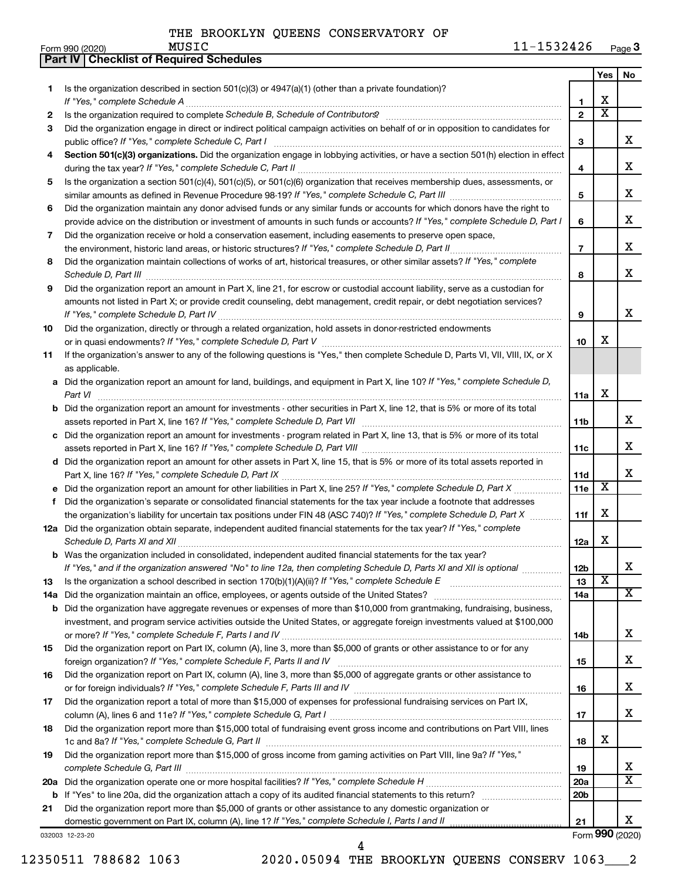| Form 990 (2020) |  | MUSIC | 1532426 | Page 3 |
|-----------------|--|-------|---------|--------|
|-----------------|--|-------|---------|--------|

|         | Part IV   Checklist of Required Schedules                                                                                                                                                                                                                |                 |                         |                              |
|---------|----------------------------------------------------------------------------------------------------------------------------------------------------------------------------------------------------------------------------------------------------------|-----------------|-------------------------|------------------------------|
|         |                                                                                                                                                                                                                                                          |                 | Yes                     | No                           |
| 1.      | Is the organization described in section 501(c)(3) or $4947(a)(1)$ (other than a private foundation)?                                                                                                                                                    |                 |                         |                              |
|         | If "Yes," complete Schedule A                                                                                                                                                                                                                            | 1.              | х                       |                              |
| 2       | Is the organization required to complete Schedule B, Schedule of Contributors? [11] the organization required to complete Schedule B, Schedule of Contributors?                                                                                          | $\overline{2}$  | $\overline{\text{x}}$   |                              |
| 3       | Did the organization engage in direct or indirect political campaign activities on behalf of or in opposition to candidates for                                                                                                                          |                 |                         |                              |
|         |                                                                                                                                                                                                                                                          | 3               |                         | x                            |
| 4       | Section 501(c)(3) organizations. Did the organization engage in lobbying activities, or have a section 501(h) election in effect                                                                                                                         |                 |                         |                              |
|         |                                                                                                                                                                                                                                                          | 4               |                         | x                            |
| 5       | Is the organization a section 501(c)(4), 501(c)(5), or 501(c)(6) organization that receives membership dues, assessments, or                                                                                                                             |                 |                         |                              |
|         |                                                                                                                                                                                                                                                          | 5               |                         | х                            |
| 6       | Did the organization maintain any donor advised funds or any similar funds or accounts for which donors have the right to                                                                                                                                |                 |                         |                              |
|         | provide advice on the distribution or investment of amounts in such funds or accounts? If "Yes," complete Schedule D, Part I                                                                                                                             | 6               |                         | х                            |
| 7       | Did the organization receive or hold a conservation easement, including easements to preserve open space,                                                                                                                                                |                 |                         |                              |
|         | the environment, historic land areas, or historic structures? If "Yes," complete Schedule D, Part II                                                                                                                                                     | $\overline{7}$  |                         | х                            |
| 8       | Did the organization maintain collections of works of art, historical treasures, or other similar assets? If "Yes," complete                                                                                                                             | 8               |                         | x                            |
| 9       | Schedule D, Part III <b>Process Construction Construction Construction</b> Construction Construction Construction Const<br>Did the organization report an amount in Part X, line 21, for escrow or custodial account liability, serve as a custodian for |                 |                         |                              |
|         | amounts not listed in Part X; or provide credit counseling, debt management, credit repair, or debt negotiation services?                                                                                                                                |                 |                         |                              |
|         |                                                                                                                                                                                                                                                          | 9               |                         | x                            |
| 10      | Did the organization, directly or through a related organization, hold assets in donor-restricted endowments                                                                                                                                             |                 |                         |                              |
|         |                                                                                                                                                                                                                                                          | 10              | х                       |                              |
| 11      | If the organization's answer to any of the following questions is "Yes," then complete Schedule D, Parts VI, VII, VIII, IX, or X                                                                                                                         |                 |                         |                              |
|         | as applicable.                                                                                                                                                                                                                                           |                 |                         |                              |
| а       | Did the organization report an amount for land, buildings, and equipment in Part X, line 10? If "Yes," complete Schedule D,                                                                                                                              |                 |                         |                              |
|         | Part VI                                                                                                                                                                                                                                                  | 11a             | х                       |                              |
| b       | Did the organization report an amount for investments - other securities in Part X, line 12, that is 5% or more of its total                                                                                                                             |                 |                         |                              |
|         |                                                                                                                                                                                                                                                          | 11b             |                         | x                            |
| с       | Did the organization report an amount for investments - program related in Part X, line 13, that is 5% or more of its total                                                                                                                              |                 |                         | x                            |
| d       | Did the organization report an amount for other assets in Part X, line 15, that is 5% or more of its total assets reported in                                                                                                                            | 11c             |                         |                              |
|         |                                                                                                                                                                                                                                                          | 11d             |                         | x                            |
|         | Did the organization report an amount for other liabilities in Part X, line 25? If "Yes," complete Schedule D, Part X                                                                                                                                    | 11e             | $\overline{\textbf{x}}$ |                              |
| f       | Did the organization's separate or consolidated financial statements for the tax year include a footnote that addresses                                                                                                                                  |                 |                         |                              |
|         | the organization's liability for uncertain tax positions under FIN 48 (ASC 740)? If "Yes," complete Schedule D, Part X                                                                                                                                   | 11f             | х                       |                              |
|         | 12a Did the organization obtain separate, independent audited financial statements for the tax year? If "Yes," complete                                                                                                                                  |                 |                         |                              |
|         |                                                                                                                                                                                                                                                          | 12a             | х                       |                              |
|         | Was the organization included in consolidated, independent audited financial statements for the tax year?                                                                                                                                                |                 |                         |                              |
|         | If "Yes," and if the organization answered "No" to line 12a, then completing Schedule D, Parts XI and XII is optional                                                                                                                                    | 12 <sub>b</sub> |                         | х                            |
| 13      | Is the organization a school described in section 170(b)(1)(A)(ii)? If "Yes," complete Schedule E manufaction and school described in section 170(b)(1)(A)(ii)? If "Yes," complete Schedule E                                                            | 13              | $\overline{\textbf{x}}$ |                              |
| 14a     | Did the organization maintain an office, employees, or agents outside of the United States?                                                                                                                                                              | 14a             |                         | $\overline{\text{X}}$        |
| b       | Did the organization have aggregate revenues or expenses of more than \$10,000 from grantmaking, fundraising, business,                                                                                                                                  |                 |                         |                              |
|         | investment, and program service activities outside the United States, or aggregate foreign investments valued at \$100,000                                                                                                                               |                 |                         | x                            |
| 15      | Did the organization report on Part IX, column (A), line 3, more than \$5,000 of grants or other assistance to or for any                                                                                                                                | 14b             |                         |                              |
|         | foreign organization? If "Yes," complete Schedule F, Parts II and IV                                                                                                                                                                                     | 15              |                         | x                            |
| 16      | Did the organization report on Part IX, column (A), line 3, more than \$5,000 of aggregate grants or other assistance to                                                                                                                                 |                 |                         |                              |
|         |                                                                                                                                                                                                                                                          | 16              |                         | x                            |
| 17      | Did the organization report a total of more than \$15,000 of expenses for professional fundraising services on Part IX,                                                                                                                                  |                 |                         |                              |
|         |                                                                                                                                                                                                                                                          | 17              |                         | x                            |
| 18      | Did the organization report more than \$15,000 total of fundraising event gross income and contributions on Part VIII, lines                                                                                                                             |                 |                         |                              |
|         |                                                                                                                                                                                                                                                          | 18              | х                       |                              |
| 19      | Did the organization report more than \$15,000 of gross income from gaming activities on Part VIII, line 9a? If "Yes,"                                                                                                                                   |                 |                         |                              |
|         |                                                                                                                                                                                                                                                          | 19              |                         | x<br>$\overline{\texttt{x}}$ |
|         |                                                                                                                                                                                                                                                          | 20a             |                         |                              |
| b<br>21 | Did the organization report more than \$5,000 of grants or other assistance to any domestic organization or                                                                                                                                              | 20 <sub>b</sub> |                         |                              |
|         | domestic government on Part IX, column (A), line 1? If "Yes," complete Schedule I, Parts I and II                                                                                                                                                        | 21              |                         | x                            |
|         | 032003 12-23-20                                                                                                                                                                                                                                          |                 |                         | Form 990 (2020)              |

12350511 788682 1063 2020.05094 THE BROOKLYN QUEENS CONSERV 1063\_\_\_2 4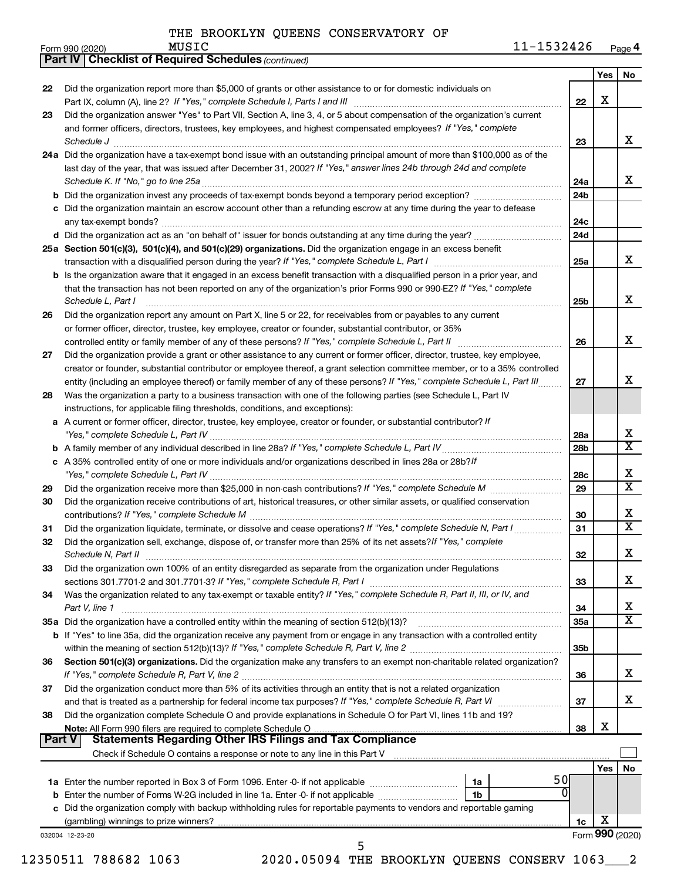|    |                                                                                                                                                                                                                                                                                                                                                                                                                                                                                     |                 | Yes             | No                           |
|----|-------------------------------------------------------------------------------------------------------------------------------------------------------------------------------------------------------------------------------------------------------------------------------------------------------------------------------------------------------------------------------------------------------------------------------------------------------------------------------------|-----------------|-----------------|------------------------------|
| 22 | Did the organization report more than \$5,000 of grants or other assistance to or for domestic individuals on                                                                                                                                                                                                                                                                                                                                                                       | 22              | X               |                              |
| 23 | Did the organization answer "Yes" to Part VII, Section A, line 3, 4, or 5 about compensation of the organization's current<br>and former officers, directors, trustees, key employees, and highest compensated employees? If "Yes," complete<br>Schedule J <b>Execute Discover Construction Construction</b> Construction Construction Construction Construction Construction Construction Construction Construction Construction Construction Construction Construction Constructi | 23              |                 | x                            |
|    | 24a Did the organization have a tax-exempt bond issue with an outstanding principal amount of more than \$100,000 as of the<br>last day of the year, that was issued after December 31, 2002? If "Yes," answer lines 24b through 24d and complete                                                                                                                                                                                                                                   |                 |                 |                              |
|    |                                                                                                                                                                                                                                                                                                                                                                                                                                                                                     | 24a             |                 | x                            |
|    | c Did the organization maintain an escrow account other than a refunding escrow at any time during the year to defease                                                                                                                                                                                                                                                                                                                                                              | 24 <sub>b</sub> |                 |                              |
|    |                                                                                                                                                                                                                                                                                                                                                                                                                                                                                     | 24c<br>24d      |                 |                              |
|    | 25a Section 501(c)(3), 501(c)(4), and 501(c)(29) organizations. Did the organization engage in an excess benefit                                                                                                                                                                                                                                                                                                                                                                    | 25a             |                 | x                            |
|    | <b>b</b> Is the organization aware that it engaged in an excess benefit transaction with a disqualified person in a prior year, and<br>that the transaction has not been reported on any of the organization's prior Forms 990 or 990-EZ? If "Yes," complete                                                                                                                                                                                                                        |                 |                 | x                            |
| 26 | Schedule L, Part I<br>Did the organization report any amount on Part X, line 5 or 22, for receivables from or payables to any current<br>or former officer, director, trustee, key employee, creator or founder, substantial contributor, or 35%                                                                                                                                                                                                                                    | 25 <sub>b</sub> |                 |                              |
| 27 | Did the organization provide a grant or other assistance to any current or former officer, director, trustee, key employee,                                                                                                                                                                                                                                                                                                                                                         | 26              |                 | x                            |
| 28 | creator or founder, substantial contributor or employee thereof, a grant selection committee member, or to a 35% controlled<br>entity (including an employee thereof) or family member of any of these persons? If "Yes," complete Schedule L, Part III<br>Was the organization a party to a business transaction with one of the following parties (see Schedule L, Part IV                                                                                                        | 27              |                 | x                            |
|    | instructions, for applicable filing thresholds, conditions, and exceptions):<br>a A current or former officer, director, trustee, key employee, creator or founder, or substantial contributor? If                                                                                                                                                                                                                                                                                  |                 |                 |                              |
|    |                                                                                                                                                                                                                                                                                                                                                                                                                                                                                     | 28a             |                 | х<br>$\overline{\texttt{x}}$ |
|    | c A 35% controlled entity of one or more individuals and/or organizations described in lines 28a or 28b?/f                                                                                                                                                                                                                                                                                                                                                                          | 28b             |                 | Х                            |
| 29 |                                                                                                                                                                                                                                                                                                                                                                                                                                                                                     | 28c<br>29       |                 | $\overline{\texttt{x}}$      |
| 30 | Did the organization receive contributions of art, historical treasures, or other similar assets, or qualified conservation                                                                                                                                                                                                                                                                                                                                                         | 30              |                 | Х                            |
| 31 | Did the organization liquidate, terminate, or dissolve and cease operations? If "Yes," complete Schedule N, Part I                                                                                                                                                                                                                                                                                                                                                                  | 31              |                 | $\overline{\textbf{x}}$      |
| 32 | Did the organization sell, exchange, dispose of, or transfer more than 25% of its net assets? If "Yes," complete                                                                                                                                                                                                                                                                                                                                                                    | 32              |                 | Χ                            |
| 33 | Did the organization own 100% of an entity disregarded as separate from the organization under Regulations                                                                                                                                                                                                                                                                                                                                                                          | 33              |                 | x                            |
| 34 | Was the organization related to any tax-exempt or taxable entity? If "Yes," complete Schedule R, Part II, III, or IV, and<br>Part V, line 1                                                                                                                                                                                                                                                                                                                                         | 34              |                 | х                            |
|    | b If "Yes" to line 35a, did the organization receive any payment from or engage in any transaction with a controlled entity                                                                                                                                                                                                                                                                                                                                                         | <b>35a</b>      |                 | $\overline{\mathbf{X}}$      |
|    |                                                                                                                                                                                                                                                                                                                                                                                                                                                                                     | 35 <sub>b</sub> |                 |                              |
| 36 | Section 501(c)(3) organizations. Did the organization make any transfers to an exempt non-charitable related organization?                                                                                                                                                                                                                                                                                                                                                          | 36              |                 | x                            |
| 37 | Did the organization conduct more than 5% of its activities through an entity that is not a related organization                                                                                                                                                                                                                                                                                                                                                                    | 37              |                 | x                            |
| 38 | Did the organization complete Schedule O and provide explanations in Schedule O for Part VI, lines 11b and 19?<br><b>Statements Regarding Other IRS Filings and Tax Compliance</b><br><b>Part V</b>                                                                                                                                                                                                                                                                                 | 38              | X               |                              |
|    | Check if Schedule O contains a response or note to any line in this Part V [11] [12] manument contains a response or note to any line in this Part V [11] manument contains and contains a response or note to any line in thi                                                                                                                                                                                                                                                      |                 |                 |                              |
|    | 50                                                                                                                                                                                                                                                                                                                                                                                                                                                                                  |                 | Yes             | <b>No</b>                    |
|    | c Did the organization comply with backup withholding rules for reportable payments to vendors and reportable gaming                                                                                                                                                                                                                                                                                                                                                                |                 |                 |                              |
|    |                                                                                                                                                                                                                                                                                                                                                                                                                                                                                     | 1c              | X               |                              |
|    | 032004 12-23-20                                                                                                                                                                                                                                                                                                                                                                                                                                                                     |                 | Form 990 (2020) |                              |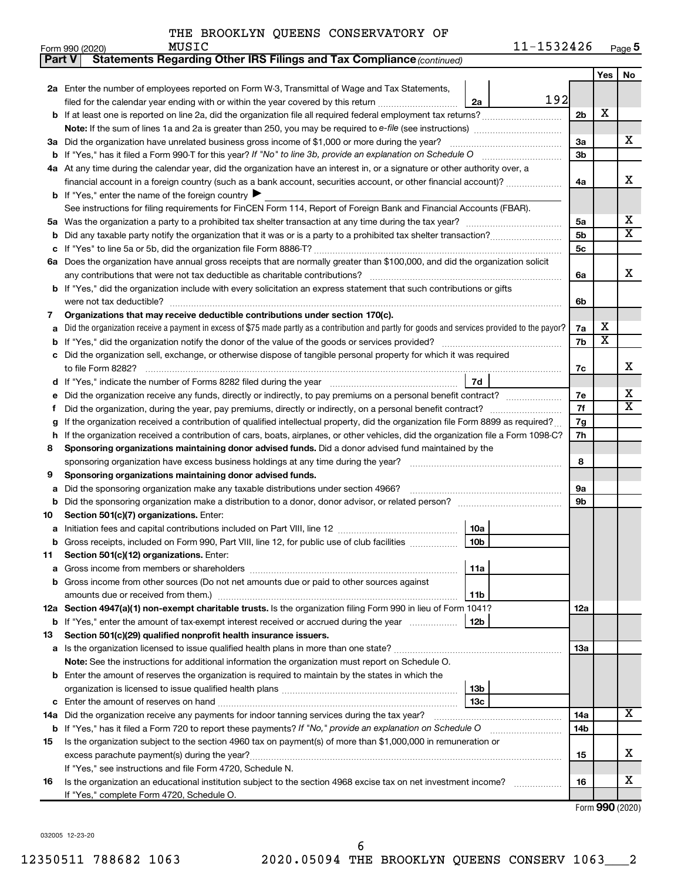| Part V | Statements Regarding Other IRS Filings and Tax Compliance (continued)                                                                           |     |                         |        |  |  |  |  |  |
|--------|-------------------------------------------------------------------------------------------------------------------------------------------------|-----|-------------------------|--------|--|--|--|--|--|
|        |                                                                                                                                                 |     | Yes                     | No     |  |  |  |  |  |
|        | 2a Enter the number of employees reported on Form W-3, Transmittal of Wage and Tax Statements,                                                  |     |                         |        |  |  |  |  |  |
|        | 192<br>filed for the calendar year ending with or within the year covered by this return<br>2a                                                  |     |                         |        |  |  |  |  |  |
|        |                                                                                                                                                 | 2b  | X                       |        |  |  |  |  |  |
|        | Note: If the sum of lines 1a and 2a is greater than 250, you may be required to e-file (see instructions) <i></i>                               |     |                         |        |  |  |  |  |  |
|        | 3a Did the organization have unrelated business gross income of \$1,000 or more during the year?                                                |     |                         |        |  |  |  |  |  |
| b      |                                                                                                                                                 |     |                         |        |  |  |  |  |  |
|        | 4a At any time during the calendar year, did the organization have an interest in, or a signature or other authority over, a                    |     |                         |        |  |  |  |  |  |
|        | financial account in a foreign country (such as a bank account, securities account, or other financial account)?                                | 4a  |                         | x      |  |  |  |  |  |
|        | <b>b</b> If "Yes," enter the name of the foreign country ▶                                                                                      |     |                         |        |  |  |  |  |  |
|        | See instructions for filing requirements for FinCEN Form 114, Report of Foreign Bank and Financial Accounts (FBAR).                             |     |                         |        |  |  |  |  |  |
| 5a     |                                                                                                                                                 | 5a  |                         | х      |  |  |  |  |  |
| b      |                                                                                                                                                 | 5b  |                         | X      |  |  |  |  |  |
| с      |                                                                                                                                                 | 5c  |                         |        |  |  |  |  |  |
|        | 6a Does the organization have annual gross receipts that are normally greater than \$100,000, and did the organization solicit                  |     |                         |        |  |  |  |  |  |
|        |                                                                                                                                                 | 6a  |                         | x      |  |  |  |  |  |
|        | <b>b</b> If "Yes," did the organization include with every solicitation an express statement that such contributions or gifts                   |     |                         |        |  |  |  |  |  |
|        |                                                                                                                                                 | 6b  |                         |        |  |  |  |  |  |
| 7      | Organizations that may receive deductible contributions under section 170(c).                                                                   |     |                         |        |  |  |  |  |  |
| а      | Did the organization receive a payment in excess of \$75 made partly as a contribution and partly for goods and services provided to the payor? | 7a  | х                       |        |  |  |  |  |  |
| b      |                                                                                                                                                 | 7b  | $\overline{\textbf{x}}$ |        |  |  |  |  |  |
| с      | Did the organization sell, exchange, or otherwise dispose of tangible personal property for which it was required                               |     |                         |        |  |  |  |  |  |
|        |                                                                                                                                                 | 7c  |                         | x      |  |  |  |  |  |
|        | 7d                                                                                                                                              |     |                         |        |  |  |  |  |  |
| е      | Did the organization receive any funds, directly or indirectly, to pay premiums on a personal benefit contract?                                 | 7е  |                         | х<br>X |  |  |  |  |  |
| f.     |                                                                                                                                                 |     |                         |        |  |  |  |  |  |
| g      | If the organization received a contribution of qualified intellectual property, did the organization file Form 8899 as required?                | 7g  |                         |        |  |  |  |  |  |
| h      | If the organization received a contribution of cars, boats, airplanes, or other vehicles, did the organization file a Form 1098-C?              | 7h  |                         |        |  |  |  |  |  |
| 8      | Sponsoring organizations maintaining donor advised funds. Did a donor advised fund maintained by the                                            |     |                         |        |  |  |  |  |  |
|        |                                                                                                                                                 | 8   |                         |        |  |  |  |  |  |
| 9      | Sponsoring organizations maintaining donor advised funds.                                                                                       |     |                         |        |  |  |  |  |  |
| а      | Did the sponsoring organization make any taxable distributions under section 4966?                                                              | 9а  |                         |        |  |  |  |  |  |
| b      |                                                                                                                                                 | 9b  |                         |        |  |  |  |  |  |
| 10     | Section 501(c)(7) organizations. Enter:                                                                                                         |     |                         |        |  |  |  |  |  |
| а      | 10a                                                                                                                                             |     |                         |        |  |  |  |  |  |
|        | 10 <sub>b</sub><br>b Gross receipts, included on Form 990, Part VIII, line 12, for public use of club facilities                                |     |                         |        |  |  |  |  |  |
| 11     | Section 501(c)(12) organizations. Enter:                                                                                                        |     |                         |        |  |  |  |  |  |
| а      | 11a                                                                                                                                             |     |                         |        |  |  |  |  |  |
|        | b Gross income from other sources (Do not net amounts due or paid to other sources against                                                      |     |                         |        |  |  |  |  |  |
|        | 11b                                                                                                                                             |     |                         |        |  |  |  |  |  |
|        | 12a Section 4947(a)(1) non-exempt charitable trusts. Is the organization filing Form 990 in lieu of Form 1041?                                  | 12a |                         |        |  |  |  |  |  |
|        | <b>b</b> If "Yes," enter the amount of tax-exempt interest received or accrued during the year<br>12b                                           |     |                         |        |  |  |  |  |  |
| 13     | Section 501(c)(29) qualified nonprofit health insurance issuers.                                                                                |     |                         |        |  |  |  |  |  |
| а      | Is the organization licensed to issue qualified health plans in more than one state?                                                            | 13a |                         |        |  |  |  |  |  |
|        | Note: See the instructions for additional information the organization must report on Schedule O.                                               |     |                         |        |  |  |  |  |  |
|        | <b>b</b> Enter the amount of reserves the organization is required to maintain by the states in which the                                       |     |                         |        |  |  |  |  |  |
|        | 13b                                                                                                                                             |     |                         |        |  |  |  |  |  |
| с      | 13 <sub>c</sub>                                                                                                                                 |     |                         |        |  |  |  |  |  |
| 14a    | Did the organization receive any payments for indoor tanning services during the tax year?                                                      | 14a |                         | x      |  |  |  |  |  |
| b      | If "Yes," has it filed a Form 720 to report these payments? If "No," provide an explanation on Schedule O                                       | 14b |                         |        |  |  |  |  |  |
| 15     | Is the organization subject to the section 4960 tax on payment(s) of more than \$1,000,000 in remuneration or                                   |     |                         |        |  |  |  |  |  |
|        |                                                                                                                                                 | 15  |                         | х      |  |  |  |  |  |
|        | If "Yes," see instructions and file Form 4720, Schedule N.                                                                                      |     |                         | х      |  |  |  |  |  |
| 16     | Is the organization an educational institution subject to the section 4968 excise tax on net investment income?                                 | 16  |                         |        |  |  |  |  |  |
|        | If "Yes," complete Form 4720, Schedule O.                                                                                                       |     |                         |        |  |  |  |  |  |

Form (2020) **990**

032005 12-23-20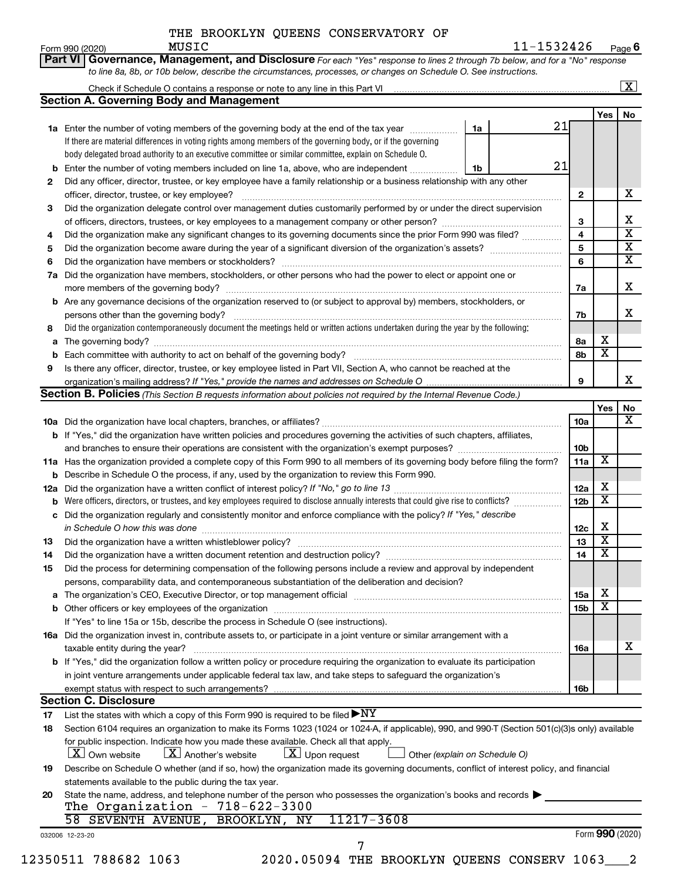**Part VI Governance, Management, and Disclosure** 

Form 990 (2020) Page 11-1532426 Page 6 MUSIC 11-1532426

*For each "Yes" response to lines 2 through 7b below, and for a "No" response*

|     |                                                                                                                                                  |                               |    |                 |                         | $\boxed{\textbf{X}}$    |
|-----|--------------------------------------------------------------------------------------------------------------------------------------------------|-------------------------------|----|-----------------|-------------------------|-------------------------|
|     | <b>Section A. Governing Body and Management</b>                                                                                                  |                               |    |                 | Yes                     |                         |
|     | 1a Enter the number of voting members of the governing body at the end of the tax year                                                           | 1a                            | 21 |                 |                         | No                      |
|     | If there are material differences in voting rights among members of the governing body, or if the governing                                      |                               |    |                 |                         |                         |
|     | body delegated broad authority to an executive committee or similar committee, explain on Schedule O.                                            |                               |    |                 |                         |                         |
|     | <b>b</b> Enter the number of voting members included on line 1a, above, who are independent                                                      | 1b                            | 21 |                 |                         |                         |
| 2   | Did any officer, director, trustee, or key employee have a family relationship or a business relationship with any other                         |                               |    |                 |                         |                         |
|     |                                                                                                                                                  |                               |    | $\mathbf{2}$    |                         | х                       |
| з   | Did the organization delegate control over management duties customarily performed by or under the direct supervision                            |                               |    |                 |                         |                         |
|     |                                                                                                                                                  |                               |    | 3               |                         | X                       |
| 4   | Did the organization make any significant changes to its governing documents since the prior Form 990 was filed?                                 |                               |    | 4               |                         | $\overline{\mathbf{x}}$ |
| 5   |                                                                                                                                                  |                               |    | 5               |                         | $\overline{\mathbf{X}}$ |
| 6   |                                                                                                                                                  |                               |    | 6               |                         | $\overline{\mathbf{x}}$ |
| 7a  | Did the organization have members, stockholders, or other persons who had the power to elect or appoint one or                                   |                               |    |                 |                         |                         |
|     |                                                                                                                                                  |                               |    | 7a              |                         | х                       |
|     | <b>b</b> Are any governance decisions of the organization reserved to (or subject to approval by) members, stockholders, or                      |                               |    |                 |                         |                         |
|     | persons other than the governing body?                                                                                                           |                               |    | 7b              |                         | X                       |
| 8   | Did the organization contemporaneously document the meetings held or written actions undertaken during the year by the following:                |                               |    |                 |                         |                         |
|     |                                                                                                                                                  |                               |    | 8a              | х                       |                         |
|     |                                                                                                                                                  |                               |    | 8b              | $\overline{\textbf{x}}$ |                         |
| 9   | Is there any officer, director, trustee, or key employee listed in Part VII, Section A, who cannot be reached at the                             |                               |    |                 |                         |                         |
|     |                                                                                                                                                  |                               |    | 9               |                         | x                       |
|     | Section B. Policies (This Section B requests information about policies not required by the Internal Revenue Code.)                              |                               |    |                 |                         |                         |
|     |                                                                                                                                                  |                               |    |                 | Yes                     | No                      |
|     |                                                                                                                                                  |                               |    | 10a             |                         | х                       |
|     | b If "Yes," did the organization have written policies and procedures governing the activities of such chapters, affiliates,                     |                               |    |                 |                         |                         |
|     |                                                                                                                                                  |                               |    | 10b             |                         |                         |
|     | 11a Has the organization provided a complete copy of this Form 990 to all members of its governing body before filing the form?                  |                               |    | 11a             | X                       |                         |
|     | <b>b</b> Describe in Schedule O the process, if any, used by the organization to review this Form 990.                                           |                               |    |                 |                         |                         |
| 12a |                                                                                                                                                  |                               |    | 12a             | х                       |                         |
|     |                                                                                                                                                  |                               |    | 12 <sub>b</sub> | $\overline{\text{x}}$   |                         |
| с   | Did the organization regularly and consistently monitor and enforce compliance with the policy? If "Yes," describe                               |                               |    |                 |                         |                         |
|     |                                                                                                                                                  |                               |    | 12c             | Х                       |                         |
| 13  |                                                                                                                                                  |                               |    | 13              | $\overline{\textbf{x}}$ |                         |
| 14  |                                                                                                                                                  |                               |    | 14              | $\overline{\textbf{x}}$ |                         |
| 15  | Did the process for determining compensation of the following persons include a review and approval by independent                               |                               |    |                 |                         |                         |
|     | persons, comparability data, and contemporaneous substantiation of the deliberation and decision?                                                |                               |    |                 |                         |                         |
|     |                                                                                                                                                  |                               |    | 15a             | х                       |                         |
|     |                                                                                                                                                  |                               |    | 15b             | $\overline{\text{x}}$   |                         |
|     | If "Yes" to line 15a or 15b, describe the process in Schedule O (see instructions).                                                              |                               |    |                 |                         |                         |
|     | 16a Did the organization invest in, contribute assets to, or participate in a joint venture or similar arrangement with a                        |                               |    |                 |                         |                         |
|     | taxable entity during the year?                                                                                                                  |                               |    | 16a             |                         | x                       |
|     | <b>b</b> If "Yes," did the organization follow a written policy or procedure requiring the organization to evaluate its participation            |                               |    |                 |                         |                         |
|     | in joint venture arrangements under applicable federal tax law, and take steps to safeguard the organization's                                   |                               |    |                 |                         |                         |
|     |                                                                                                                                                  |                               |    | 16b             |                         |                         |
|     | exempt status with respect to such arrangements?                                                                                                 |                               |    |                 |                         |                         |
|     | <b>Section C. Disclosure</b>                                                                                                                     |                               |    |                 |                         |                         |
| 17  | List the states with which a copy of this Form 990 is required to be filed $\blacktriangleright\text{NY}$                                        |                               |    |                 |                         |                         |
|     | Section 6104 requires an organization to make its Forms 1023 (1024 or 1024-A, if applicable), 990, and 990-T (Section 501(c)(3)s only) available |                               |    |                 |                         |                         |
| 18  | for public inspection. Indicate how you made these available. Check all that apply.                                                              |                               |    |                 |                         |                         |
|     | $\lfloor \mathbf{X} \rfloor$ Another's website<br>$ \mathbf{X} $ Upon request<br>  X   Own website                                               | Other (explain on Schedule O) |    |                 |                         |                         |
| 19  | Describe on Schedule O whether (and if so, how) the organization made its governing documents, conflict of interest policy, and financial        |                               |    |                 |                         |                         |
|     | statements available to the public during the tax year.                                                                                          |                               |    |                 |                         |                         |
| 20  | State the name, address, and telephone number of the person who possesses the organization's books and records $\blacktriangleright$             |                               |    |                 |                         |                         |
|     | The Organization - $718-622-3300$                                                                                                                |                               |    |                 |                         |                         |
|     | 11217-3608<br>58 SEVENTH AVENUE, BROOKLYN, NY<br>032006 12-23-20                                                                                 |                               |    |                 | Form 990 (2020)         |                         |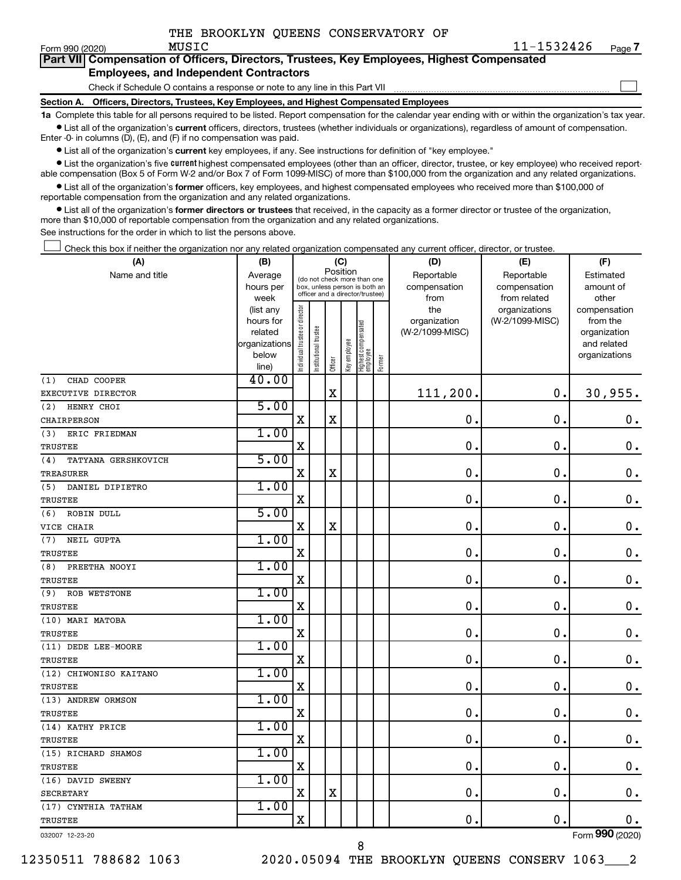$\Box$ 

| Part VII Compensation of Officers, Directors, Trustees, Key Employees, Highest Compensated |
|--------------------------------------------------------------------------------------------|
| <b>Employees, and Independent Contractors</b>                                              |

Check if Schedule O contains a response or note to any line in this Part VII

**Section A. Officers, Directors, Trustees, Key Employees, and Highest Compensated Employees**

**1a**  Complete this table for all persons required to be listed. Report compensation for the calendar year ending with or within the organization's tax year.  $\bullet$  List all of the organization's current officers, directors, trustees (whether individuals or organizations), regardless of amount of compensation.

Enter -0- in columns (D), (E), and (F) if no compensation was paid.

**•** List all of the organization's current key employees, if any. See instructions for definition of "key employee."

• List the organization's five *current* highest compensated employees (other than an officer, director, trustee, or key employee) who received reportable compensation (Box 5 of Form W-2 and/or Box 7 of Form 1099-MISC) of more than \$100,000 from the organization and any related organizations.

 $\bullet$  List all of the organization's former officers, key employees, and highest compensated employees who received more than \$100,000 of reportable compensation from the organization and any related organizations.

**•** List all of the organization's former directors or trustees that received, in the capacity as a former director or trustee of the organization, more than \$10,000 of reportable compensation from the organization and any related organizations.

See instructions for the order in which to list the persons above.

Check this box if neither the organization nor any related organization compensated any current officer, director, or trustee.  $\Box$ 

| (A)                        | (B)            |                               |                                 | (C)         |              |                                 |        | (D)             | (E)             | (F)                |
|----------------------------|----------------|-------------------------------|---------------------------------|-------------|--------------|---------------------------------|--------|-----------------|-----------------|--------------------|
| Name and title             | Average        |                               | (do not check more than one     | Position    |              |                                 |        | Reportable      | Reportable      | Estimated          |
|                            | hours per      |                               | box, unless person is both an   |             |              |                                 |        | compensation    | compensation    | amount of          |
|                            | week           |                               | officer and a director/trustee) |             |              |                                 |        | from            | from related    | other              |
|                            | (list any      |                               |                                 |             |              |                                 |        | the             | organizations   | compensation       |
|                            | hours for      |                               |                                 |             |              |                                 |        | organization    | (W-2/1099-MISC) | from the           |
|                            | related        |                               |                                 |             |              |                                 |        | (W-2/1099-MISC) |                 | organization       |
|                            | organizations  |                               |                                 |             |              |                                 |        |                 |                 | and related        |
|                            | below          | ndividual trustee or director | nstitutional trustee            | Officer     | key employee | Highest compensated<br>employee | Former |                 |                 | organizations      |
|                            | line)<br>40.00 |                               |                                 |             |              |                                 |        |                 |                 |                    |
| (1)<br>CHAD COOPER         |                |                               |                                 |             |              |                                 |        |                 |                 |                    |
| EXECUTIVE DIRECTOR         |                |                               |                                 | $\mathbf X$ |              |                                 |        | 111,200.        | $\mathbf 0$ .   | 30,955.            |
| HENRY CHOI<br>(2)          | 5.00           |                               |                                 |             |              |                                 |        |                 |                 |                    |
| <b>CHAIRPERSON</b>         |                | $\mathbf X$                   |                                 | $\mathbf X$ |              |                                 |        | $\mathbf 0$ .   | $\mathbf 0$ .   | $\mathbf 0$ .      |
| ERIC FRIEDMAN<br>(3)       | 1.00           |                               |                                 |             |              |                                 |        |                 |                 |                    |
| <b>TRUSTEE</b>             |                | X                             |                                 |             |              |                                 |        | $\mathbf 0$ .   | $\mathbf 0$ .   | $\mathbf 0$ .      |
| TATYANA GERSHKOVICH<br>(4) | 5.00           |                               |                                 |             |              |                                 |        |                 |                 |                    |
| TREASURER                  |                | $\mathbf x$                   |                                 | $\mathbf X$ |              |                                 |        | $\mathbf 0$ .   | $\mathbf 0$ .   | $\mathbf 0$ .      |
| DANIEL DIPIETRO<br>(5)     | 1.00           |                               |                                 |             |              |                                 |        |                 |                 |                    |
| TRUSTEE                    |                | X                             |                                 |             |              |                                 |        | $\mathbf 0$     | $\mathbf 0$     | $\mathbf 0$ .      |
| ROBIN DULL<br>(6)          | 5.00           |                               |                                 |             |              |                                 |        |                 |                 |                    |
| VICE CHAIR                 |                | $\mathbf X$                   |                                 | $\mathbf X$ |              |                                 |        | $\mathbf 0$ .   | $\mathbf 0$ .   | $\mathbf 0$ .      |
| (7)<br>NEIL GUPTA          | 1.00           |                               |                                 |             |              |                                 |        |                 |                 |                    |
| TRUSTEE                    |                | $\mathbf X$                   |                                 |             |              |                                 |        | $\mathbf 0$ .   | $\mathbf 0$ .   | $\mathbf 0$ .      |
| PREETHA NOOYI<br>(8)       | 1.00           |                               |                                 |             |              |                                 |        |                 |                 |                    |
| <b>TRUSTEE</b>             |                | $\mathbf X$                   |                                 |             |              |                                 |        | $\mathbf 0$ .   | $\mathbf 0$ .   | $\boldsymbol{0}$ . |
| (9)<br>ROB WETSTONE        | 1.00           |                               |                                 |             |              |                                 |        |                 |                 |                    |
| TRUSTEE                    |                | X                             |                                 |             |              |                                 |        | 0.              | $\mathbf 0$ .   | 0.                 |
| (10) MARI MATOBA           | 1.00           |                               |                                 |             |              |                                 |        |                 |                 |                    |
| <b>TRUSTEE</b>             |                | $\mathbf X$                   |                                 |             |              |                                 |        | $\mathbf 0$ .   | $\mathbf 0$ .   | 0.                 |
| (11) DEDE LEE-MOORE        | 1.00           |                               |                                 |             |              |                                 |        |                 |                 |                    |
| <b>TRUSTEE</b>             |                | $\mathbf x$                   |                                 |             |              |                                 |        | 0.              | $\mathbf 0$ .   | $\mathbf 0$ .      |
| (12) CHIWONISO KAITANO     | 1.00           |                               |                                 |             |              |                                 |        |                 |                 |                    |
| TRUSTEE                    |                | X                             |                                 |             |              |                                 |        | 0.              | $\mathbf 0$ .   | $\mathbf 0$ .      |
| (13) ANDREW ORMSON         | 1.00           |                               |                                 |             |              |                                 |        |                 |                 |                    |
| <b>TRUSTEE</b>             |                | $\mathbf x$                   |                                 |             |              |                                 |        | 0.              | $\mathbf 0$ .   | $\mathbf 0$ .      |
| (14) KATHY PRICE           | 1.00           |                               |                                 |             |              |                                 |        |                 |                 |                    |
| TRUSTEE                    |                | X                             |                                 |             |              |                                 |        | $\mathbf 0$     | $\mathbf 0$     | $\mathbf 0$ .      |
| (15) RICHARD SHAMOS        | 1.00           |                               |                                 |             |              |                                 |        |                 |                 |                    |
| TRUSTEE                    |                | $\mathbf X$                   |                                 |             |              |                                 |        | $\mathbf 0$ .   | $\mathbf 0$ .   | $\mathbf 0$ .      |
| (16) DAVID SWEENY          | 1.00           |                               |                                 |             |              |                                 |        |                 |                 |                    |
| <b>SECRETARY</b>           |                | $\mathbf X$                   |                                 | X           |              |                                 |        | $\mathbf 0$ .   | $\mathbf 0$ .   | $\mathbf 0$ .      |
| (17) CYNTHIA TATHAM        | 1.00           |                               |                                 |             |              |                                 |        |                 |                 |                    |
| <b>TRUSTEE</b>             |                | X                             |                                 |             |              |                                 |        | 0.              | $\mathbf 0$ .   | 0.                 |
| 032007 12-23-20            |                |                               |                                 |             |              |                                 |        |                 |                 | Form 990 (2020)    |

12350511 788682 1063 2020.05094 THE BROOKLYN QUEENS CONSERV 1063\_\_\_2

8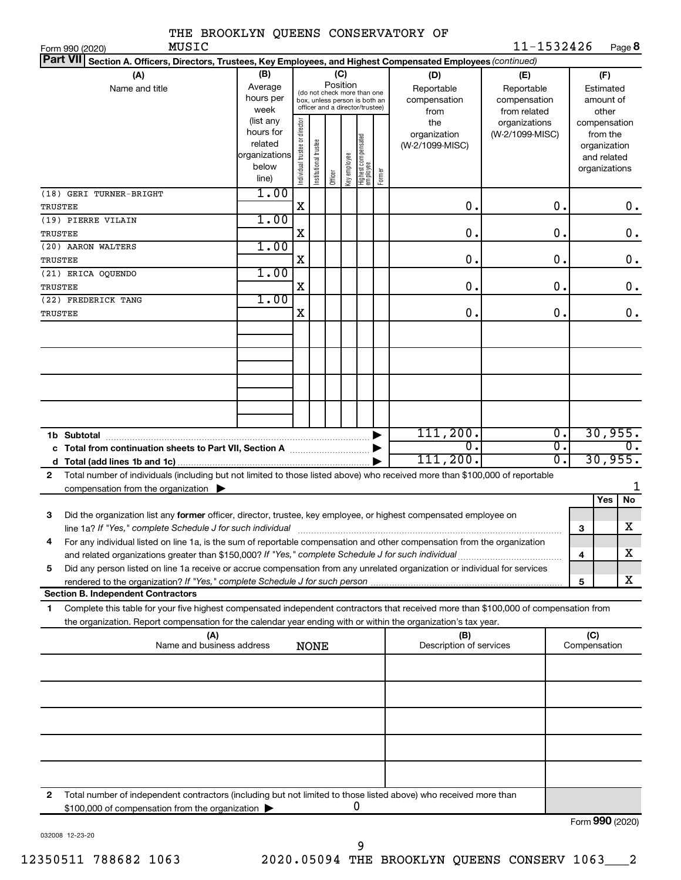| THE BROOKLYN QUEENS CONSERVATORY OF                                                                                                                                      |                        |                                |                       |          |              |                                                              |        |                                 |                   |                  |                     |                          |
|--------------------------------------------------------------------------------------------------------------------------------------------------------------------------|------------------------|--------------------------------|-----------------------|----------|--------------|--------------------------------------------------------------|--------|---------------------------------|-------------------|------------------|---------------------|--------------------------|
| MUSIC<br>Form 990 (2020)                                                                                                                                                 |                        |                                |                       |          |              |                                                              |        |                                 | 11-1532426        |                  |                     | Page 8                   |
| Part VII Section A. Officers, Directors, Trustees, Key Employees, and Highest Compensated Employees (continued)                                                          |                        |                                |                       |          |              |                                                              |        |                                 |                   |                  |                     |                          |
| (A)<br>Name and title                                                                                                                                                    | (B)<br>Average         |                                |                       | Position | (C)          |                                                              |        | (D)<br>Reportable               | (E)<br>Reportable |                  | (F)<br>Estimated    |                          |
|                                                                                                                                                                          | hours per              |                                |                       |          |              | (do not check more than one<br>box, unless person is both an |        | compensation                    | compensation      |                  |                     | amount of                |
|                                                                                                                                                                          | week                   |                                |                       |          |              | officer and a director/trustee)                              |        | from                            | from related      |                  |                     | other                    |
|                                                                                                                                                                          | (list any<br>hours for | Individual trustee or director |                       |          |              |                                                              |        | the                             | organizations     |                  |                     | compensation             |
|                                                                                                                                                                          | related                |                                |                       |          |              |                                                              |        | organization<br>(W-2/1099-MISC) | (W-2/1099-MISC)   |                  |                     | from the<br>organization |
|                                                                                                                                                                          | organizations          |                                |                       |          |              |                                                              |        |                                 |                   |                  |                     | and related              |
|                                                                                                                                                                          | below                  |                                | Institutional trustee |          | Key employee | Highest compensated<br>employee                              |        |                                 |                   |                  |                     | organizations            |
|                                                                                                                                                                          | line)                  |                                |                       | Officer  |              |                                                              | Former |                                 |                   |                  |                     |                          |
| (18) GERI TURNER-BRIGHT                                                                                                                                                  | 1.00                   |                                |                       |          |              |                                                              |        |                                 |                   |                  |                     |                          |
| TRUSTEE                                                                                                                                                                  |                        | X                              |                       |          |              |                                                              |        | $\mathbf 0$ .                   |                   | 0.               |                     | 0.                       |
| (19) PIERRE VILAIN                                                                                                                                                       | 1.00                   | X                              |                       |          |              |                                                              |        | $\mathbf 0$ .                   |                   | О.               |                     | $0$ .                    |
| TRUSTEE<br>(20) AARON WALTERS                                                                                                                                            | 1.00                   |                                |                       |          |              |                                                              |        |                                 |                   |                  |                     |                          |
| TRUSTEE                                                                                                                                                                  |                        | X                              |                       |          |              |                                                              |        | $\mathbf 0$ .                   |                   | О.               |                     | $0$ .                    |
| (21) ERICA OQUENDO                                                                                                                                                       | 1.00                   |                                |                       |          |              |                                                              |        |                                 |                   |                  |                     |                          |
| TRUSTEE                                                                                                                                                                  |                        | X                              |                       |          |              |                                                              |        | $\mathbf 0$ .                   |                   | О.               |                     | $0$ .                    |
| (22) FREDERICK TANG                                                                                                                                                      | 1.00                   |                                |                       |          |              |                                                              |        |                                 |                   |                  |                     |                          |
| TRUSTEE                                                                                                                                                                  |                        | X                              |                       |          |              |                                                              |        | $\mathbf 0$ .                   |                   | О.               |                     | $\mathbf 0$ .            |
|                                                                                                                                                                          |                        |                                |                       |          |              |                                                              |        |                                 |                   |                  |                     |                          |
|                                                                                                                                                                          |                        |                                |                       |          |              |                                                              |        |                                 |                   |                  |                     |                          |
|                                                                                                                                                                          |                        |                                |                       |          |              |                                                              |        |                                 |                   |                  |                     |                          |
|                                                                                                                                                                          |                        |                                |                       |          |              |                                                              |        |                                 |                   |                  |                     |                          |
|                                                                                                                                                                          |                        |                                |                       |          |              |                                                              |        |                                 |                   |                  |                     |                          |
|                                                                                                                                                                          |                        |                                |                       |          |              |                                                              |        |                                 |                   |                  |                     |                          |
|                                                                                                                                                                          |                        |                                |                       |          |              |                                                              |        | 111, 200.                       |                   | $\overline{0}$ . |                     |                          |
| 1b Subtotal                                                                                                                                                              |                        |                                |                       |          |              |                                                              |        | $\overline{0}$ .                |                   | $\overline{0}$ . |                     | 30,955.<br>0.            |
| c Total from continuation sheets to Part VII, Section A                                                                                                                  |                        |                                |                       |          |              |                                                              |        | 111, 200.                       |                   | σ.               |                     | 30,955.                  |
| Total number of individuals (including but not limited to those listed above) who received more than \$100,000 of reportable<br>2                                        |                        |                                |                       |          |              |                                                              |        |                                 |                   |                  |                     |                          |
| compensation from the organization $\blacktriangleright$                                                                                                                 |                        |                                |                       |          |              |                                                              |        |                                 |                   |                  |                     | 1                        |
|                                                                                                                                                                          |                        |                                |                       |          |              |                                                              |        |                                 |                   |                  |                     | No<br>Yes                |
| Did the organization list any former officer, director, trustee, key employee, or highest compensated employee on<br>з                                                   |                        |                                |                       |          |              |                                                              |        |                                 |                   |                  |                     |                          |
| line 1a? If "Yes," complete Schedule J for such individual material content content content for the content of                                                           |                        |                                |                       |          |              |                                                              |        |                                 |                   |                  | 3                   | X                        |
| For any individual listed on line 1a, is the sum of reportable compensation and other compensation from the organization<br>4                                            |                        |                                |                       |          |              |                                                              |        |                                 |                   |                  | 4                   | х                        |
| Did any person listed on line 1a receive or accrue compensation from any unrelated organization or individual for services<br>5                                          |                        |                                |                       |          |              |                                                              |        |                                 |                   |                  |                     |                          |
|                                                                                                                                                                          |                        |                                |                       |          |              |                                                              |        |                                 |                   |                  | 5                   | x                        |
| <b>Section B. Independent Contractors</b>                                                                                                                                |                        |                                |                       |          |              |                                                              |        |                                 |                   |                  |                     |                          |
| Complete this table for your five highest compensated independent contractors that received more than \$100,000 of compensation from<br>1                                |                        |                                |                       |          |              |                                                              |        |                                 |                   |                  |                     |                          |
| the organization. Report compensation for the calendar year ending with or within the organization's tax year.                                                           |                        |                                |                       |          |              |                                                              |        |                                 |                   |                  |                     |                          |
| (A)<br>Name and business address                                                                                                                                         |                        |                                | <b>NONE</b>           |          |              |                                                              |        | (B)<br>Description of services  |                   |                  | (C)<br>Compensation |                          |
|                                                                                                                                                                          |                        |                                |                       |          |              |                                                              |        |                                 |                   |                  |                     |                          |
|                                                                                                                                                                          |                        |                                |                       |          |              |                                                              |        |                                 |                   |                  |                     |                          |
|                                                                                                                                                                          |                        |                                |                       |          |              |                                                              |        |                                 |                   |                  |                     |                          |
|                                                                                                                                                                          |                        |                                |                       |          |              |                                                              |        |                                 |                   |                  |                     |                          |
|                                                                                                                                                                          |                        |                                |                       |          |              |                                                              |        |                                 |                   |                  |                     |                          |
|                                                                                                                                                                          |                        |                                |                       |          |              |                                                              |        |                                 |                   |                  |                     |                          |
|                                                                                                                                                                          |                        |                                |                       |          |              |                                                              |        |                                 |                   |                  |                     |                          |
|                                                                                                                                                                          |                        |                                |                       |          |              |                                                              |        |                                 |                   |                  |                     |                          |
|                                                                                                                                                                          |                        |                                |                       |          |              |                                                              |        |                                 |                   |                  |                     |                          |
| Total number of independent contractors (including but not limited to those listed above) who received more than<br>2<br>\$100,000 of compensation from the organization |                        |                                |                       |          |              | 0                                                            |        |                                 |                   |                  |                     |                          |
|                                                                                                                                                                          |                        |                                |                       |          |              |                                                              |        |                                 |                   |                  |                     | Form 990 (2020)          |

032008 12-23-20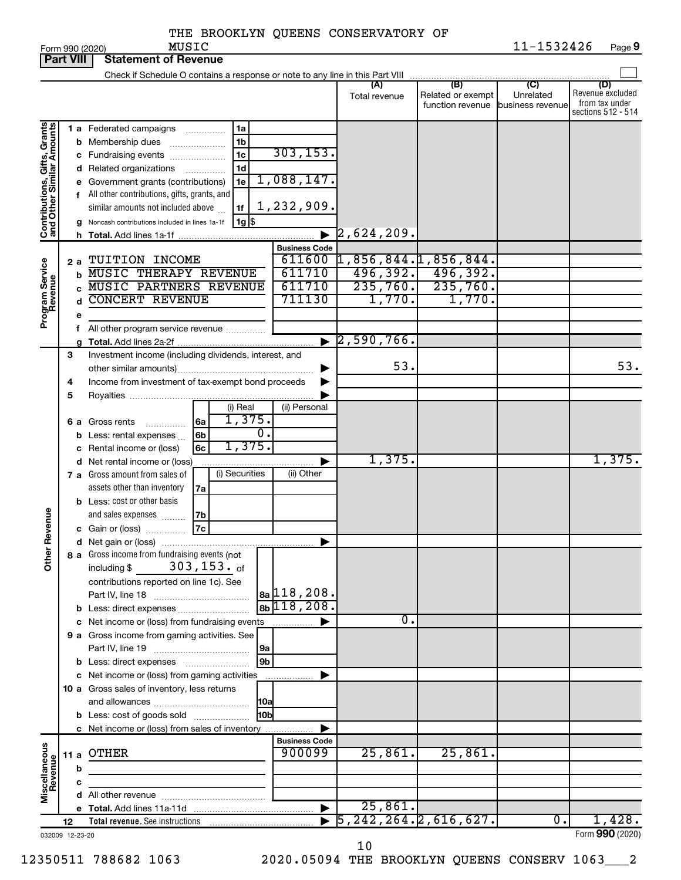| <b>Part VIII</b>                                          |    |    | <b>Statement of Revenue</b>                                                                                       |                      |                                                                |                                              |                                      |                                           |
|-----------------------------------------------------------|----|----|-------------------------------------------------------------------------------------------------------------------|----------------------|----------------------------------------------------------------|----------------------------------------------|--------------------------------------|-------------------------------------------|
|                                                           |    |    | Check if Schedule O contains a response or note to any line in this Part VIII                                     |                      |                                                                |                                              |                                      |                                           |
|                                                           |    |    |                                                                                                                   |                      | (A)<br>Total revenue                                           | (B)<br>Related or exempt<br>function revenue | (C)<br>Unrelated<br>business revenue | (D)<br>Revenue excluded<br>from tax under |
| Contributions, Gifts, Grants<br>and Other Similar Amounts |    |    | 1a<br><b>1 a</b> Federated campaigns<br>.                                                                         |                      |                                                                |                                              |                                      | sections 512 - 514                        |
|                                                           |    |    | 1b<br><b>b</b> Membership dues<br>1 <sub>c</sub>                                                                  | 303, 153.            |                                                                |                                              |                                      |                                           |
|                                                           |    |    | c Fundraising events<br>1d<br>d Related organizations                                                             |                      |                                                                |                                              |                                      |                                           |
|                                                           |    |    | .<br>1e<br>e Government grants (contributions)                                                                    | 1,088,147.           |                                                                |                                              |                                      |                                           |
|                                                           |    |    | f All other contributions, gifts, grants, and                                                                     |                      |                                                                |                                              |                                      |                                           |
|                                                           |    |    | similar amounts not included above<br>1f                                                                          | 1,232,909.           |                                                                |                                              |                                      |                                           |
|                                                           |    |    | $1g$ \$<br>Noncash contributions included in lines 1a-1f                                                          |                      |                                                                |                                              |                                      |                                           |
|                                                           |    | h. |                                                                                                                   |                      | $[2,624,209]$ .                                                |                                              |                                      |                                           |
|                                                           |    |    |                                                                                                                   | <b>Business Code</b> |                                                                |                                              |                                      |                                           |
|                                                           | 2a |    | TUITION INCOME                                                                                                    | 611600               | 1,856,844.1,856,844.                                           |                                              |                                      |                                           |
|                                                           |    | b  | <b>MUSIC THERAPY REVENUE</b>                                                                                      | 611710               |                                                                | $496, 392.$ $496, 392.$                      |                                      |                                           |
|                                                           |    |    | <b>MUSIC PARTNERS REVENUE</b>                                                                                     | 611710               |                                                                | $235, 760.$ 235,760.                         |                                      |                                           |
| Program Service<br>Revenue                                |    | d  | <b>CONCERT REVENUE</b>                                                                                            | 711130               | 1,770.                                                         | 1,770.                                       |                                      |                                           |
|                                                           |    | е  |                                                                                                                   |                      |                                                                |                                              |                                      |                                           |
|                                                           |    | f. | All other program service revenue                                                                                 |                      | $\blacktriangleright$ 2,590,766.                               |                                              |                                      |                                           |
|                                                           | 3  |    | Investment income (including dividends, interest, and                                                             |                      |                                                                |                                              |                                      |                                           |
|                                                           |    |    |                                                                                                                   |                      | 53.                                                            |                                              |                                      | 53.                                       |
|                                                           | 4  |    | Income from investment of tax-exempt bond proceeds                                                                |                      |                                                                |                                              |                                      |                                           |
|                                                           | 5  |    |                                                                                                                   |                      |                                                                |                                              |                                      |                                           |
|                                                           |    |    | (i) Real                                                                                                          | (ii) Personal        |                                                                |                                              |                                      |                                           |
|                                                           |    |    | 1,375.<br>6a<br>6 a Gross rents                                                                                   |                      |                                                                |                                              |                                      |                                           |
|                                                           |    |    | $\overline{0}$ .<br>6b<br>Less: rental expenses                                                                   |                      |                                                                |                                              |                                      |                                           |
|                                                           |    |    | 1,375.<br>6c<br>Rental income or (loss)                                                                           |                      |                                                                |                                              |                                      |                                           |
|                                                           |    |    | d Net rental income or (loss)                                                                                     |                      | 1,375.                                                         |                                              |                                      | 1,375.                                    |
|                                                           |    |    | (i) Securities<br>7 a Gross amount from sales of                                                                  | (ii) Other           |                                                                |                                              |                                      |                                           |
|                                                           |    |    | assets other than inventory<br>7a                                                                                 |                      |                                                                |                                              |                                      |                                           |
|                                                           |    |    | <b>b</b> Less: cost or other basis                                                                                |                      |                                                                |                                              |                                      |                                           |
| Revenue                                                   |    |    | and sales expenses<br>7b<br>7c<br>c Gain or (loss)                                                                |                      |                                                                |                                              |                                      |                                           |
|                                                           |    |    |                                                                                                                   | ▶                    |                                                                |                                              |                                      |                                           |
|                                                           |    |    | 8 a Gross income from fundraising events (not                                                                     |                      |                                                                |                                              |                                      |                                           |
| $\check{\epsilon}$                                        |    |    | 303,153. <sub>of</sub><br>including \$                                                                            |                      |                                                                |                                              |                                      |                                           |
|                                                           |    |    | contributions reported on line 1c). See                                                                           |                      |                                                                |                                              |                                      |                                           |
|                                                           |    |    |                                                                                                                   | $ _{8a} $ 118,208.   |                                                                |                                              |                                      |                                           |
|                                                           |    |    |                                                                                                                   | $8bb$ 118, 208.      |                                                                |                                              |                                      |                                           |
|                                                           |    |    | c Net income or (loss) from fundraising events                                                                    | .                    | 0.                                                             |                                              |                                      |                                           |
|                                                           |    |    | 9 a Gross income from gaming activities. See                                                                      |                      |                                                                |                                              |                                      |                                           |
|                                                           |    |    | 9a                                                                                                                |                      |                                                                |                                              |                                      |                                           |
|                                                           |    |    | 9 <sub>b</sub><br><b>b</b> Less: direct expenses <b>manually</b><br>c Net income or (loss) from gaming activities |                      |                                                                |                                              |                                      |                                           |
|                                                           |    |    | 10 a Gross sales of inventory, less returns                                                                       |                      |                                                                |                                              |                                      |                                           |
|                                                           |    |    | 10a                                                                                                               |                      |                                                                |                                              |                                      |                                           |
|                                                           |    |    | 10bl<br><b>b</b> Less: cost of goods sold                                                                         |                      |                                                                |                                              |                                      |                                           |
|                                                           |    |    | c Net income or (loss) from sales of inventory                                                                    |                      |                                                                |                                              |                                      |                                           |
|                                                           |    |    |                                                                                                                   | <b>Business Code</b> |                                                                |                                              |                                      |                                           |
|                                                           |    |    | 11 a OTHER                                                                                                        | 900099               | 25,861.                                                        | 25,861.                                      |                                      |                                           |
| Miscellaneous<br>Revenue                                  |    | b  |                                                                                                                   |                      |                                                                |                                              |                                      |                                           |
|                                                           |    | с  |                                                                                                                   |                      |                                                                |                                              |                                      |                                           |
|                                                           |    |    |                                                                                                                   |                      |                                                                |                                              |                                      |                                           |
|                                                           |    |    |                                                                                                                   | ▶                    | 25,861.<br>$\overline{5, 242, 264.}$ $\overline{2, 616, 627.}$ |                                              | 0.                                   | 1,428.                                    |
|                                                           | 12 |    |                                                                                                                   |                      |                                                                |                                              |                                      | Form 990 (2020)                           |
| 032009 12-23-20                                           |    |    |                                                                                                                   |                      |                                                                |                                              |                                      |                                           |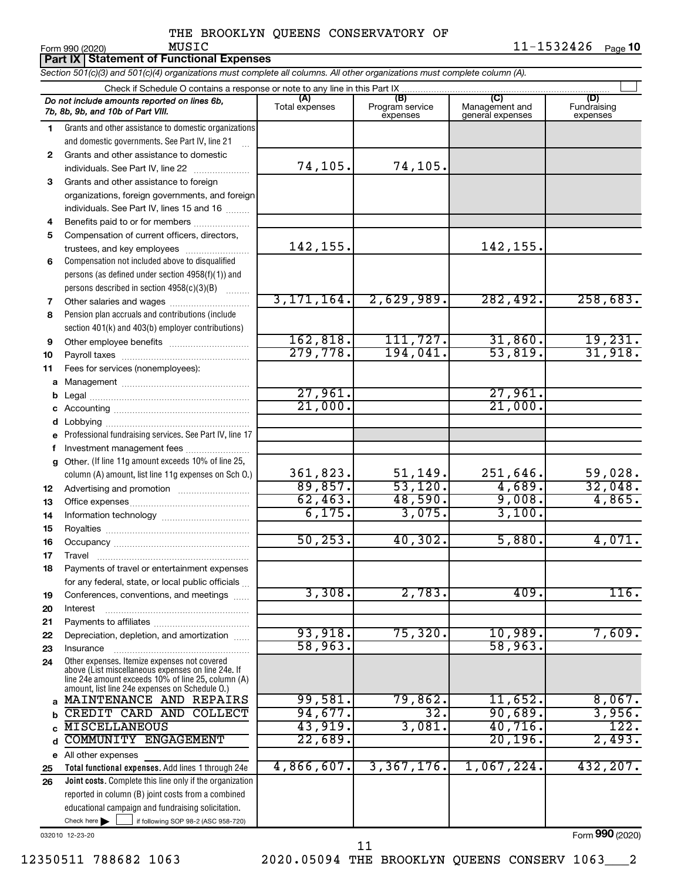| Section 501(c)(3) and 501(c)(4) organizations must complete all columns. All other organizations must complete column (A).<br>Check if Schedule O contains a response or note to any line in this Part IX<br>(A)<br>(C)<br>(B)<br>Do not include amounts reported on lines 6b,<br>Program service<br>Management and<br>Total expenses<br>7b, 8b, 9b, and 10b of Part VIII.<br>general expenses<br>expenses | (D)<br>Fundraising<br>expenses |
|------------------------------------------------------------------------------------------------------------------------------------------------------------------------------------------------------------------------------------------------------------------------------------------------------------------------------------------------------------------------------------------------------------|--------------------------------|
|                                                                                                                                                                                                                                                                                                                                                                                                            |                                |
|                                                                                                                                                                                                                                                                                                                                                                                                            |                                |
|                                                                                                                                                                                                                                                                                                                                                                                                            |                                |
| Grants and other assistance to domestic organizations<br>1.                                                                                                                                                                                                                                                                                                                                                |                                |
| and domestic governments. See Part IV, line 21                                                                                                                                                                                                                                                                                                                                                             |                                |
| Grants and other assistance to domestic<br>$\mathbf{2}$                                                                                                                                                                                                                                                                                                                                                    |                                |
| 74, 105.<br>74,105.<br>individuals. See Part IV, line 22                                                                                                                                                                                                                                                                                                                                                   |                                |
| Grants and other assistance to foreign<br>3                                                                                                                                                                                                                                                                                                                                                                |                                |
| organizations, foreign governments, and foreign                                                                                                                                                                                                                                                                                                                                                            |                                |
| individuals. See Part IV, lines 15 and 16                                                                                                                                                                                                                                                                                                                                                                  |                                |
| Benefits paid to or for members<br>4                                                                                                                                                                                                                                                                                                                                                                       |                                |
| Compensation of current officers, directors,<br>5                                                                                                                                                                                                                                                                                                                                                          |                                |
| 142,155.<br>142,155.<br>trustees, and key employees                                                                                                                                                                                                                                                                                                                                                        |                                |
| Compensation not included above to disqualified<br>6                                                                                                                                                                                                                                                                                                                                                       |                                |
| persons (as defined under section 4958(f)(1)) and                                                                                                                                                                                                                                                                                                                                                          |                                |
| persons described in section 4958(c)(3)(B)<br>3, 171, 164.<br>2,629,989.<br>282,492.<br>Other salaries and wages                                                                                                                                                                                                                                                                                           | 258,683.                       |
| 7<br>Pension plan accruals and contributions (include<br>8                                                                                                                                                                                                                                                                                                                                                 |                                |
| section 401(k) and 403(b) employer contributions)                                                                                                                                                                                                                                                                                                                                                          |                                |
| 162, 818.<br>111, 727.<br>31,860.<br>9<br>Other employee benefits                                                                                                                                                                                                                                                                                                                                          | 19,231.                        |
| 279,778.<br>194,041.<br>53,819.<br>10                                                                                                                                                                                                                                                                                                                                                                      | 31,918.                        |
| Fees for services (nonemployees):<br>11                                                                                                                                                                                                                                                                                                                                                                    |                                |
|                                                                                                                                                                                                                                                                                                                                                                                                            |                                |
| 27,961.<br>27,961.                                                                                                                                                                                                                                                                                                                                                                                         |                                |
| 21,000.<br>21,000.                                                                                                                                                                                                                                                                                                                                                                                         |                                |
| d                                                                                                                                                                                                                                                                                                                                                                                                          |                                |
| Professional fundraising services. See Part IV, line 17<br>е                                                                                                                                                                                                                                                                                                                                               |                                |
| Investment management fees                                                                                                                                                                                                                                                                                                                                                                                 |                                |
| Other. (If line 11g amount exceeds 10% of line 25,<br>g                                                                                                                                                                                                                                                                                                                                                    |                                |
| 361,823.<br>51, 149.<br>251,646.<br>column (A) amount, list line 11g expenses on Sch O.)                                                                                                                                                                                                                                                                                                                   | 59,028.                        |
| 53,120.<br>4,689.<br>89,857.<br>12                                                                                                                                                                                                                                                                                                                                                                         | 32,048.                        |
| 62,463.<br>48,590.<br>9,008.<br>13                                                                                                                                                                                                                                                                                                                                                                         | 4,865.                         |
| 6,175.<br>3,075.<br>3,100.<br>14                                                                                                                                                                                                                                                                                                                                                                           |                                |
| 15                                                                                                                                                                                                                                                                                                                                                                                                         |                                |
| 50, 253.<br>40,302.<br>5,880.<br>16                                                                                                                                                                                                                                                                                                                                                                        | 4,071.                         |
| 17<br>Travel                                                                                                                                                                                                                                                                                                                                                                                               |                                |
| Payments of travel or entertainment expenses<br>18                                                                                                                                                                                                                                                                                                                                                         |                                |
| for any federal, state, or local public officials<br>3,308.<br>2,783.<br>409.<br>Conferences, conventions, and meetings<br>19                                                                                                                                                                                                                                                                              | 116.                           |
| 20<br>Interest                                                                                                                                                                                                                                                                                                                                                                                             |                                |
| 21                                                                                                                                                                                                                                                                                                                                                                                                         |                                |
| 93,918.<br>75,320.<br>10,989.<br>Depreciation, depletion, and amortization<br>22                                                                                                                                                                                                                                                                                                                           | 7,609.                         |
| 58,963.<br>58,963.<br>23<br>Insurance                                                                                                                                                                                                                                                                                                                                                                      |                                |
| Other expenses. Itemize expenses not covered<br>24<br>above (List miscellaneous expenses on line 24e. If<br>line 24e amount exceeds 10% of line 25, column (A)<br>amount, list line 24e expenses on Schedule O.)                                                                                                                                                                                           |                                |
| 99,581.<br>79,862.<br>11,652.<br>MAINTENANCE AND REPAIRS<br>a                                                                                                                                                                                                                                                                                                                                              | 8,067.                         |
| 94,677.<br>32.<br>90,689.<br>CREDIT CARD AND COLLECT                                                                                                                                                                                                                                                                                                                                                       | 3,956.                         |
| 43,919.<br>3,081.<br>$40,716$ .<br><b>MISCELLANEOUS</b>                                                                                                                                                                                                                                                                                                                                                    | 122.                           |
| 22,689.<br>20, 196.<br>COMMUNITY ENGAGEMENT                                                                                                                                                                                                                                                                                                                                                                | 2,493.                         |
| e All other expenses                                                                                                                                                                                                                                                                                                                                                                                       |                                |
| 4,866,607.<br>3,367,176.<br>$1,067,224$ .<br>Total functional expenses. Add lines 1 through 24e<br>25                                                                                                                                                                                                                                                                                                      | 432, 207.                      |
| Joint costs. Complete this line only if the organization<br>26                                                                                                                                                                                                                                                                                                                                             |                                |
| reported in column (B) joint costs from a combined<br>educational campaign and fundraising solicitation.                                                                                                                                                                                                                                                                                                   |                                |
| Check here $\blacktriangleright$<br>if following SOP 98-2 (ASC 958-720)                                                                                                                                                                                                                                                                                                                                    |                                |

032010 12-23-20

Form (2020) **990**

11

12350511 788682 1063 2020.05094 THE BROOKLYN QUEENS CONSERV 1063\_\_\_2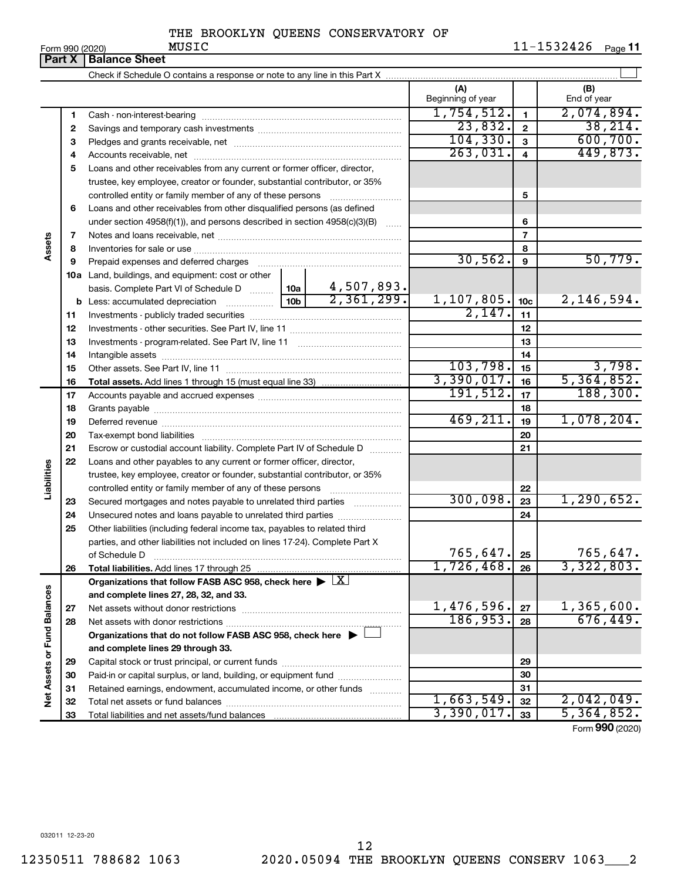Form 990 (2020) MUSIC 11-1532426 <sub>Page</sub> 11

|                             | Part X   | <b>Balance Sheet</b>                                                                                                                                                                                                           |  |            |                          |                 |                    |
|-----------------------------|----------|--------------------------------------------------------------------------------------------------------------------------------------------------------------------------------------------------------------------------------|--|------------|--------------------------|-----------------|--------------------|
|                             |          |                                                                                                                                                                                                                                |  |            |                          |                 |                    |
|                             |          |                                                                                                                                                                                                                                |  |            | (A)<br>Beginning of year |                 | (B)<br>End of year |
|                             | 1        |                                                                                                                                                                                                                                |  |            | 1,754,512.               | $\mathbf{1}$    | 2,074,894.         |
|                             | 2        |                                                                                                                                                                                                                                |  |            | 23,832.                  | $\mathbf{2}$    | 38, 214.           |
|                             | з        |                                                                                                                                                                                                                                |  |            | 104, 330.                | $\mathbf{3}$    | 600, 700.          |
|                             | 4        |                                                                                                                                                                                                                                |  |            | 263,031.                 | $\overline{4}$  | 449,873.           |
|                             | 5        | Loans and other receivables from any current or former officer, director,                                                                                                                                                      |  |            |                          |                 |                    |
|                             |          | trustee, key employee, creator or founder, substantial contributor, or 35%                                                                                                                                                     |  |            |                          |                 |                    |
|                             |          |                                                                                                                                                                                                                                |  |            |                          | 5               |                    |
|                             | 6        | Loans and other receivables from other disqualified persons (as defined                                                                                                                                                        |  |            |                          |                 |                    |
|                             |          | under section $4958(f)(1)$ , and persons described in section $4958(c)(3)(B)$                                                                                                                                                  |  | $\ldots$   |                          | 6               |                    |
|                             | 7        |                                                                                                                                                                                                                                |  |            |                          | $\overline{7}$  |                    |
| Assets                      | 8        |                                                                                                                                                                                                                                |  |            |                          | 8               |                    |
|                             | 9        | Prepaid expenses and deferred charges [11] matter contracts and contracts and deferred charges [11] matter contracts and contracts and contracts and contracts and contracts and contracts and contracts and contracts and con |  |            | 30, 562.                 | 9               | 50,779.            |
|                             |          | 10a Land, buildings, and equipment: cost or other                                                                                                                                                                              |  |            |                          |                 |                    |
|                             |          | basis. Complete Part VI of Schedule D    10a                                                                                                                                                                                   |  | 4,507,893. |                          |                 |                    |
|                             |          |                                                                                                                                                                                                                                |  | 2,361,299. | 1,107,805.               | 10 <sub>c</sub> | 2,146,594.         |
|                             | 11       |                                                                                                                                                                                                                                |  |            | 2,147.                   | 11              |                    |
|                             | 12       |                                                                                                                                                                                                                                |  |            |                          | 12              |                    |
|                             | 13       |                                                                                                                                                                                                                                |  |            |                          | 13              |                    |
|                             | 14       |                                                                                                                                                                                                                                |  | 14         |                          |                 |                    |
|                             | 15       |                                                                                                                                                                                                                                |  | 103,798.   | 15                       | 3,798.          |                    |
|                             | 16       |                                                                                                                                                                                                                                |  |            | 3,390,017.               | 16              | 5,364,852.         |
|                             | 17       |                                                                                                                                                                                                                                |  |            | 191,512.                 | 17              | 188, 300.          |
|                             | 18       |                                                                                                                                                                                                                                |  |            |                          | 18              |                    |
|                             | 19       |                                                                                                                                                                                                                                |  |            | 469, 211.                | 19              | 1,078,204.         |
|                             | 20       |                                                                                                                                                                                                                                |  |            |                          | 20              |                    |
|                             | 21       | Escrow or custodial account liability. Complete Part IV of Schedule D                                                                                                                                                          |  |            |                          | 21              |                    |
|                             | 22       | Loans and other payables to any current or former officer, director,                                                                                                                                                           |  |            |                          |                 |                    |
| Liabilities                 |          | trustee, key employee, creator or founder, substantial contributor, or 35%                                                                                                                                                     |  |            |                          |                 |                    |
|                             |          | controlled entity or family member of any of these persons                                                                                                                                                                     |  |            |                          | 22              |                    |
|                             | 23       | Secured mortgages and notes payable to unrelated third parties                                                                                                                                                                 |  |            | 300,098.                 | 23              | 1, 290, 652.       |
|                             | 24       | Unsecured notes and loans payable to unrelated third parties                                                                                                                                                                   |  |            |                          | 24              |                    |
|                             | 25       | Other liabilities (including federal income tax, payables to related third                                                                                                                                                     |  |            |                          |                 |                    |
|                             |          | parties, and other liabilities not included on lines 17-24). Complete Part X                                                                                                                                                   |  |            |                          |                 |                    |
|                             |          | of Schedule D                                                                                                                                                                                                                  |  |            | 765, 647.                | 25              | 765,647.           |
|                             | 26       | Total liabilities. Add lines 17 through 25                                                                                                                                                                                     |  |            | 1,726,468.               | 26              | 3,322,803.         |
|                             |          | Organizations that follow FASB ASC 958, check here $\blacktriangleright \lfloor \underline{X} \rfloor$                                                                                                                         |  |            |                          |                 |                    |
|                             |          | and complete lines 27, 28, 32, and 33.                                                                                                                                                                                         |  |            | 1,476,596.               |                 | 1,365,600.         |
|                             | 27       | Net assets without donor restrictions                                                                                                                                                                                          |  |            | 186,953.                 | 27              | 676,449.           |
|                             | 28       |                                                                                                                                                                                                                                |  |            |                          | 28              |                    |
|                             |          | Organizations that do not follow FASB ASC 958, check here $\blacktriangleright$                                                                                                                                                |  |            |                          |                 |                    |
|                             |          | and complete lines 29 through 33.                                                                                                                                                                                              |  |            |                          |                 |                    |
|                             | 29       |                                                                                                                                                                                                                                |  |            |                          | 29              |                    |
|                             | 30       | Paid-in or capital surplus, or land, building, or equipment fund                                                                                                                                                               |  |            |                          | 30              |                    |
| Net Assets or Fund Balances | 31<br>32 | Retained earnings, endowment, accumulated income, or other funds<br>Total net assets or fund balances                                                                                                                          |  |            | 1,663,549.               | 31<br>32        | 2,042,049.         |
|                             |          |                                                                                                                                                                                                                                |  |            |                          |                 |                    |

 $1,663,549.$   $32$   $2,042,049.$  $3,390,017$ .  $|33|$  5, 364, 852.

Form (2020) **990**

032011 12-23-20

Capital stock or trust principal, or current funds ~~~~~~~~~~~~~~~ Paid-in or capital surplus, or land, building, or equipment fund ....................... Retained earnings, endowment, accumulated income, or other funds ............ Total net assets or fund balances ~~~~~~~~~~~~~~~~~~~~~~

Total liabilities and net assets/fund balances

12350511 788682 1063 2020.05094 THE BROOKLYN QUEENS CONSERV 1063\_\_\_2 12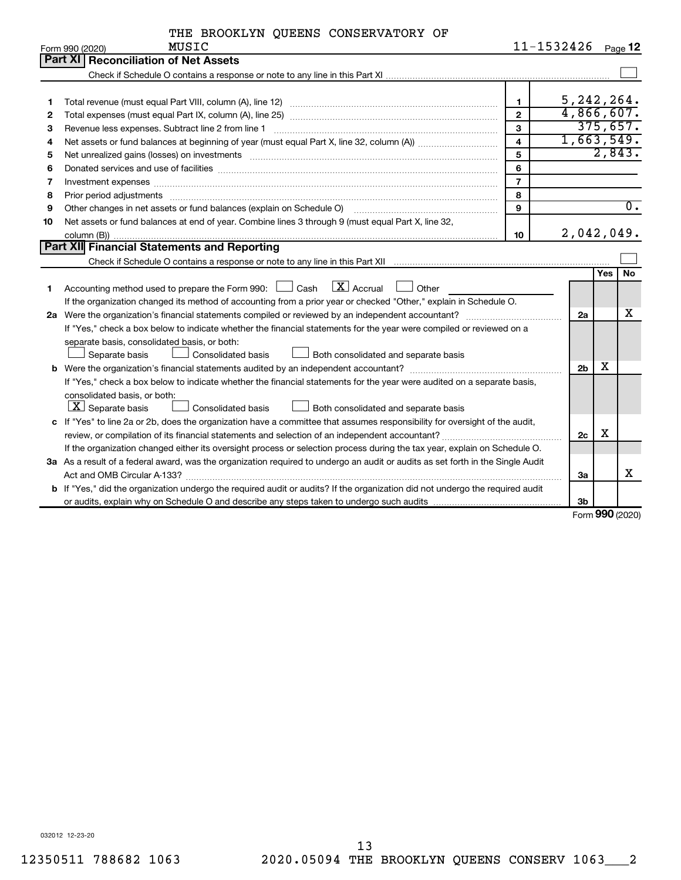|  |  |  | THE BROOKLYN QUEENS CONSERVATORY OF |  |
|--|--|--|-------------------------------------|--|
|--|--|--|-------------------------------------|--|

|    | MUSIC<br>Form 990 (2020)                                                                                                        | 11-1532426     |                |     | Page 12          |
|----|---------------------------------------------------------------------------------------------------------------------------------|----------------|----------------|-----|------------------|
|    | Part XI Reconciliation of Net Assets                                                                                            |                |                |     |                  |
|    |                                                                                                                                 |                |                |     |                  |
|    |                                                                                                                                 |                |                |     |                  |
| 1  |                                                                                                                                 | $\mathbf{1}$   | 5, 242, 264.   |     |                  |
| 2  |                                                                                                                                 | $\overline{2}$ | 4,866,607.     |     |                  |
| 3  | Revenue less expenses. Subtract line 2 from line 1                                                                              | 3              |                |     | 375,657.         |
| 4  |                                                                                                                                 | $\overline{4}$ | 1,663,549.     |     |                  |
| 5  |                                                                                                                                 | 5              |                |     | 2,843.           |
| 6  |                                                                                                                                 | 6              |                |     |                  |
| 7  | Investment expenses www.communication.com/www.communication.com/www.communication.com/www.com                                   | $\overline{7}$ |                |     |                  |
| 8  |                                                                                                                                 | 8              |                |     |                  |
| 9  | Other changes in net assets or fund balances (explain on Schedule O)                                                            | $\mathbf{q}$   |                |     | $\overline{0}$ . |
| 10 | Net assets or fund balances at end of year. Combine lines 3 through 9 (must equal Part X, line 32,                              |                |                |     |                  |
|    |                                                                                                                                 | 10             | 2,042,049.     |     |                  |
|    | <b>Part XII</b> Financial Statements and Reporting                                                                              |                |                |     |                  |
|    |                                                                                                                                 |                |                |     |                  |
|    |                                                                                                                                 |                |                | Yes | <b>No</b>        |
| 1  | Accounting method used to prepare the Form 990: $\Box$ Cash $\Box X$ Accrual<br>$\Box$ Other                                    |                |                |     |                  |
|    | If the organization changed its method of accounting from a prior year or checked "Other," explain in Schedule O.               |                |                |     |                  |
|    |                                                                                                                                 |                | 2a             |     | х                |
|    | If "Yes," check a box below to indicate whether the financial statements for the year were compiled or reviewed on a            |                |                |     |                  |
|    | separate basis, consolidated basis, or both:                                                                                    |                |                |     |                  |
|    | Separate basis<br>Consolidated basis<br>Both consolidated and separate basis                                                    |                |                |     |                  |
|    |                                                                                                                                 |                | 2 <sub>b</sub> | x   |                  |
|    | If "Yes," check a box below to indicate whether the financial statements for the year were audited on a separate basis,         |                |                |     |                  |
|    | consolidated basis, or both:                                                                                                    |                |                |     |                  |
|    | $ \mathbf{X} $ Separate basis<br>Consolidated basis<br>Both consolidated and separate basis                                     |                |                |     |                  |
|    | c If "Yes" to line 2a or 2b, does the organization have a committee that assumes responsibility for oversight of the audit,     |                |                |     |                  |
|    |                                                                                                                                 |                | 2c             | х   |                  |
|    | If the organization changed either its oversight process or selection process during the tax year, explain on Schedule O.       |                |                |     |                  |
|    | 3a As a result of a federal award, was the organization required to undergo an audit or audits as set forth in the Single Audit |                |                |     |                  |
|    |                                                                                                                                 |                | За             |     | x                |
|    | b If "Yes," did the organization undergo the required audit or audits? If the organization did not undergo the required audit   |                |                |     |                  |
|    |                                                                                                                                 |                | 3b             |     |                  |

Form (2020) **990**

032012 12-23-20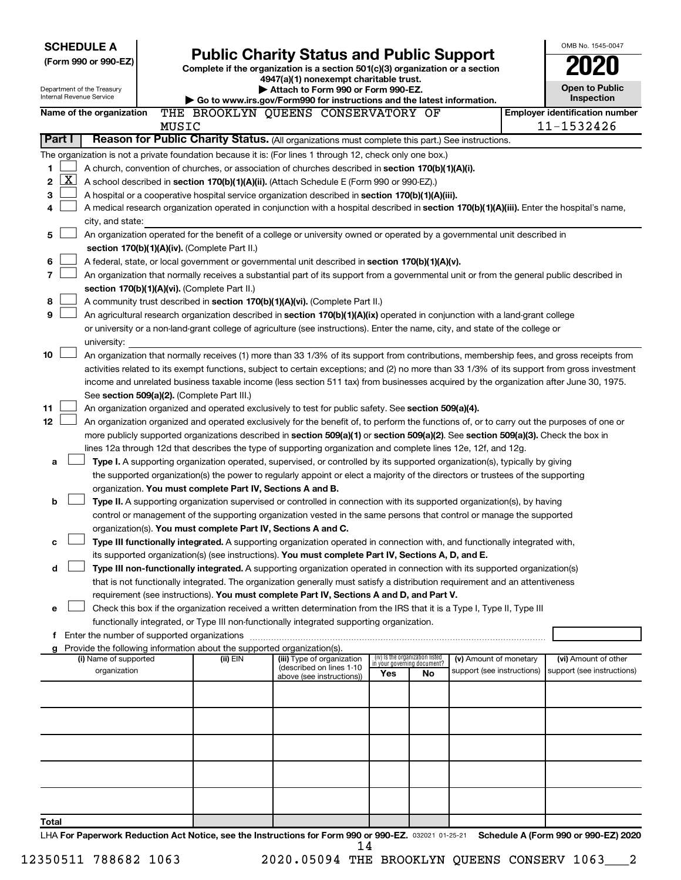| <b>SCHEDULE A</b>                                      | <b>Public Charity Status and Public Support</b> |                                                                                    |                                                                                                                                              |     |                                   | OMB No. 1545-0047          |                       |                                                     |
|--------------------------------------------------------|-------------------------------------------------|------------------------------------------------------------------------------------|----------------------------------------------------------------------------------------------------------------------------------------------|-----|-----------------------------------|----------------------------|-----------------------|-----------------------------------------------------|
| (Form 990 or 990-EZ)                                   |                                                 |                                                                                    | Complete if the organization is a section 501(c)(3) organization or a section                                                                |     |                                   |                            |                       |                                                     |
|                                                        |                                                 |                                                                                    | 4947(a)(1) nonexempt charitable trust.                                                                                                       |     |                                   |                            |                       |                                                     |
| Department of the Treasury<br>Internal Revenue Service |                                                 | Attach to Form 990 or Form 990-EZ.                                                 |                                                                                                                                              |     |                                   |                            | <b>Open to Public</b> |                                                     |
|                                                        |                                                 |                                                                                    | Go to www.irs.gov/Form990 for instructions and the latest information.                                                                       |     |                                   |                            |                       | Inspection                                          |
| Name of the organization                               | MUSIC                                           |                                                                                    | THE BROOKLYN QUEENS CONSERVATORY OF                                                                                                          |     |                                   |                            |                       | <b>Employer identification number</b><br>11-1532426 |
| Part I                                                 |                                                 |                                                                                    | Reason for Public Charity Status. (All organizations must complete this part.) See instructions.                                             |     |                                   |                            |                       |                                                     |
|                                                        |                                                 |                                                                                    | The organization is not a private foundation because it is: (For lines 1 through 12, check only one box.)                                    |     |                                   |                            |                       |                                                     |
| 1                                                      |                                                 |                                                                                    | A church, convention of churches, or association of churches described in section 170(b)(1)(A)(i).                                           |     |                                   |                            |                       |                                                     |
| $\overline{\text{X}}$<br>2                             |                                                 |                                                                                    | A school described in section 170(b)(1)(A)(ii). (Attach Schedule E (Form 990 or 990-EZ).)                                                    |     |                                   |                            |                       |                                                     |
| 3                                                      |                                                 |                                                                                    | A hospital or a cooperative hospital service organization described in section 170(b)(1)(A)(iii).                                            |     |                                   |                            |                       |                                                     |
| 4                                                      |                                                 |                                                                                    | A medical research organization operated in conjunction with a hospital described in section 170(b)(1)(A)(iii). Enter the hospital's name,   |     |                                   |                            |                       |                                                     |
| city, and state:                                       |                                                 |                                                                                    |                                                                                                                                              |     |                                   |                            |                       |                                                     |
| 5                                                      |                                                 |                                                                                    | An organization operated for the benefit of a college or university owned or operated by a governmental unit described in                    |     |                                   |                            |                       |                                                     |
|                                                        |                                                 | section 170(b)(1)(A)(iv). (Complete Part II.)                                      |                                                                                                                                              |     |                                   |                            |                       |                                                     |
| 6                                                      |                                                 |                                                                                    | A federal, state, or local government or governmental unit described in section 170(b)(1)(A)(v).                                             |     |                                   |                            |                       |                                                     |
| 7                                                      |                                                 |                                                                                    | An organization that normally receives a substantial part of its support from a governmental unit or from the general public described in    |     |                                   |                            |                       |                                                     |
|                                                        |                                                 | section 170(b)(1)(A)(vi). (Complete Part II.)                                      |                                                                                                                                              |     |                                   |                            |                       |                                                     |
| 8                                                      |                                                 |                                                                                    | A community trust described in section 170(b)(1)(A)(vi). (Complete Part II.)                                                                 |     |                                   |                            |                       |                                                     |
| 9                                                      |                                                 |                                                                                    | An agricultural research organization described in section 170(b)(1)(A)(ix) operated in conjunction with a land-grant college                |     |                                   |                            |                       |                                                     |
|                                                        |                                                 |                                                                                    | or university or a non-land-grant college of agriculture (see instructions). Enter the name, city, and state of the college or               |     |                                   |                            |                       |                                                     |
| university:<br>10                                      |                                                 |                                                                                    | An organization that normally receives (1) more than 33 1/3% of its support from contributions, membership fees, and gross receipts from     |     |                                   |                            |                       |                                                     |
|                                                        |                                                 |                                                                                    | activities related to its exempt functions, subject to certain exceptions; and (2) no more than 33 1/3% of its support from gross investment |     |                                   |                            |                       |                                                     |
|                                                        |                                                 |                                                                                    | income and unrelated business taxable income (less section 511 tax) from businesses acquired by the organization after June 30, 1975.        |     |                                   |                            |                       |                                                     |
|                                                        |                                                 | See section 509(a)(2). (Complete Part III.)                                        |                                                                                                                                              |     |                                   |                            |                       |                                                     |
| 11                                                     |                                                 |                                                                                    | An organization organized and operated exclusively to test for public safety. See section 509(a)(4).                                         |     |                                   |                            |                       |                                                     |
| 12                                                     |                                                 |                                                                                    | An organization organized and operated exclusively for the benefit of, to perform the functions of, or to carry out the purposes of one or   |     |                                   |                            |                       |                                                     |
|                                                        |                                                 |                                                                                    | more publicly supported organizations described in section 509(a)(1) or section 509(a)(2). See section 509(a)(3). Check the box in           |     |                                   |                            |                       |                                                     |
|                                                        |                                                 |                                                                                    | lines 12a through 12d that describes the type of supporting organization and complete lines 12e, 12f, and 12g.                               |     |                                   |                            |                       |                                                     |
| a                                                      |                                                 |                                                                                    | Type I. A supporting organization operated, supervised, or controlled by its supported organization(s), typically by giving                  |     |                                   |                            |                       |                                                     |
|                                                        |                                                 |                                                                                    | the supported organization(s) the power to regularly appoint or elect a majority of the directors or trustees of the supporting              |     |                                   |                            |                       |                                                     |
|                                                        |                                                 | organization. You must complete Part IV, Sections A and B.                         |                                                                                                                                              |     |                                   |                            |                       |                                                     |
| b                                                      |                                                 |                                                                                    | Type II. A supporting organization supervised or controlled in connection with its supported organization(s), by having                      |     |                                   |                            |                       |                                                     |
|                                                        |                                                 | organization(s). You must complete Part IV, Sections A and C.                      | control or management of the supporting organization vested in the same persons that control or manage the supported                         |     |                                   |                            |                       |                                                     |
| с                                                      |                                                 |                                                                                    | Type III functionally integrated. A supporting organization operated in connection with, and functionally integrated with,                   |     |                                   |                            |                       |                                                     |
|                                                        |                                                 |                                                                                    | its supported organization(s) (see instructions). You must complete Part IV, Sections A, D, and E.                                           |     |                                   |                            |                       |                                                     |
| d                                                      |                                                 |                                                                                    | Type III non-functionally integrated. A supporting organization operated in connection with its supported organization(s)                    |     |                                   |                            |                       |                                                     |
|                                                        |                                                 |                                                                                    | that is not functionally integrated. The organization generally must satisfy a distribution requirement and an attentiveness                 |     |                                   |                            |                       |                                                     |
|                                                        |                                                 |                                                                                    | requirement (see instructions). You must complete Part IV, Sections A and D, and Part V.                                                     |     |                                   |                            |                       |                                                     |
| е                                                      |                                                 |                                                                                    | Check this box if the organization received a written determination from the IRS that it is a Type I, Type II, Type III                      |     |                                   |                            |                       |                                                     |
|                                                        |                                                 |                                                                                    | functionally integrated, or Type III non-functionally integrated supporting organization.                                                    |     |                                   |                            |                       |                                                     |
|                                                        |                                                 |                                                                                    |                                                                                                                                              |     |                                   |                            |                       |                                                     |
| g<br>(i) Name of supported                             |                                                 | Provide the following information about the supported organization(s).<br>(ii) EIN | (iii) Type of organization                                                                                                                   |     | (iv) Is the organization listed   | (v) Amount of monetary     |                       | (vi) Amount of other                                |
| organization                                           |                                                 |                                                                                    | (described on lines 1-10                                                                                                                     |     | in your governing document?<br>No | support (see instructions) |                       | support (see instructions)                          |
|                                                        |                                                 |                                                                                    | above (see instructions))                                                                                                                    | Yes |                                   |                            |                       |                                                     |
|                                                        |                                                 |                                                                                    |                                                                                                                                              |     |                                   |                            |                       |                                                     |
|                                                        |                                                 |                                                                                    |                                                                                                                                              |     |                                   |                            |                       |                                                     |
|                                                        |                                                 |                                                                                    |                                                                                                                                              |     |                                   |                            |                       |                                                     |
|                                                        |                                                 |                                                                                    |                                                                                                                                              |     |                                   |                            |                       |                                                     |
|                                                        |                                                 |                                                                                    |                                                                                                                                              |     |                                   |                            |                       |                                                     |
|                                                        |                                                 |                                                                                    |                                                                                                                                              |     |                                   |                            |                       |                                                     |
|                                                        |                                                 |                                                                                    |                                                                                                                                              |     |                                   |                            |                       |                                                     |
|                                                        |                                                 |                                                                                    |                                                                                                                                              |     |                                   |                            |                       |                                                     |
|                                                        |                                                 |                                                                                    |                                                                                                                                              |     |                                   |                            |                       |                                                     |
| Total                                                  |                                                 |                                                                                    |                                                                                                                                              |     |                                   |                            |                       |                                                     |

032021 01-25-21 LHA For Paperwork Reduction Act Notice, see the Instructions for Form 990 or 990-EZ. 032021 01-25-21 Schedule A (Form 990 or 990-EZ) 2020 14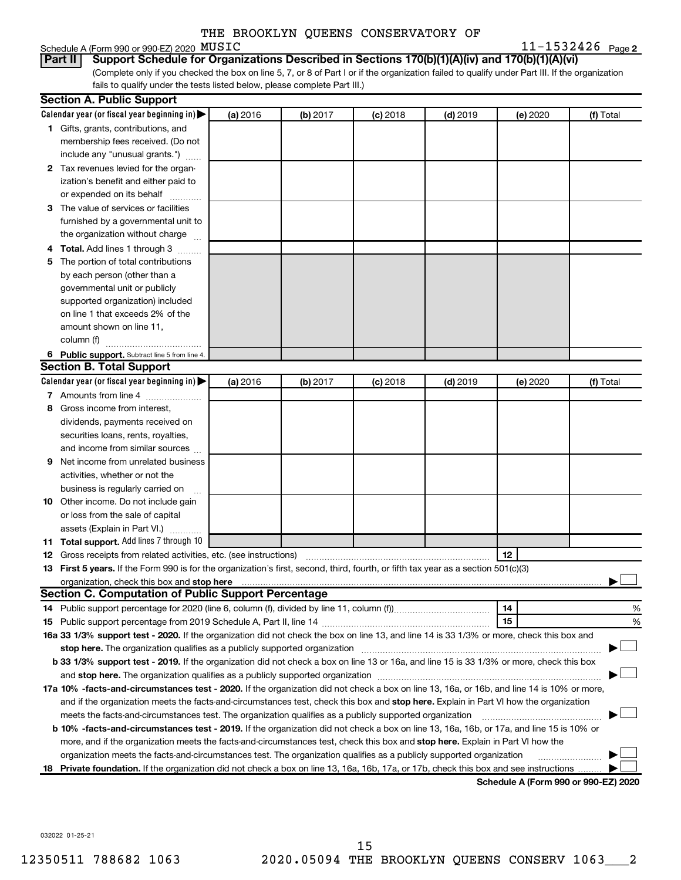|  | Schedule A (Form 990 or 990-EZ) 2020 $\,\mathrm{MUSTC}$ |  | $11 - 1532426$ Page 2 |  |
|--|---------------------------------------------------------|--|-----------------------|--|
|--|---------------------------------------------------------|--|-----------------------|--|

(Complete only if you checked the box on line 5, 7, or 8 of Part I or if the organization failed to qualify under Part III. If the organization fails to qualify under the tests listed below, please complete Part III.) **Part II Support Schedule for Organizations Described in Sections 170(b)(1)(A)(iv) and 170(b)(1)(A)(vi)**

|     | <b>Section A. Public Support</b>                                                                                                                                                                                               |          |          |            |            |                                      |           |
|-----|--------------------------------------------------------------------------------------------------------------------------------------------------------------------------------------------------------------------------------|----------|----------|------------|------------|--------------------------------------|-----------|
|     | Calendar year (or fiscal year beginning in)                                                                                                                                                                                    | (a) 2016 | (b) 2017 | $(c)$ 2018 | $(d)$ 2019 | (e) 2020                             | (f) Total |
|     | 1 Gifts, grants, contributions, and                                                                                                                                                                                            |          |          |            |            |                                      |           |
|     | membership fees received. (Do not                                                                                                                                                                                              |          |          |            |            |                                      |           |
|     | include any "unusual grants.")                                                                                                                                                                                                 |          |          |            |            |                                      |           |
|     | 2 Tax revenues levied for the organ-                                                                                                                                                                                           |          |          |            |            |                                      |           |
|     | ization's benefit and either paid to                                                                                                                                                                                           |          |          |            |            |                                      |           |
|     | or expended on its behalf                                                                                                                                                                                                      |          |          |            |            |                                      |           |
|     | 3 The value of services or facilities                                                                                                                                                                                          |          |          |            |            |                                      |           |
|     | furnished by a governmental unit to                                                                                                                                                                                            |          |          |            |            |                                      |           |
|     | the organization without charge                                                                                                                                                                                                |          |          |            |            |                                      |           |
|     | 4 Total. Add lines 1 through 3                                                                                                                                                                                                 |          |          |            |            |                                      |           |
| 5   | The portion of total contributions                                                                                                                                                                                             |          |          |            |            |                                      |           |
|     | by each person (other than a                                                                                                                                                                                                   |          |          |            |            |                                      |           |
|     | governmental unit or publicly                                                                                                                                                                                                  |          |          |            |            |                                      |           |
|     | supported organization) included                                                                                                                                                                                               |          |          |            |            |                                      |           |
|     | on line 1 that exceeds 2% of the                                                                                                                                                                                               |          |          |            |            |                                      |           |
|     | amount shown on line 11,                                                                                                                                                                                                       |          |          |            |            |                                      |           |
|     | column (f)                                                                                                                                                                                                                     |          |          |            |            |                                      |           |
|     | 6 Public support. Subtract line 5 from line 4.                                                                                                                                                                                 |          |          |            |            |                                      |           |
|     | <b>Section B. Total Support</b>                                                                                                                                                                                                |          |          |            |            |                                      |           |
|     | Calendar year (or fiscal year beginning in)                                                                                                                                                                                    | (a) 2016 | (b) 2017 | $(c)$ 2018 | $(d)$ 2019 | (e) 2020                             | (f) Total |
|     | 7 Amounts from line 4                                                                                                                                                                                                          |          |          |            |            |                                      |           |
| 8   | Gross income from interest,                                                                                                                                                                                                    |          |          |            |            |                                      |           |
|     | dividends, payments received on                                                                                                                                                                                                |          |          |            |            |                                      |           |
|     | securities loans, rents, royalties,                                                                                                                                                                                            |          |          |            |            |                                      |           |
|     | and income from similar sources                                                                                                                                                                                                |          |          |            |            |                                      |           |
| 9   | Net income from unrelated business                                                                                                                                                                                             |          |          |            |            |                                      |           |
|     | activities, whether or not the                                                                                                                                                                                                 |          |          |            |            |                                      |           |
|     | business is regularly carried on                                                                                                                                                                                               |          |          |            |            |                                      |           |
|     | 10 Other income. Do not include gain                                                                                                                                                                                           |          |          |            |            |                                      |           |
|     | or loss from the sale of capital                                                                                                                                                                                               |          |          |            |            |                                      |           |
|     | assets (Explain in Part VI.)                                                                                                                                                                                                   |          |          |            |            |                                      |           |
|     | 11 Total support. Add lines 7 through 10                                                                                                                                                                                       |          |          |            |            |                                      |           |
|     |                                                                                                                                                                                                                                |          |          |            |            | 12                                   |           |
|     | 13 First 5 years. If the Form 990 is for the organization's first, second, third, fourth, or fifth tax year as a section 501(c)(3)                                                                                             |          |          |            |            |                                      |           |
|     | <b>Section C. Computation of Public Support Percentage</b>                                                                                                                                                                     |          |          |            |            |                                      |           |
|     |                                                                                                                                                                                                                                |          |          |            |            | 14                                   | %         |
|     |                                                                                                                                                                                                                                |          |          |            |            | 15                                   | %         |
|     | 16a 33 1/3% support test - 2020. If the organization did not check the box on line 13, and line 14 is 33 1/3% or more, check this box and                                                                                      |          |          |            |            |                                      |           |
|     | stop here. The organization qualifies as a publicly supported organization manufactured content and the organization of the state of the state of the state of the state of the state of the state of the state of the state o |          |          |            |            |                                      |           |
|     | b 33 1/3% support test - 2019. If the organization did not check a box on line 13 or 16a, and line 15 is 33 1/3% or more, check this box                                                                                       |          |          |            |            |                                      |           |
|     |                                                                                                                                                                                                                                |          |          |            |            |                                      |           |
|     | 17a 10% -facts-and-circumstances test - 2020. If the organization did not check a box on line 13, 16a, or 16b, and line 14 is 10% or more,                                                                                     |          |          |            |            |                                      |           |
|     | and if the organization meets the facts-and-circumstances test, check this box and stop here. Explain in Part VI how the organization                                                                                          |          |          |            |            |                                      |           |
|     | meets the facts-and-circumstances test. The organization qualifies as a publicly supported organization                                                                                                                        |          |          |            |            |                                      |           |
|     | b 10% -facts-and-circumstances test - 2019. If the organization did not check a box on line 13, 16a, 16b, or 17a, and line 15 is 10% or                                                                                        |          |          |            |            |                                      |           |
|     | more, and if the organization meets the facts-and-circumstances test, check this box and stop here. Explain in Part VI how the                                                                                                 |          |          |            |            |                                      |           |
|     | organization meets the facts-and-circumstances test. The organization qualifies as a publicly supported organization                                                                                                           |          |          |            |            |                                      |           |
| 18. | Private foundation. If the organization did not check a box on line 13, 16a, 16b, 17a, or 17b, check this box and see instructions                                                                                             |          |          |            |            |                                      |           |
|     |                                                                                                                                                                                                                                |          |          |            |            | Schedule A (Form 990 or 990-EZ) 2020 |           |

032022 01-25-21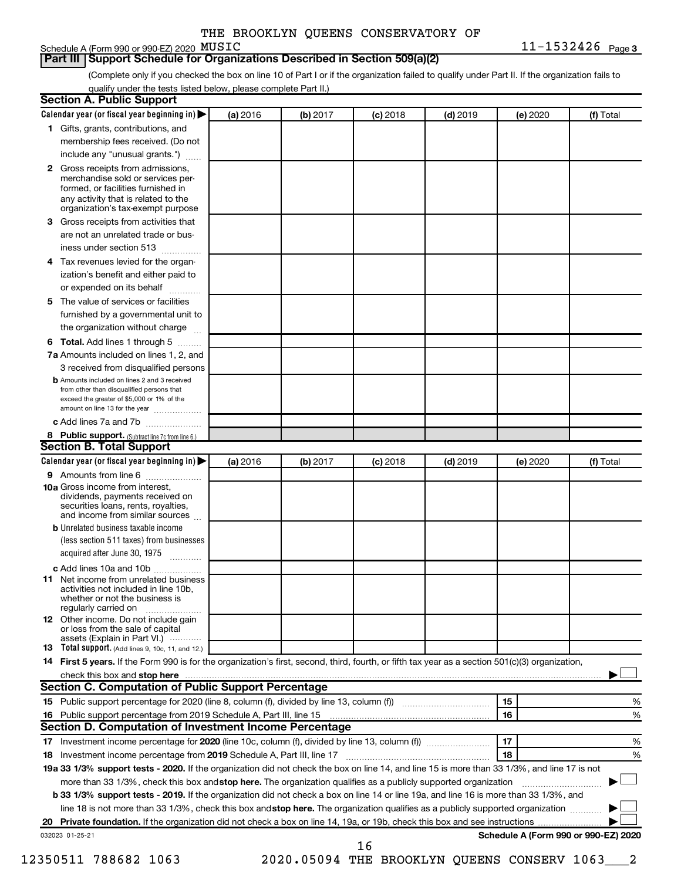## Schedule A (Form 990 or 990-EZ) 2020 MUSIC

**3** MUSIC 11-1532426

### **Part III Support Schedule for Organizations Described in Section 509(a)(2)**

(Complete only if you checked the box on line 10 of Part I or if the organization failed to qualify under Part II. If the organization fails to qualify under the tests listed below, please complete Part II.)

|              | Calendar year (or fiscal year beginning in)                                                                                                                                            | (a) 2016 | (b) 2017 | $(c)$ 2018 | $(d)$ 2019                                  |    | (e) 2020 | (f) Total                            |   |
|--------------|----------------------------------------------------------------------------------------------------------------------------------------------------------------------------------------|----------|----------|------------|---------------------------------------------|----|----------|--------------------------------------|---|
|              | 1 Gifts, grants, contributions, and                                                                                                                                                    |          |          |            |                                             |    |          |                                      |   |
|              | membership fees received. (Do not                                                                                                                                                      |          |          |            |                                             |    |          |                                      |   |
|              | include any "unusual grants.")                                                                                                                                                         |          |          |            |                                             |    |          |                                      |   |
| $\mathbf{2}$ | Gross receipts from admissions,<br>merchandise sold or services per-<br>formed, or facilities furnished in<br>any activity that is related to the<br>organization's tax-exempt purpose |          |          |            |                                             |    |          |                                      |   |
| 3            | Gross receipts from activities that                                                                                                                                                    |          |          |            |                                             |    |          |                                      |   |
|              | are not an unrelated trade or bus-                                                                                                                                                     |          |          |            |                                             |    |          |                                      |   |
|              | iness under section 513                                                                                                                                                                |          |          |            |                                             |    |          |                                      |   |
| 4            | Tax revenues levied for the organ-                                                                                                                                                     |          |          |            |                                             |    |          |                                      |   |
|              | ization's benefit and either paid to<br>or expended on its behalf<br>.                                                                                                                 |          |          |            |                                             |    |          |                                      |   |
| 5            | The value of services or facilities                                                                                                                                                    |          |          |            |                                             |    |          |                                      |   |
|              | furnished by a governmental unit to<br>the organization without charge                                                                                                                 |          |          |            |                                             |    |          |                                      |   |
| 6            | Total. Add lines 1 through 5                                                                                                                                                           |          |          |            |                                             |    |          |                                      |   |
|              | 7a Amounts included on lines 1, 2, and                                                                                                                                                 |          |          |            |                                             |    |          |                                      |   |
|              | 3 received from disqualified persons                                                                                                                                                   |          |          |            |                                             |    |          |                                      |   |
|              | <b>b</b> Amounts included on lines 2 and 3 received                                                                                                                                    |          |          |            |                                             |    |          |                                      |   |
|              | from other than disqualified persons that<br>exceed the greater of \$5,000 or 1% of the<br>amount on line 13 for the year                                                              |          |          |            |                                             |    |          |                                      |   |
|              | c Add lines 7a and 7b                                                                                                                                                                  |          |          |            |                                             |    |          |                                      |   |
|              | 8 Public support. (Subtract line 7c from line 6.)                                                                                                                                      |          |          |            |                                             |    |          |                                      |   |
|              | <b>Section B. Total Support</b>                                                                                                                                                        |          |          |            |                                             |    |          |                                      |   |
|              | Calendar year (or fiscal year beginning in)                                                                                                                                            | (a) 2016 | (b) 2017 | $(c)$ 2018 | $(d)$ 2019                                  |    | (e) 2020 | (f) Total                            |   |
|              | 9 Amounts from line 6                                                                                                                                                                  |          |          |            |                                             |    |          |                                      |   |
|              | <b>10a</b> Gross income from interest,<br>dividends, payments received on<br>securities loans, rents, royalties,<br>and income from similar sources                                    |          |          |            |                                             |    |          |                                      |   |
|              | <b>b</b> Unrelated business taxable income                                                                                                                                             |          |          |            |                                             |    |          |                                      |   |
|              | (less section 511 taxes) from businesses<br>acquired after June 30, 1975                                                                                                               |          |          |            |                                             |    |          |                                      |   |
|              | c Add lines 10a and 10b                                                                                                                                                                |          |          |            |                                             |    |          |                                      |   |
| 11           | Net income from unrelated business<br>activities not included in line 10b.<br>whether or not the business is<br>regularly carried on                                                   |          |          |            |                                             |    |          |                                      |   |
|              | <b>12</b> Other income. Do not include gain<br>or loss from the sale of capital<br>assets (Explain in Part VI.)                                                                        |          |          |            |                                             |    |          |                                      |   |
|              | <b>13</b> Total support. (Add lines 9, 10c, 11, and 12.)                                                                                                                               |          |          |            |                                             |    |          |                                      |   |
|              | 14 First 5 years. If the Form 990 is for the organization's first, second, third, fourth, or fifth tax year as a section 501(c)(3) organization,                                       |          |          |            |                                             |    |          |                                      |   |
|              |                                                                                                                                                                                        |          |          |            |                                             |    |          |                                      |   |
|              | <b>Section C. Computation of Public Support Percentage</b>                                                                                                                             |          |          |            |                                             |    |          |                                      |   |
|              |                                                                                                                                                                                        |          |          |            |                                             | 15 |          |                                      | % |
|              |                                                                                                                                                                                        |          |          |            |                                             | 16 |          |                                      | % |
|              | Section D. Computation of Investment Income Percentage                                                                                                                                 |          |          |            |                                             |    |          |                                      |   |
|              |                                                                                                                                                                                        |          |          |            |                                             | 17 |          |                                      | % |
|              |                                                                                                                                                                                        |          |          |            |                                             | 18 |          |                                      | % |
|              | 19a 33 1/3% support tests - 2020. If the organization did not check the box on line 14, and line 15 is more than 33 1/3%, and line 17 is not                                           |          |          |            |                                             |    |          |                                      |   |
|              | more than 33 1/3%, check this box and stop here. The organization qualifies as a publicly supported organization                                                                       |          |          |            |                                             |    |          |                                      |   |
|              | <b>b 33 1/3% support tests - 2019.</b> If the organization did not check a box on line 14 or line 19a, and line 16 is more than 33 1/3%, and                                           |          |          |            |                                             |    |          |                                      |   |
|              | line 18 is not more than 33 1/3%, check this box and stop here. The organization qualifies as a publicly supported organization                                                        |          |          |            |                                             |    |          |                                      |   |
|              |                                                                                                                                                                                        |          |          |            |                                             |    |          |                                      |   |
|              | 032023 01-25-21                                                                                                                                                                        |          |          | 16         |                                             |    |          | Schedule A (Form 990 or 990-EZ) 2020 |   |
|              | 12350511 788682 1063                                                                                                                                                                   |          |          |            | 2020.05094 THE BROOKLYN QUEENS CONSERV 1063 |    |          | 2                                    |   |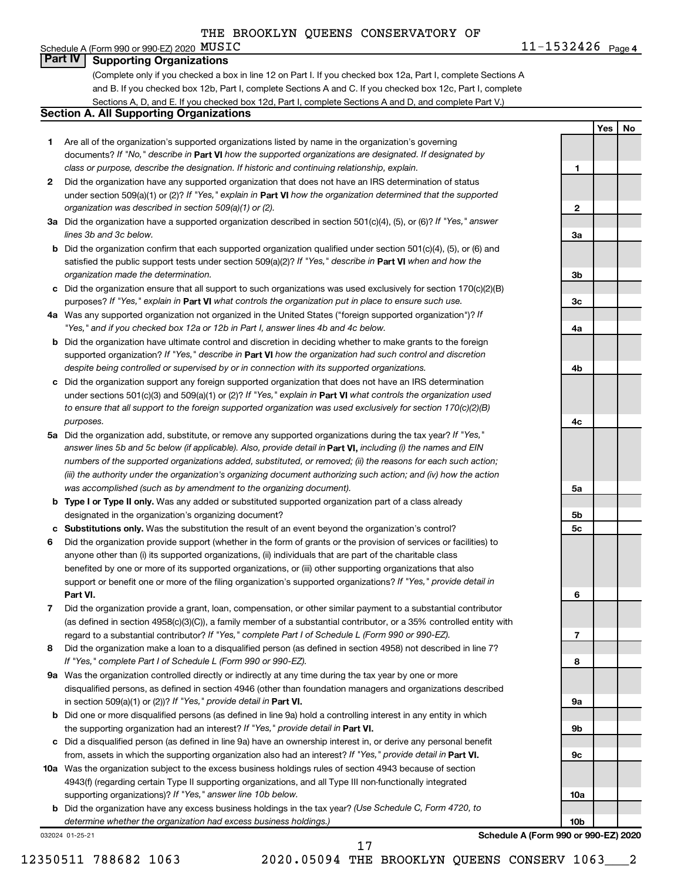#### **AUSIC** 21-1532426 Page 4 Schedule A (Form 990 or 990-EZ) 2020  $MUSTC$ **Part IV Supporting Organizations**

(Complete only if you checked a box in line 12 on Part I. If you checked box 12a, Part I, complete Sections A and B. If you checked box 12b, Part I, complete Sections A and C. If you checked box 12c, Part I, complete Sections A, D, and E. If you checked box 12d, Part I, complete Sections A and D, and complete Part V.)

## **Section A. All Supporting Organizations**

- **1** Are all of the organization's supported organizations listed by name in the organization's governing documents? If "No," describe in Part VI how the supported organizations are designated. If designated by *class or purpose, describe the designation. If historic and continuing relationship, explain.*
- **2** Did the organization have any supported organization that does not have an IRS determination of status under section 509(a)(1) or (2)? If "Yes," explain in Part **VI** how the organization determined that the supported *organization was described in section 509(a)(1) or (2).*
- **3a** Did the organization have a supported organization described in section 501(c)(4), (5), or (6)? If "Yes," answer *lines 3b and 3c below.*
- **b** Did the organization confirm that each supported organization qualified under section 501(c)(4), (5), or (6) and satisfied the public support tests under section 509(a)(2)? If "Yes," describe in Part VI when and how the *organization made the determination.*
- **c** Did the organization ensure that all support to such organizations was used exclusively for section 170(c)(2)(B) purposes? If "Yes," explain in Part VI what controls the organization put in place to ensure such use.
- **4 a** *If* Was any supported organization not organized in the United States ("foreign supported organization")? *"Yes," and if you checked box 12a or 12b in Part I, answer lines 4b and 4c below.*
- **b** Did the organization have ultimate control and discretion in deciding whether to make grants to the foreign supported organization? If "Yes," describe in Part VI how the organization had such control and discretion *despite being controlled or supervised by or in connection with its supported organizations.*
- **c** Did the organization support any foreign supported organization that does not have an IRS determination under sections 501(c)(3) and 509(a)(1) or (2)? If "Yes," explain in Part VI what controls the organization used *to ensure that all support to the foreign supported organization was used exclusively for section 170(c)(2)(B) purposes.*
- **5a** Did the organization add, substitute, or remove any supported organizations during the tax year? If "Yes," answer lines 5b and 5c below (if applicable). Also, provide detail in **Part VI,** including (i) the names and EIN *numbers of the supported organizations added, substituted, or removed; (ii) the reasons for each such action; (iii) the authority under the organization's organizing document authorizing such action; and (iv) how the action was accomplished (such as by amendment to the organizing document).*
- **b Type I or Type II only.** Was any added or substituted supported organization part of a class already designated in the organization's organizing document?
- **c Substitutions only.**  Was the substitution the result of an event beyond the organization's control?
- **6** Did the organization provide support (whether in the form of grants or the provision of services or facilities) to **Part VI.** support or benefit one or more of the filing organization's supported organizations? If "Yes," provide detail in anyone other than (i) its supported organizations, (ii) individuals that are part of the charitable class benefited by one or more of its supported organizations, or (iii) other supporting organizations that also
- **7** Did the organization provide a grant, loan, compensation, or other similar payment to a substantial contributor regard to a substantial contributor? If "Yes," complete Part I of Schedule L (Form 990 or 990-EZ). (as defined in section 4958(c)(3)(C)), a family member of a substantial contributor, or a 35% controlled entity with
- **8** Did the organization make a loan to a disqualified person (as defined in section 4958) not described in line 7? *If "Yes," complete Part I of Schedule L (Form 990 or 990-EZ).*
- **9 a** Was the organization controlled directly or indirectly at any time during the tax year by one or more in section 509(a)(1) or (2))? If "Yes," provide detail in **Part VI.** disqualified persons, as defined in section 4946 (other than foundation managers and organizations described
- **b** Did one or more disqualified persons (as defined in line 9a) hold a controlling interest in any entity in which the supporting organization had an interest? If "Yes," provide detail in Part VI.
- **c** Did a disqualified person (as defined in line 9a) have an ownership interest in, or derive any personal benefit from, assets in which the supporting organization also had an interest? If "Yes," provide detail in Part VI.
- **10 a** Was the organization subject to the excess business holdings rules of section 4943 because of section supporting organizations)? If "Yes," answer line 10b below. 4943(f) (regarding certain Type II supporting organizations, and all Type III non-functionally integrated
	- **b** Did the organization have any excess business holdings in the tax year? (Use Schedule C, Form 4720, to *determine whether the organization had excess business holdings.)*

032024 01-25-21

**Schedule A (Form 990 or 990-EZ) 2020**

**Yes No**

**1**

**2**

**3a**

**3b**

**3c**

**4a**

**4b**

**4c**

**5a**

**5b 5c**

**6**

**7**

**8**

**9a**

**9b**

**9c**

**10a**

**10b**

17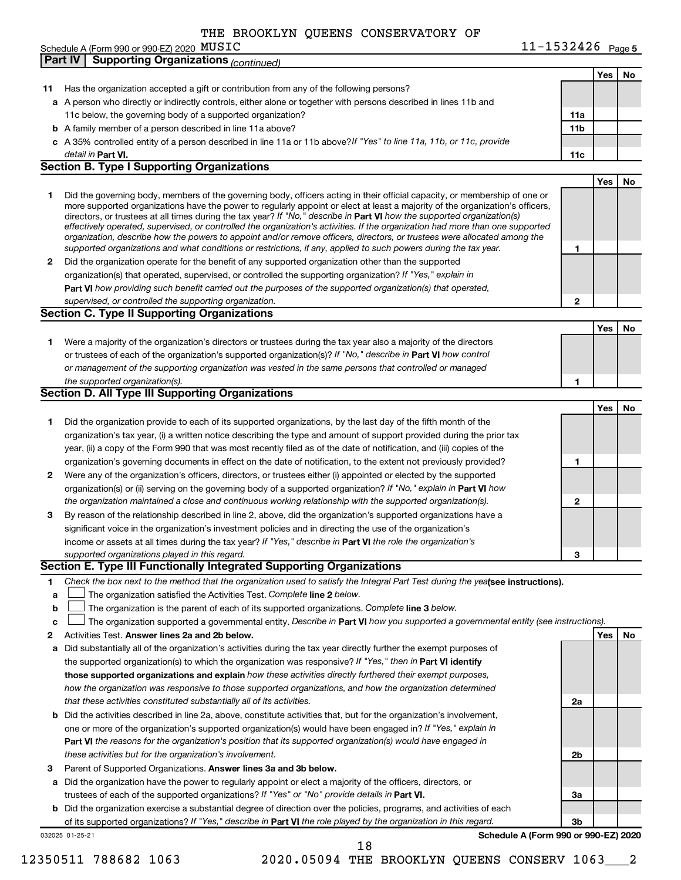|    | Schedule A (Form 990 or 990-EZ) 2020 MUSIC                                                                                                                                                                                                                | $11 - 1532426$ Page 5 |            |    |
|----|-----------------------------------------------------------------------------------------------------------------------------------------------------------------------------------------------------------------------------------------------------------|-----------------------|------------|----|
|    | <b>Supporting Organizations (continued)</b><br><b>Part IV</b>                                                                                                                                                                                             |                       |            |    |
|    |                                                                                                                                                                                                                                                           |                       | Yes        | No |
| 11 | Has the organization accepted a gift or contribution from any of the following persons?                                                                                                                                                                   |                       |            |    |
|    | a A person who directly or indirectly controls, either alone or together with persons described in lines 11b and                                                                                                                                          |                       |            |    |
|    | 11c below, the governing body of a supported organization?                                                                                                                                                                                                | 11a                   |            |    |
|    | <b>b</b> A family member of a person described in line 11a above?                                                                                                                                                                                         | 11 <sub>b</sub>       |            |    |
|    | c A 35% controlled entity of a person described in line 11a or 11b above? If "Yes" to line 11a, 11b, or 11c, provide                                                                                                                                      |                       |            |    |
|    | detail in Part VI.                                                                                                                                                                                                                                        | 11c                   |            |    |
|    | <b>Section B. Type I Supporting Organizations</b>                                                                                                                                                                                                         |                       |            |    |
|    |                                                                                                                                                                                                                                                           |                       | <b>Yes</b> | No |
| 1  | Did the governing body, members of the governing body, officers acting in their official capacity, or membership of one or                                                                                                                                |                       |            |    |
|    | more supported organizations have the power to regularly appoint or elect at least a majority of the organization's officers,                                                                                                                             |                       |            |    |
|    | directors, or trustees at all times during the tax year? If "No," describe in Part VI how the supported organization(s)<br>effectively operated, supervised, or controlled the organization's activities. If the organization had more than one supported |                       |            |    |
|    | organization, describe how the powers to appoint and/or remove officers, directors, or trustees were allocated among the                                                                                                                                  |                       |            |    |
|    | supported organizations and what conditions or restrictions, if any, applied to such powers during the tax year.                                                                                                                                          | 1                     |            |    |
| 2  | Did the organization operate for the benefit of any supported organization other than the supported                                                                                                                                                       |                       |            |    |
|    | organization(s) that operated, supervised, or controlled the supporting organization? If "Yes," explain in                                                                                                                                                |                       |            |    |
|    | Part VI how providing such benefit carried out the purposes of the supported organization(s) that operated,                                                                                                                                               |                       |            |    |
|    | supervised, or controlled the supporting organization.                                                                                                                                                                                                    | 2                     |            |    |
|    | <b>Section C. Type II Supporting Organizations</b>                                                                                                                                                                                                        |                       |            |    |
|    |                                                                                                                                                                                                                                                           |                       | Yes        | No |
| 1. | Were a majority of the organization's directors or trustees during the tax year also a majority of the directors                                                                                                                                          |                       |            |    |
|    | or trustees of each of the organization's supported organization(s)? If "No," describe in Part VI how control                                                                                                                                             |                       |            |    |
|    | or management of the supporting organization was vested in the same persons that controlled or managed                                                                                                                                                    |                       |            |    |
|    | the supported organization(s).                                                                                                                                                                                                                            | 1                     |            |    |
|    | Section D. All Type III Supporting Organizations                                                                                                                                                                                                          |                       |            |    |
|    |                                                                                                                                                                                                                                                           |                       | Yes        | No |
| 1  | Did the organization provide to each of its supported organizations, by the last day of the fifth month of the                                                                                                                                            |                       |            |    |
|    | organization's tax year, (i) a written notice describing the type and amount of support provided during the prior tax                                                                                                                                     |                       |            |    |
|    | year, (ii) a copy of the Form 990 that was most recently filed as of the date of notification, and (iii) copies of the                                                                                                                                    |                       |            |    |
|    | organization's governing documents in effect on the date of notification, to the extent not previously provided?                                                                                                                                          | 1                     |            |    |
| 2  | Were any of the organization's officers, directors, or trustees either (i) appointed or elected by the supported                                                                                                                                          |                       |            |    |
|    | organization(s) or (ii) serving on the governing body of a supported organization? If "No," explain in Part VI how                                                                                                                                        |                       |            |    |
|    | the organization maintained a close and continuous working relationship with the supported organization(s).                                                                                                                                               | $\mathbf{2}$          |            |    |
| 3  | By reason of the relationship described in line 2, above, did the organization's supported organizations have a                                                                                                                                           |                       |            |    |
|    | significant voice in the organization's investment policies and in directing the use of the organization's                                                                                                                                                |                       |            |    |
|    | income or assets at all times during the tax year? If "Yes," describe in Part VI the role the organization's                                                                                                                                              |                       |            |    |
|    | supported organizations played in this regard.                                                                                                                                                                                                            | З                     |            |    |
|    | Section E. Type III Functionally Integrated Supporting Organizations                                                                                                                                                                                      |                       |            |    |
| 1. | Check the box next to the method that the organization used to satisfy the Integral Part Test during the yealsee instructions).                                                                                                                           |                       |            |    |
| a  | The organization satisfied the Activities Test. Complete line 2 below.                                                                                                                                                                                    |                       |            |    |
| b  | The organization is the parent of each of its supported organizations. Complete line 3 below.                                                                                                                                                             |                       |            |    |
| c  | The organization supported a governmental entity. Describe in Part VI how you supported a governmental entity (see instructions).                                                                                                                         |                       |            |    |
| 2  | Activities Test. Answer lines 2a and 2b below.                                                                                                                                                                                                            |                       | Yes        | No |
| a  | Did substantially all of the organization's activities during the tax year directly further the exempt purposes of                                                                                                                                        |                       |            |    |
|    | the supported organization(s) to which the organization was responsive? If "Yes," then in Part VI identify                                                                                                                                                |                       |            |    |
|    | those supported organizations and explain how these activities directly furthered their exempt purposes,                                                                                                                                                  |                       |            |    |
|    | how the organization was responsive to those supported organizations, and how the organization determined                                                                                                                                                 |                       |            |    |
|    | that these activities constituted substantially all of its activities.                                                                                                                                                                                    | 2a                    |            |    |
| b  | Did the activities described in line 2a, above, constitute activities that, but for the organization's involvement,                                                                                                                                       |                       |            |    |
|    | one or more of the organization's supported organization(s) would have been engaged in? If "Yes," explain in                                                                                                                                              |                       |            |    |
|    | Part VI the reasons for the organization's position that its supported organization(s) would have engaged in                                                                                                                                              |                       |            |    |
|    | these activities but for the organization's involvement.                                                                                                                                                                                                  | 2b                    |            |    |
| 3  | Parent of Supported Organizations. Answer lines 3a and 3b below.                                                                                                                                                                                          |                       |            |    |
| a  | Did the organization have the power to regularly appoint or elect a majority of the officers, directors, or                                                                                                                                               |                       |            |    |
|    | trustees of each of the supported organizations? If "Yes" or "No" provide details in Part VI.                                                                                                                                                             | За                    |            |    |
| b  | Did the organization exercise a substantial degree of direction over the policies, programs, and activities of each                                                                                                                                       |                       |            |    |
|    |                                                                                                                                                                                                                                                           | Зb                    |            |    |
|    | of its supported organizations? If "Yes," describe in Part VI the role played by the organization in this regard.                                                                                                                                         |                       |            |    |

032025 01-25-21

**Schedule A (Form 990 or 990-EZ) 2020**

18

12350511 788682 1063 2020.05094 THE BROOKLYN QUEENS CONSERV 1063\_\_\_2

| $11 - 1532426$ Page 5 |  |
|-----------------------|--|
|-----------------------|--|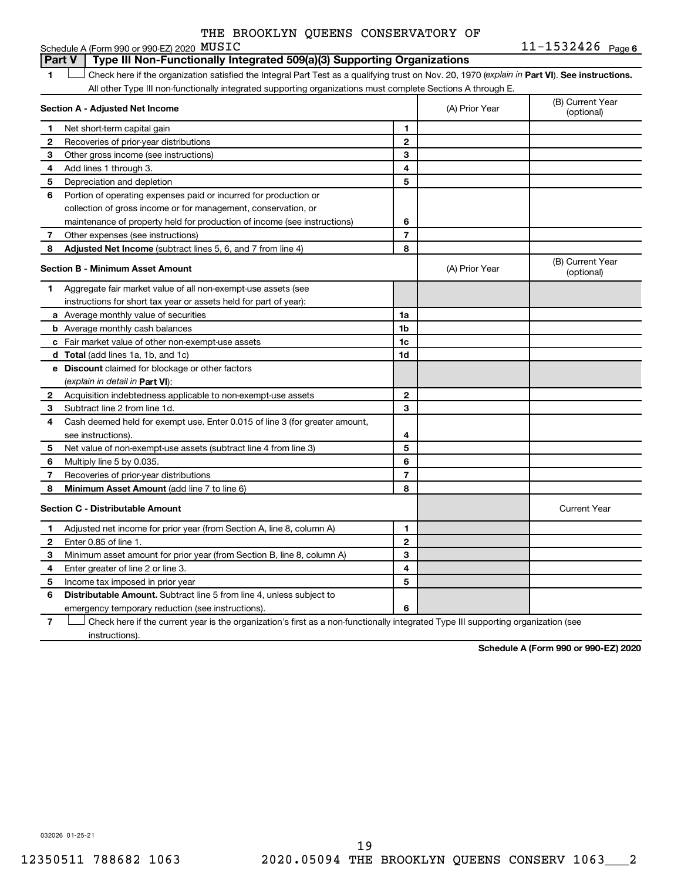| THE BROOKLYN QUEENS CONSERVATORY OF |  |  |
|-------------------------------------|--|--|
|-------------------------------------|--|--|

#### **MUSIC** 21-1532426 Page 6 1 **Letter See instructions.** Check here if the organization satisfied the Integral Part Test as a qualifying trust on Nov. 20, 1970 (*explain in* Part **VI**). See instructions. **Section A - Adjusted Net Income 1 2 3 4 5 6 7 8 1 2 3 4 5 6 7 Adjusted Net Income** (subtract lines 5, 6, and 7 from line 4) **8 8 Section B - Minimum Asset Amount 1 2 3 4 5 6 7 8 a** Average monthly value of securities **b** Average monthly cash balances **c** Fair market value of other non-exempt-use assets **d Total**  (add lines 1a, 1b, and 1c) **e Discount** claimed for blockage or other factors **1a 1b 1c 1d 2 3 4 5 6 7 8** (explain in detail in Part VI): **Minimum Asset Amount**  (add line 7 to line 6) **Section C - Distributable Amount 1 2 3 4 5 6 1 2 3 4 5 6** Distributable Amount. Subtract line 5 from line 4, unless subject to Schedule A (Form 990 or 990-EZ) 2020  $MUSTC$ All other Type III non-functionally integrated supporting organizations must complete Sections A through E. (B) Current Year (A) Prior Year Net short-term capital gain Recoveries of prior-year distributions Other gross income (see instructions) Add lines 1 through 3. Depreciation and depletion Portion of operating expenses paid or incurred for production or collection of gross income or for management, conservation, or maintenance of property held for production of income (see instructions) Other expenses (see instructions) (B) Current Year  $(A)$  Prior Year  $\left| \begin{array}{c} \sqrt{2} & \sqrt{2} \arctan \theta \\ \text{(optional)} & \text{(optional)} \end{array} \right|$ Aggregate fair market value of all non-exempt-use assets (see instructions for short tax year or assets held for part of year): Acquisition indebtedness applicable to non-exempt-use assets Subtract line 2 from line 1d. Cash deemed held for exempt use. Enter 0.015 of line 3 (for greater amount, see instructions). Net value of non-exempt-use assets (subtract line 4 from line 3) Multiply line 5 by 0.035. Recoveries of prior-year distributions Current Year Adjusted net income for prior year (from Section A, line 8, column A) Enter 0.85 of line 1. Minimum asset amount for prior year (from Section B, line 8, column A) Enter greater of line 2 or line 3. Income tax imposed in prior year emergency temporary reduction (see instructions). **Part V Type III Non-Functionally Integrated 509(a)(3) Supporting Organizations**

**7** Check here if the current year is the organization's first as a non-functionally integrated Type III supporting organization (see † instructions).

**Schedule A (Form 990 or 990-EZ) 2020**

032026 01-25-21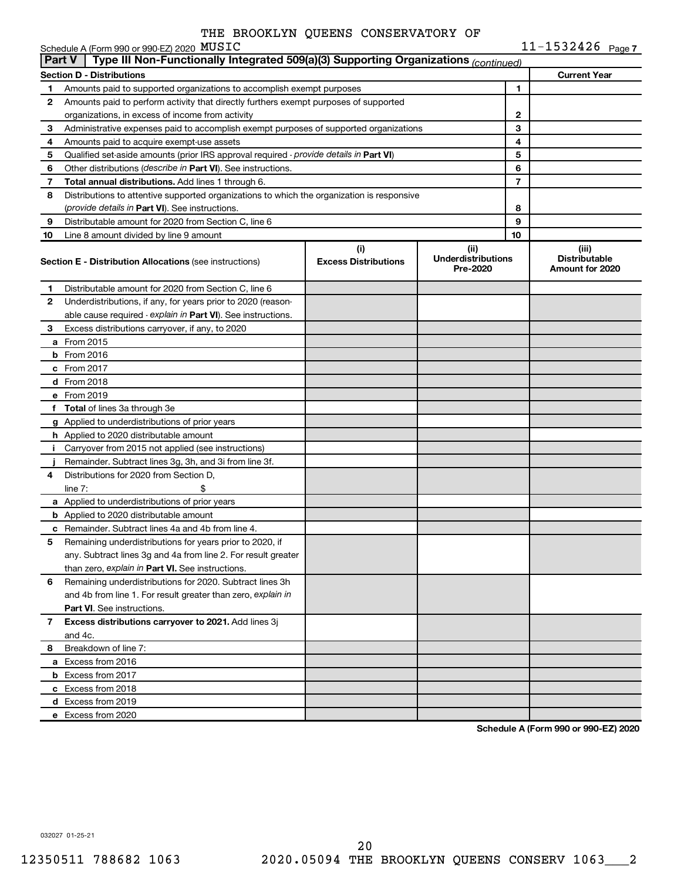|    | $11 - 1532426$ Page 7<br>Schedule A (Form 990 or 990-EZ) 2020 MUSIC                                  |                                    |                                               |              |                                                  |  |  |  |  |
|----|------------------------------------------------------------------------------------------------------|------------------------------------|-----------------------------------------------|--------------|--------------------------------------------------|--|--|--|--|
|    | Type III Non-Functionally Integrated 509(a)(3) Supporting Organizations (continued)<br><b>Part V</b> |                                    |                                               |              |                                                  |  |  |  |  |
|    | <b>Section D - Distributions</b>                                                                     |                                    |                                               |              | <b>Current Year</b>                              |  |  |  |  |
| 1  | Amounts paid to supported organizations to accomplish exempt purposes                                |                                    |                                               | 1            |                                                  |  |  |  |  |
| 2  | Amounts paid to perform activity that directly furthers exempt purposes of supported                 |                                    |                                               |              |                                                  |  |  |  |  |
|    | organizations, in excess of income from activity                                                     |                                    |                                               | $\mathbf{2}$ |                                                  |  |  |  |  |
| З  | Administrative expenses paid to accomplish exempt purposes of supported organizations                |                                    |                                               | 3            |                                                  |  |  |  |  |
| 4  | Amounts paid to acquire exempt-use assets                                                            |                                    |                                               | 4            |                                                  |  |  |  |  |
| 5  | Qualified set-aside amounts (prior IRS approval required - provide details in Part VI)               |                                    |                                               | 5            |                                                  |  |  |  |  |
| 6  | Other distributions ( <i>describe in Part VI</i> ). See instructions.                                |                                    |                                               | 6            |                                                  |  |  |  |  |
| 7  | Total annual distributions. Add lines 1 through 6.                                                   |                                    |                                               | 7            |                                                  |  |  |  |  |
| 8  | Distributions to attentive supported organizations to which the organization is responsive           |                                    |                                               |              |                                                  |  |  |  |  |
|    | (provide details in Part VI). See instructions.                                                      |                                    |                                               | 8            |                                                  |  |  |  |  |
| 9  | Distributable amount for 2020 from Section C, line 6                                                 |                                    |                                               | 9            |                                                  |  |  |  |  |
| 10 | Line 8 amount divided by line 9 amount                                                               |                                    |                                               | 10           |                                                  |  |  |  |  |
|    | <b>Section E - Distribution Allocations (see instructions)</b>                                       | (i)<br><b>Excess Distributions</b> | (ii)<br><b>Underdistributions</b><br>Pre-2020 |              | (iii)<br><b>Distributable</b><br>Amount for 2020 |  |  |  |  |
| 1. | Distributable amount for 2020 from Section C, line 6                                                 |                                    |                                               |              |                                                  |  |  |  |  |
| 2  | Underdistributions, if any, for years prior to 2020 (reason-                                         |                                    |                                               |              |                                                  |  |  |  |  |
|    | able cause required - explain in Part VI). See instructions.                                         |                                    |                                               |              |                                                  |  |  |  |  |
| 3  | Excess distributions carryover, if any, to 2020                                                      |                                    |                                               |              |                                                  |  |  |  |  |
|    | <b>a</b> From 2015                                                                                   |                                    |                                               |              |                                                  |  |  |  |  |
|    | $b$ From 2016                                                                                        |                                    |                                               |              |                                                  |  |  |  |  |
|    | c From 2017                                                                                          |                                    |                                               |              |                                                  |  |  |  |  |
|    | <b>d</b> From 2018                                                                                   |                                    |                                               |              |                                                  |  |  |  |  |
|    | e From 2019                                                                                          |                                    |                                               |              |                                                  |  |  |  |  |
|    | f Total of lines 3a through 3e                                                                       |                                    |                                               |              |                                                  |  |  |  |  |
|    | <b>g</b> Applied to underdistributions of prior years                                                |                                    |                                               |              |                                                  |  |  |  |  |
|    | <b>h</b> Applied to 2020 distributable amount                                                        |                                    |                                               |              |                                                  |  |  |  |  |
| Ť. | Carryover from 2015 not applied (see instructions)                                                   |                                    |                                               |              |                                                  |  |  |  |  |
|    | Remainder. Subtract lines 3g, 3h, and 3i from line 3f.                                               |                                    |                                               |              |                                                  |  |  |  |  |
| 4  | Distributions for 2020 from Section D.                                                               |                                    |                                               |              |                                                  |  |  |  |  |
|    | line $7:$                                                                                            |                                    |                                               |              |                                                  |  |  |  |  |
|    | a Applied to underdistributions of prior years                                                       |                                    |                                               |              |                                                  |  |  |  |  |
|    | <b>b</b> Applied to 2020 distributable amount                                                        |                                    |                                               |              |                                                  |  |  |  |  |
|    | <b>c</b> Remainder. Subtract lines 4a and 4b from line 4.                                            |                                    |                                               |              |                                                  |  |  |  |  |
| 5  | Remaining underdistributions for years prior to 2020, if                                             |                                    |                                               |              |                                                  |  |  |  |  |
|    | any. Subtract lines 3g and 4a from line 2. For result greater                                        |                                    |                                               |              |                                                  |  |  |  |  |
|    | than zero, explain in Part VI. See instructions.                                                     |                                    |                                               |              |                                                  |  |  |  |  |
| 6  | Remaining underdistributions for 2020. Subtract lines 3h                                             |                                    |                                               |              |                                                  |  |  |  |  |
|    | and 4b from line 1. For result greater than zero, explain in                                         |                                    |                                               |              |                                                  |  |  |  |  |
|    | <b>Part VI.</b> See instructions.                                                                    |                                    |                                               |              |                                                  |  |  |  |  |
| 7  | Excess distributions carryover to 2021. Add lines 3j                                                 |                                    |                                               |              |                                                  |  |  |  |  |
|    | and 4c.                                                                                              |                                    |                                               |              |                                                  |  |  |  |  |
| 8  | Breakdown of line 7:                                                                                 |                                    |                                               |              |                                                  |  |  |  |  |
|    | a Excess from 2016                                                                                   |                                    |                                               |              |                                                  |  |  |  |  |
|    | <b>b</b> Excess from 2017                                                                            |                                    |                                               |              |                                                  |  |  |  |  |
|    | c Excess from 2018                                                                                   |                                    |                                               |              |                                                  |  |  |  |  |
|    | d Excess from 2019                                                                                   |                                    |                                               |              |                                                  |  |  |  |  |
|    | e Excess from 2020                                                                                   |                                    |                                               |              |                                                  |  |  |  |  |
|    |                                                                                                      |                                    |                                               |              |                                                  |  |  |  |  |

**Schedule A (Form 990 or 990-EZ) 2020**

032027 01-25-21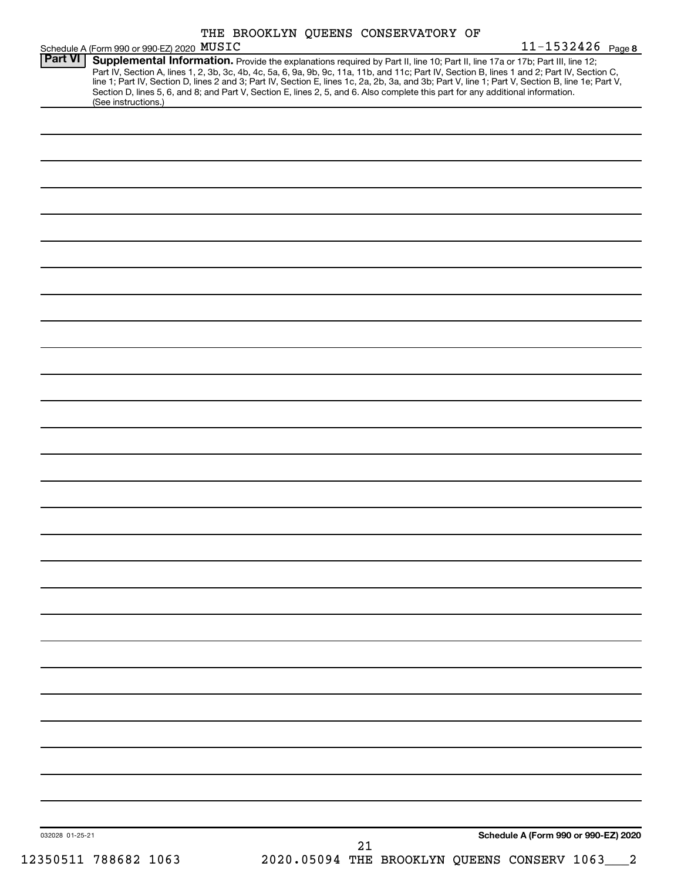|                | Schedule A (Form 990 or 990-EZ) 2020 MUSIC                                                                                                             |  | THE BROOKLYN QUEENS CONSERVATORY OF | 11-1532426 Page 8                                                                                                                                                                                                                                                                                                                                                                                                                 |
|----------------|--------------------------------------------------------------------------------------------------------------------------------------------------------|--|-------------------------------------|-----------------------------------------------------------------------------------------------------------------------------------------------------------------------------------------------------------------------------------------------------------------------------------------------------------------------------------------------------------------------------------------------------------------------------------|
| <b>Part VI</b> | Section D, lines 5, 6, and 8; and Part V, Section E, lines 2, 5, and 6. Also complete this part for any additional information.<br>(See instructions.) |  |                                     | Supplemental Information. Provide the explanations required by Part II, line 10; Part II, line 17a or 17b; Part III, line 12;<br>Part IV, Section A, lines 1, 2, 3b, 3c, 4b, 4c, 5a, 6, 9a, 9b, 9c, 11a, 11b, and 11c; Part IV, Section B, lines 1 and 2; Part IV, Section C,<br>line 1; Part IV, Section D, lines 2 and 3; Part IV, Section E, lines 1c, 2a, 2b, 3a, and 3b; Part V, line 1; Part V, Section B, line 1e; Part V, |
|                |                                                                                                                                                        |  |                                     |                                                                                                                                                                                                                                                                                                                                                                                                                                   |
|                |                                                                                                                                                        |  |                                     |                                                                                                                                                                                                                                                                                                                                                                                                                                   |
|                |                                                                                                                                                        |  |                                     |                                                                                                                                                                                                                                                                                                                                                                                                                                   |
|                |                                                                                                                                                        |  |                                     |                                                                                                                                                                                                                                                                                                                                                                                                                                   |
|                |                                                                                                                                                        |  |                                     |                                                                                                                                                                                                                                                                                                                                                                                                                                   |
|                |                                                                                                                                                        |  |                                     |                                                                                                                                                                                                                                                                                                                                                                                                                                   |
|                |                                                                                                                                                        |  |                                     |                                                                                                                                                                                                                                                                                                                                                                                                                                   |
|                |                                                                                                                                                        |  |                                     |                                                                                                                                                                                                                                                                                                                                                                                                                                   |
|                |                                                                                                                                                        |  |                                     |                                                                                                                                                                                                                                                                                                                                                                                                                                   |
|                |                                                                                                                                                        |  |                                     |                                                                                                                                                                                                                                                                                                                                                                                                                                   |
|                |                                                                                                                                                        |  |                                     |                                                                                                                                                                                                                                                                                                                                                                                                                                   |
|                |                                                                                                                                                        |  |                                     |                                                                                                                                                                                                                                                                                                                                                                                                                                   |
|                |                                                                                                                                                        |  |                                     |                                                                                                                                                                                                                                                                                                                                                                                                                                   |
|                |                                                                                                                                                        |  |                                     |                                                                                                                                                                                                                                                                                                                                                                                                                                   |
|                |                                                                                                                                                        |  |                                     |                                                                                                                                                                                                                                                                                                                                                                                                                                   |
|                |                                                                                                                                                        |  |                                     |                                                                                                                                                                                                                                                                                                                                                                                                                                   |
|                |                                                                                                                                                        |  |                                     |                                                                                                                                                                                                                                                                                                                                                                                                                                   |
|                |                                                                                                                                                        |  |                                     |                                                                                                                                                                                                                                                                                                                                                                                                                                   |
|                |                                                                                                                                                        |  |                                     |                                                                                                                                                                                                                                                                                                                                                                                                                                   |
|                |                                                                                                                                                        |  |                                     |                                                                                                                                                                                                                                                                                                                                                                                                                                   |
|                |                                                                                                                                                        |  |                                     |                                                                                                                                                                                                                                                                                                                                                                                                                                   |
|                |                                                                                                                                                        |  |                                     |                                                                                                                                                                                                                                                                                                                                                                                                                                   |
|                |                                                                                                                                                        |  |                                     |                                                                                                                                                                                                                                                                                                                                                                                                                                   |
|                |                                                                                                                                                        |  |                                     |                                                                                                                                                                                                                                                                                                                                                                                                                                   |
|                |                                                                                                                                                        |  |                                     |                                                                                                                                                                                                                                                                                                                                                                                                                                   |

12350511 788682 1063 2020.05094 THE BROOKLYN QUEENS CONSERV 1063\_\_\_2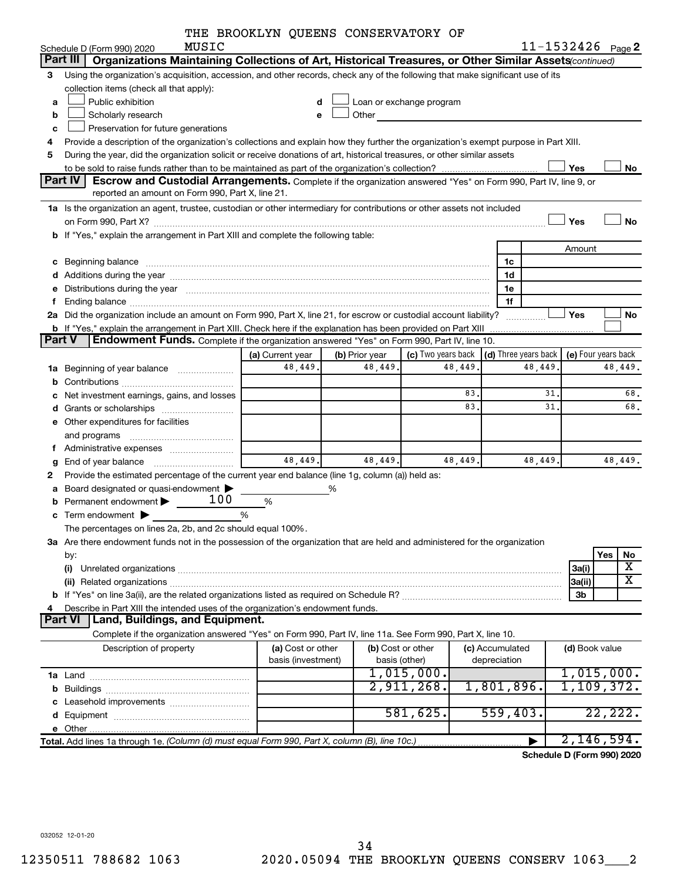|  |  |  | THE BROOKLYN QUEENS CONSERVATORY OF |  |
|--|--|--|-------------------------------------|--|
|--|--|--|-------------------------------------|--|

|               |                                                                                                                                                                                                                                | THE BROOKLYN QUEENS CONSERVATORY OF |                |                          |         |                                                         |                |                         |
|---------------|--------------------------------------------------------------------------------------------------------------------------------------------------------------------------------------------------------------------------------|-------------------------------------|----------------|--------------------------|---------|---------------------------------------------------------|----------------|-------------------------|
|               | MUSIC<br>Schedule D (Form 990) 2020                                                                                                                                                                                            |                                     |                |                          |         |                                                         |                | $11 - 1532426$ Page 2   |
|               | Organizations Maintaining Collections of Art, Historical Treasures, or Other Similar Assets(continued)<br>Part III                                                                                                             |                                     |                |                          |         |                                                         |                |                         |
| 3             | Using the organization's acquisition, accession, and other records, check any of the following that make significant use of its                                                                                                |                                     |                |                          |         |                                                         |                |                         |
|               | collection items (check all that apply):                                                                                                                                                                                       |                                     |                |                          |         |                                                         |                |                         |
| а             | Public exhibition                                                                                                                                                                                                              | d                                   |                | Loan or exchange program |         |                                                         |                |                         |
| b             | Scholarly research                                                                                                                                                                                                             | e                                   | Other          |                          |         |                                                         |                |                         |
| с             | Preservation for future generations                                                                                                                                                                                            |                                     |                |                          |         |                                                         |                |                         |
| 4             | Provide a description of the organization's collections and explain how they further the organization's exempt purpose in Part XIII.                                                                                           |                                     |                |                          |         |                                                         |                |                         |
| 5             | During the year, did the organization solicit or receive donations of art, historical treasures, or other similar assets                                                                                                       |                                     |                |                          |         |                                                         |                |                         |
|               |                                                                                                                                                                                                                                |                                     |                |                          |         |                                                         | Yes            | No                      |
|               | Part IV   Escrow and Custodial Arrangements. Complete if the organization answered "Yes" on Form 990, Part IV, line 9, or                                                                                                      |                                     |                |                          |         |                                                         |                |                         |
|               | reported an amount on Form 990, Part X, line 21.                                                                                                                                                                               |                                     |                |                          |         |                                                         |                |                         |
|               | 1a Is the organization an agent, trustee, custodian or other intermediary for contributions or other assets not included                                                                                                       |                                     |                |                          |         |                                                         |                |                         |
|               | on Form 990, Part X? [2000] [2000] [2000] [2010] [2010] [2010] [3000] [3000] [3000] [3000] [3000] [3000] [3000                                                                                                                 |                                     |                |                          |         |                                                         | Yes            | <b>No</b>               |
|               | b If "Yes," explain the arrangement in Part XIII and complete the following table:                                                                                                                                             |                                     |                |                          |         |                                                         |                |                         |
|               |                                                                                                                                                                                                                                |                                     |                |                          |         |                                                         | Amount         |                         |
|               |                                                                                                                                                                                                                                |                                     |                |                          |         |                                                         |                |                         |
| с             | Beginning balance measurements and the contract of the contract of the contract of the contract of the contract of the contract of the contract of the contract of the contract of the contract of the contract of the contrac |                                     |                |                          |         | 1c                                                      |                |                         |
|               |                                                                                                                                                                                                                                |                                     |                |                          |         | 1d                                                      |                |                         |
| е             | Distributions during the year manufactured and an account of the year manufactured and the year manufactured and the year manufactured and the year manufactured and the year manufactured and the year manufactured and the y |                                     |                |                          |         | 1e                                                      |                |                         |
| f.            |                                                                                                                                                                                                                                |                                     |                |                          |         | 1f                                                      |                |                         |
|               | 2a Did the organization include an amount on Form 990, Part X, line 21, for escrow or custodial account liability?                                                                                                             |                                     |                |                          |         | .                                                       | Yes            | No                      |
|               | <b>b</b> If "Yes," explain the arrangement in Part XIII. Check here if the explanation has been provided on Part XIII                                                                                                          |                                     |                |                          |         |                                                         |                |                         |
| <b>Part V</b> | <b>Endowment Funds.</b> Complete if the organization answered "Yes" on Form 990, Part IV, line 10.                                                                                                                             |                                     |                |                          |         |                                                         |                |                         |
|               |                                                                                                                                                                                                                                | (a) Current year                    | (b) Prior year |                          |         | (c) Two years back $\vert$ (d) Three years back $\vert$ |                | (e) Four years back     |
|               | 1a Beginning of year balance                                                                                                                                                                                                   | 48,449.                             | 48,449.        | 48,449.                  |         | 48,449.                                                 |                | 48,449.                 |
| b             |                                                                                                                                                                                                                                |                                     |                |                          |         |                                                         |                |                         |
| с             | Net investment earnings, gains, and losses                                                                                                                                                                                     |                                     |                |                          | 83.     | 31                                                      |                | 68.                     |
| d             |                                                                                                                                                                                                                                |                                     |                |                          | 83.     | 31                                                      |                | 68.                     |
|               | e Other expenditures for facilities                                                                                                                                                                                            |                                     |                |                          |         |                                                         |                |                         |
|               |                                                                                                                                                                                                                                |                                     |                |                          |         |                                                         |                |                         |
|               |                                                                                                                                                                                                                                |                                     |                |                          |         |                                                         |                |                         |
| g             |                                                                                                                                                                                                                                | 48,449.                             | 48,449.        |                          | 48,449. | 48,449.                                                 |                | 48,449.                 |
| 2             | Provide the estimated percentage of the current year end balance (line 1g, column (a)) held as:                                                                                                                                |                                     |                |                          |         |                                                         |                |                         |
| а             | Board designated or quasi-endowment                                                                                                                                                                                            |                                     | %              |                          |         |                                                         |                |                         |
| b             | 100<br>Permanent endowment >                                                                                                                                                                                                   | %                                   |                |                          |         |                                                         |                |                         |
| с             | Term endowment $\blacktriangleright$                                                                                                                                                                                           | %                                   |                |                          |         |                                                         |                |                         |
|               | The percentages on lines 2a, 2b, and 2c should equal 100%                                                                                                                                                                      |                                     |                |                          |         |                                                         |                |                         |
|               | 3a Are there endowment funds not in the possession of the organization that are held and administered for the organization                                                                                                     |                                     |                |                          |         |                                                         |                |                         |
|               | by:                                                                                                                                                                                                                            |                                     |                |                          |         |                                                         |                | Yes<br>No               |
|               |                                                                                                                                                                                                                                |                                     |                |                          |         |                                                         |                | х                       |
|               | (i)                                                                                                                                                                                                                            |                                     |                |                          |         |                                                         | 3a(i)          | $\overline{\mathbf{X}}$ |
|               |                                                                                                                                                                                                                                |                                     |                |                          |         |                                                         | 3a(ii)         |                         |
|               |                                                                                                                                                                                                                                |                                     |                |                          |         |                                                         | 3b             |                         |
| 4             | Describe in Part XIII the intended uses of the organization's endowment funds.                                                                                                                                                 |                                     |                |                          |         |                                                         |                |                         |
|               | Land, Buildings, and Equipment.<br><b>Part VI</b>                                                                                                                                                                              |                                     |                |                          |         |                                                         |                |                         |
|               | Complete if the organization answered "Yes" on Form 990, Part IV, line 11a. See Form 990, Part X, line 10.                                                                                                                     |                                     |                |                          |         |                                                         |                |                         |
|               | Description of property                                                                                                                                                                                                        | (a) Cost or other                   |                | (b) Cost or other        |         | (c) Accumulated                                         | (d) Book value |                         |
|               |                                                                                                                                                                                                                                | basis (investment)                  |                | basis (other)            |         | depreciation                                            |                |                         |
|               |                                                                                                                                                                                                                                |                                     |                | 1,015,000.               |         |                                                         |                | 1,015,000.              |
| b             |                                                                                                                                                                                                                                |                                     |                | 2,911,268.               |         | 1,801,896.                                              |                | 1,109,372.              |
|               |                                                                                                                                                                                                                                |                                     |                |                          |         |                                                         |                |                         |
|               |                                                                                                                                                                                                                                |                                     |                | 581,625.                 |         | 559,403.                                                |                | 22, 222.                |
|               |                                                                                                                                                                                                                                |                                     |                |                          |         |                                                         |                |                         |
|               | Total. Add lines 1a through 1e. (Column (d) must equal Form 990, Part X, column (B), line 10c.)                                                                                                                                |                                     |                |                          |         |                                                         |                | 2,146,594.              |

**Schedule D (Form 990) 2020**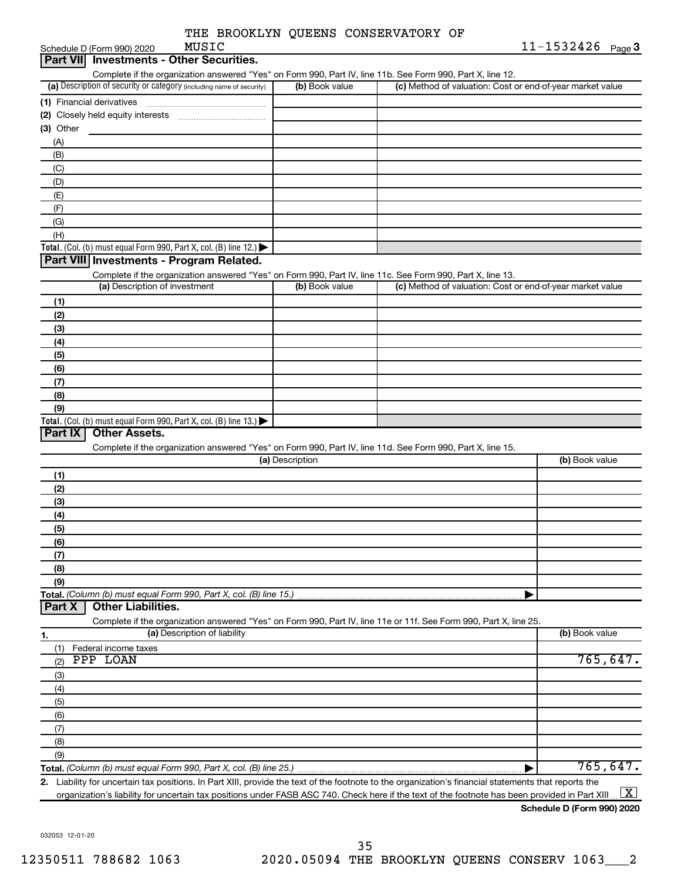| THE BROOKLYN QUEENS CONSERVATORY OF |  |
|-------------------------------------|--|
|-------------------------------------|--|

| MUSIC<br>Schedule D (Form 990) 2020                                                                               |                 |                                                           | $11 - 1532426$ Page 3 |
|-------------------------------------------------------------------------------------------------------------------|-----------------|-----------------------------------------------------------|-----------------------|
| Part VII Investments - Other Securities.                                                                          |                 |                                                           |                       |
| Complete if the organization answered "Yes" on Form 990, Part IV, line 11b. See Form 990, Part X, line 12.        |                 |                                                           |                       |
| (a) Description of security or category (including name of security)                                              | (b) Book value  | (c) Method of valuation: Cost or end-of-year market value |                       |
|                                                                                                                   |                 |                                                           |                       |
|                                                                                                                   |                 |                                                           |                       |
| (3) Other                                                                                                         |                 |                                                           |                       |
| (A)                                                                                                               |                 |                                                           |                       |
| (B)                                                                                                               |                 |                                                           |                       |
| (C)                                                                                                               |                 |                                                           |                       |
| (D)                                                                                                               |                 |                                                           |                       |
| (E)                                                                                                               |                 |                                                           |                       |
| (F)                                                                                                               |                 |                                                           |                       |
| (G)                                                                                                               |                 |                                                           |                       |
| (H)                                                                                                               |                 |                                                           |                       |
| Total. (Col. (b) must equal Form 990, Part X, col. (B) line 12.)                                                  |                 |                                                           |                       |
| Part VIII Investments - Program Related.                                                                          |                 |                                                           |                       |
| Complete if the organization answered "Yes" on Form 990, Part IV, line 11c. See Form 990, Part X, line 13.        |                 |                                                           |                       |
| (a) Description of investment                                                                                     | (b) Book value  | (c) Method of valuation: Cost or end-of-year market value |                       |
| (1)                                                                                                               |                 |                                                           |                       |
| (2)                                                                                                               |                 |                                                           |                       |
| (3)                                                                                                               |                 |                                                           |                       |
| (4)                                                                                                               |                 |                                                           |                       |
| (5)                                                                                                               |                 |                                                           |                       |
| (6)                                                                                                               |                 |                                                           |                       |
| (7)                                                                                                               |                 |                                                           |                       |
| (8)                                                                                                               |                 |                                                           |                       |
| (9)                                                                                                               |                 |                                                           |                       |
| Total. (Col. (b) must equal Form 990, Part X, col. (B) line 13.)                                                  |                 |                                                           |                       |
| Part IX<br><b>Other Assets.</b>                                                                                   |                 |                                                           |                       |
| Complete if the organization answered "Yes" on Form 990, Part IV, line 11d. See Form 990, Part X, line 15.        |                 |                                                           |                       |
|                                                                                                                   | (a) Description |                                                           | (b) Book value        |
| (1)                                                                                                               |                 |                                                           |                       |
| (2)                                                                                                               |                 |                                                           |                       |
| (3)                                                                                                               |                 |                                                           |                       |
| (4)                                                                                                               |                 |                                                           |                       |
| (5)                                                                                                               |                 |                                                           |                       |
| (6)                                                                                                               |                 |                                                           |                       |
| (7)                                                                                                               |                 |                                                           |                       |
| (8)                                                                                                               |                 |                                                           |                       |
| (9)                                                                                                               |                 |                                                           |                       |
| Total. (Column (b) must equal Form 990, Part X, col. (B) line 15.)                                                |                 |                                                           |                       |
| <b>Other Liabilities.</b><br>Part X                                                                               |                 |                                                           |                       |
| Complete if the organization answered "Yes" on Form 990, Part IV, line 11e or 11f. See Form 990, Part X, line 25. |                 |                                                           |                       |
| (a) Description of liability<br><u>1.</u>                                                                         |                 |                                                           | (b) Book value        |
| Federal income taxes<br>(1)                                                                                       |                 |                                                           |                       |
| PPP LOAN<br>(2)                                                                                                   |                 |                                                           | 765, 647.             |
| (3)                                                                                                               |                 |                                                           |                       |
|                                                                                                                   |                 |                                                           |                       |
| (4)                                                                                                               |                 |                                                           |                       |
| (5)                                                                                                               |                 |                                                           |                       |
| (6)                                                                                                               |                 |                                                           |                       |
| (7)                                                                                                               |                 |                                                           |                       |
| (8)                                                                                                               |                 |                                                           |                       |
| (9)                                                                                                               |                 |                                                           | 765, 647.             |
| Total. (Column (b) must equal Form 990, Part X, col. (B) line 25.)                                                |                 | ▶                                                         |                       |

**2.** Liability for uncertain tax positions. In Part XIII, provide the text of the footnote to the organization's financial statements that reports the organization's liability for uncertain tax positions under FASB ASC 740. Check here if the text of the footnote has been provided in Part XIII ...  $\fbox{\bf X}$ 

### **Schedule D (Form 990) 2020**

032053 12-01-20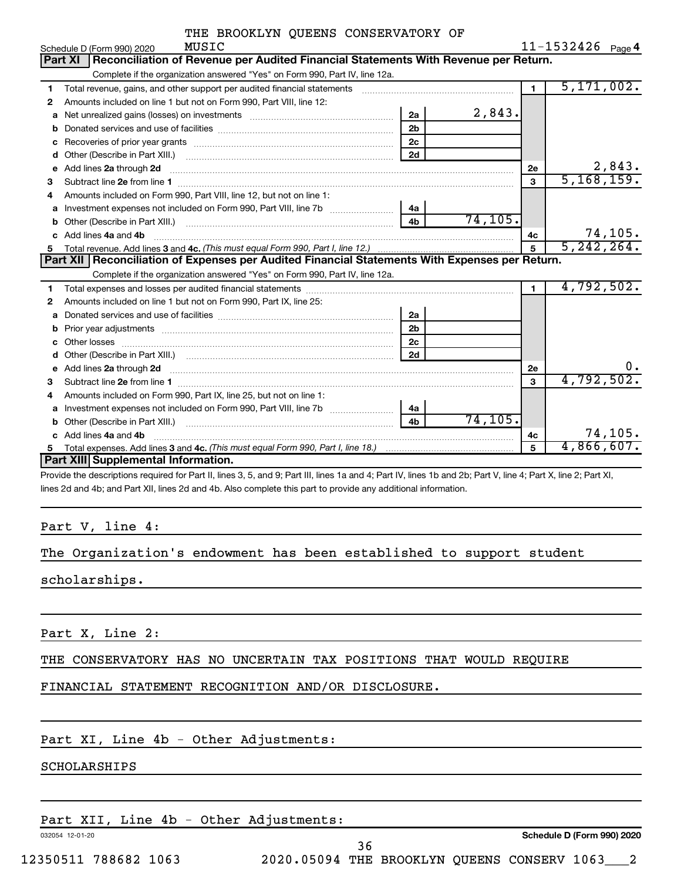| THE BROOKLYN QUEENS CONSERVATORY OF |  |  |  |  |  |
|-------------------------------------|--|--|--|--|--|
|-------------------------------------|--|--|--|--|--|

|    | MUSIC<br>Schedule D (Form 990) 2020                                                                                                                                                                                                |                |          |                | $11 - 1532426$ Page 4 |
|----|------------------------------------------------------------------------------------------------------------------------------------------------------------------------------------------------------------------------------------|----------------|----------|----------------|-----------------------|
|    | Reconciliation of Revenue per Audited Financial Statements With Revenue per Return.<br><b>Part XI</b>                                                                                                                              |                |          |                |                       |
|    | Complete if the organization answered "Yes" on Form 990, Part IV, line 12a.                                                                                                                                                        |                |          |                |                       |
| 1  | Total revenue, gains, and other support per audited financial statements [111] [11] Total revenue, gains, and other support per audited financial statements                                                                       |                |          | $\blacksquare$ | 5, 171, 002.          |
| 2  | Amounts included on line 1 but not on Form 990, Part VIII, line 12:                                                                                                                                                                |                |          |                |                       |
| a  | Net unrealized gains (losses) on investments [11] matter contracts and the unrealized gains (losses) on investments                                                                                                                | 2a             | 2,843.   |                |                       |
|    |                                                                                                                                                                                                                                    | 2 <sub>b</sub> |          |                |                       |
| с  |                                                                                                                                                                                                                                    | 2 <sub>c</sub> |          |                |                       |
| d  |                                                                                                                                                                                                                                    | 2d             |          |                |                       |
| е  |                                                                                                                                                                                                                                    |                |          | 2е             | 2,843.                |
| 3  |                                                                                                                                                                                                                                    |                |          | 3              | 5, 168, 159.          |
| 4  | Amounts included on Form 990, Part VIII, line 12, but not on line 1:                                                                                                                                                               |                |          |                |                       |
| a  | Investment expenses not included on Form 990, Part VIII, line 7b [100] [100] [100] [100] [100] [100] [100] [10                                                                                                                     | 4a             |          |                |                       |
| b  |                                                                                                                                                                                                                                    | 4 <sub>h</sub> | 74, 105. |                |                       |
| c. | Add lines 4a and 4b                                                                                                                                                                                                                |                |          | 4c             | 74, 105.              |
| 5  |                                                                                                                                                                                                                                    |                |          | 5              | 5, 242, 264.          |
|    | Part XII   Reconciliation of Expenses per Audited Financial Statements With Expenses per Return.                                                                                                                                   |                |          |                |                       |
|    |                                                                                                                                                                                                                                    |                |          |                |                       |
|    | Complete if the organization answered "Yes" on Form 990, Part IV, line 12a.                                                                                                                                                        |                |          |                |                       |
| 1  |                                                                                                                                                                                                                                    |                |          | $\blacksquare$ | 4,792,502.            |
| 2  | Amounts included on line 1 but not on Form 990, Part IX, line 25:                                                                                                                                                                  |                |          |                |                       |
| a  |                                                                                                                                                                                                                                    | 2a             |          |                |                       |
| b  |                                                                                                                                                                                                                                    | 2 <sub>b</sub> |          |                |                       |
|    |                                                                                                                                                                                                                                    | 2 <sub>c</sub> |          |                |                       |
|    |                                                                                                                                                                                                                                    | 2d             |          |                |                       |
| е  | Add lines 2a through 2d <b>[10]</b> University of the contract of the state of the contract of the contract of the contract of the contract of the contract of the contract of the contract of the contract of the contract of the |                |          | 2е             | ο.                    |
| 3  |                                                                                                                                                                                                                                    |                |          | 3              | 4,792,502.            |
| 4  | Amounts included on Form 990, Part IX, line 25, but not on line 1:                                                                                                                                                                 |                |          |                |                       |
| a  |                                                                                                                                                                                                                                    | 4a             |          |                |                       |
|    |                                                                                                                                                                                                                                    | 4 <sub>h</sub> | 74, 105. |                |                       |
|    | Add lines 4a and 4b                                                                                                                                                                                                                |                |          | 4с             | 74,105.               |
| 5  | Part XIII Supplemental Information.                                                                                                                                                                                                |                |          | 5              | 4,866,607.            |

Provide the descriptions required for Part II, lines 3, 5, and 9; Part III, lines 1a and 4; Part IV, lines 1b and 2b; Part V, line 4; Part X, line 2; Part XI, lines 2d and 4b; and Part XII, lines 2d and 4b. Also complete this part to provide any additional information.

## Part V, line 4:

The Organization's endowment has been established to support student

scholarships.

Part X, Line 2:

THE CONSERVATORY HAS NO UNCERTAIN TAX POSITIONS THAT WOULD REQUIRE

FINANCIAL STATEMENT RECOGNITION AND/OR DISCLOSURE.

Part XI, Line 4b - Other Adjustments:

#### SCHOLARSHIPS

Part XII, Line 4b - Other Adjustments:

032054 12-01-20

**Schedule D (Form 990) 2020**

36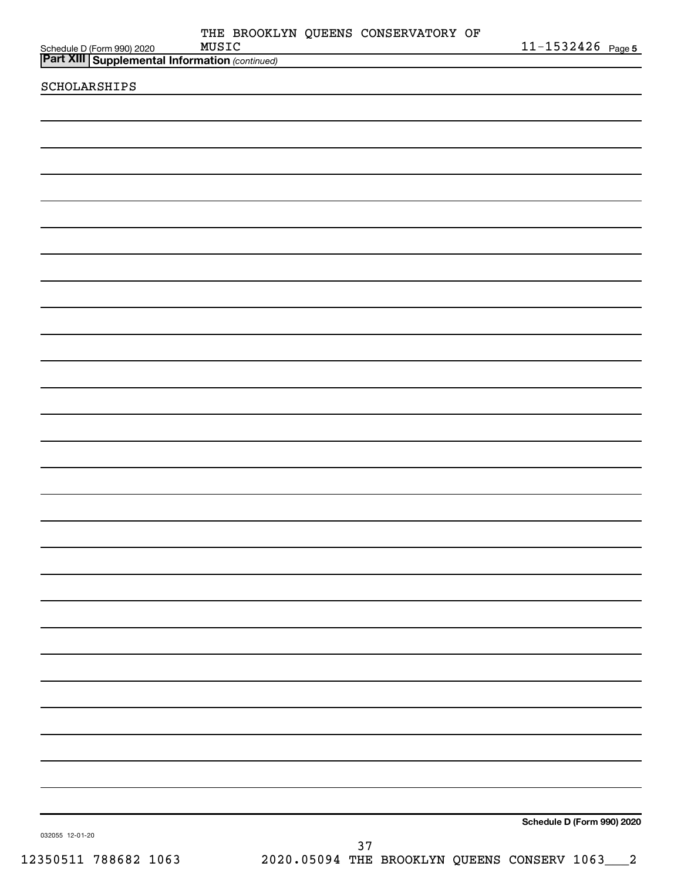| Schedule D (Form 990) 2020 MUSIC<br><b>Part XIII   Supplemental Information</b> (continued) |    |  | $11 - 1532426$ Page 5                           |  |
|---------------------------------------------------------------------------------------------|----|--|-------------------------------------------------|--|
|                                                                                             |    |  |                                                 |  |
| SCHOLARSHIPS                                                                                |    |  |                                                 |  |
|                                                                                             |    |  |                                                 |  |
|                                                                                             |    |  |                                                 |  |
|                                                                                             |    |  |                                                 |  |
|                                                                                             |    |  |                                                 |  |
|                                                                                             |    |  |                                                 |  |
|                                                                                             |    |  |                                                 |  |
|                                                                                             |    |  |                                                 |  |
|                                                                                             |    |  |                                                 |  |
|                                                                                             |    |  |                                                 |  |
|                                                                                             |    |  |                                                 |  |
|                                                                                             |    |  |                                                 |  |
|                                                                                             |    |  |                                                 |  |
|                                                                                             |    |  |                                                 |  |
|                                                                                             |    |  |                                                 |  |
|                                                                                             |    |  |                                                 |  |
|                                                                                             |    |  |                                                 |  |
|                                                                                             |    |  |                                                 |  |
|                                                                                             |    |  |                                                 |  |
|                                                                                             |    |  |                                                 |  |
|                                                                                             |    |  |                                                 |  |
|                                                                                             |    |  |                                                 |  |
|                                                                                             |    |  |                                                 |  |
|                                                                                             |    |  |                                                 |  |
|                                                                                             |    |  |                                                 |  |
|                                                                                             |    |  |                                                 |  |
|                                                                                             |    |  |                                                 |  |
|                                                                                             |    |  |                                                 |  |
|                                                                                             |    |  |                                                 |  |
|                                                                                             |    |  |                                                 |  |
|                                                                                             |    |  |                                                 |  |
|                                                                                             |    |  |                                                 |  |
|                                                                                             |    |  |                                                 |  |
|                                                                                             |    |  |                                                 |  |
|                                                                                             |    |  |                                                 |  |
|                                                                                             |    |  |                                                 |  |
|                                                                                             |    |  |                                                 |  |
|                                                                                             |    |  |                                                 |  |
|                                                                                             |    |  |                                                 |  |
|                                                                                             |    |  |                                                 |  |
|                                                                                             |    |  |                                                 |  |
|                                                                                             |    |  |                                                 |  |
|                                                                                             |    |  |                                                 |  |
|                                                                                             |    |  |                                                 |  |
|                                                                                             |    |  |                                                 |  |
| 032055 12-01-20                                                                             |    |  | Schedule D (Form 990) 2020                      |  |
|                                                                                             | 37 |  |                                                 |  |
| 12350511 788682 1063                                                                        |    |  | 2020.05094 THE BROOKLYN QUEENS CONSERV 1063___2 |  |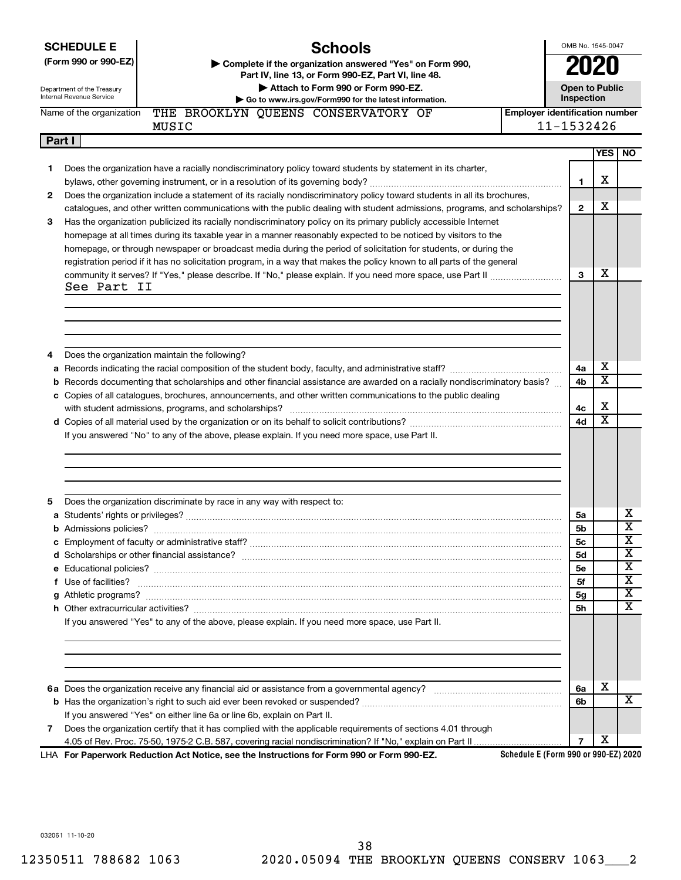|        | <b>SCHEDULE E</b>             | <b>Schools</b>                                                                                                                                                                                                                     |                                       | OMB No. 1545-0047     |                       |                         |
|--------|-------------------------------|------------------------------------------------------------------------------------------------------------------------------------------------------------------------------------------------------------------------------------|---------------------------------------|-----------------------|-----------------------|-------------------------|
|        | (Form 990 or 990-EZ)          | Complete if the organization answered "Yes" on Form 990,<br>Part IV, line 13, or Form 990-EZ, Part VI, line 48.                                                                                                                    |                                       |                       |                       |                         |
|        | Department of the Treasury    | Attach to Form 990 or Form 990-EZ.                                                                                                                                                                                                 |                                       | <b>Open to Public</b> |                       |                         |
|        | Internal Revenue Service      | Go to www.irs.gov/Form990 for the latest information.                                                                                                                                                                              |                                       | Inspection            |                       |                         |
|        | Name of the organization      | THE BROOKLYN QUEENS CONSERVATORY OF                                                                                                                                                                                                | <b>Employer identification number</b> |                       |                       |                         |
|        |                               | MUSIC                                                                                                                                                                                                                              |                                       | 11-1532426            |                       |                         |
| Part I |                               |                                                                                                                                                                                                                                    |                                       |                       |                       |                         |
|        |                               | Does the organization have a racially nondiscriminatory policy toward students by statement in its charter,                                                                                                                        |                                       |                       | <b>YES</b>            | NO.                     |
| 1      |                               |                                                                                                                                                                                                                                    |                                       | $\mathbf{1}$          | х                     |                         |
| 2      |                               | Does the organization include a statement of its racially nondiscriminatory policy toward students in all its brochures,                                                                                                           |                                       |                       |                       |                         |
|        |                               | catalogues, and other written communications with the public dealing with student admissions, programs, and scholarships?                                                                                                          |                                       | $\mathbf{2}$          | х                     |                         |
| з      |                               | Has the organization publicized its racially nondiscriminatory policy on its primary publicly accessible Internet                                                                                                                  |                                       |                       |                       |                         |
|        |                               | homepage at all times during its taxable year in a manner reasonably expected to be noticed by visitors to the                                                                                                                     |                                       |                       |                       |                         |
|        |                               | homepage, or through newspaper or broadcast media during the period of solicitation for students, or during the                                                                                                                    |                                       |                       |                       |                         |
|        |                               | registration period if it has no solicitation program, in a way that makes the policy known to all parts of the general                                                                                                            |                                       |                       |                       |                         |
|        |                               |                                                                                                                                                                                                                                    |                                       | 3                     | X                     |                         |
|        | See Part II                   |                                                                                                                                                                                                                                    |                                       |                       |                       |                         |
|        |                               |                                                                                                                                                                                                                                    |                                       |                       |                       |                         |
|        |                               |                                                                                                                                                                                                                                    |                                       |                       |                       |                         |
|        |                               |                                                                                                                                                                                                                                    |                                       |                       |                       |                         |
|        |                               |                                                                                                                                                                                                                                    |                                       |                       |                       |                         |
| 4      |                               | Does the organization maintain the following?                                                                                                                                                                                      |                                       |                       |                       |                         |
|        |                               |                                                                                                                                                                                                                                    |                                       | 4a                    | X                     |                         |
|        |                               | b Records documenting that scholarships and other financial assistance are awarded on a racially nondiscriminatory basis?                                                                                                          |                                       | 4b                    | $\overline{\text{x}}$ |                         |
|        |                               | c Copies of all catalogues, brochures, announcements, and other written communications to the public dealing                                                                                                                       |                                       |                       |                       |                         |
|        |                               |                                                                                                                                                                                                                                    |                                       | 4с                    | X                     |                         |
|        |                               |                                                                                                                                                                                                                                    |                                       | 4d                    | $\overline{\text{x}}$ |                         |
|        |                               | If you answered "No" to any of the above, please explain. If you need more space, use Part II.                                                                                                                                     |                                       |                       |                       |                         |
|        |                               |                                                                                                                                                                                                                                    |                                       |                       |                       |                         |
|        |                               |                                                                                                                                                                                                                                    |                                       |                       |                       |                         |
|        |                               |                                                                                                                                                                                                                                    |                                       |                       |                       |                         |
|        |                               |                                                                                                                                                                                                                                    |                                       |                       |                       |                         |
| 5      |                               | Does the organization discriminate by race in any way with respect to:                                                                                                                                                             |                                       |                       |                       |                         |
|        |                               |                                                                                                                                                                                                                                    |                                       | 5a                    |                       | х                       |
|        | <b>b</b> Admissions policies? |                                                                                                                                                                                                                                    |                                       | 5b                    |                       | X                       |
|        |                               |                                                                                                                                                                                                                                    |                                       | 5с                    |                       | $\overline{\mathbf{X}}$ |
|        |                               |                                                                                                                                                                                                                                    |                                       | 5d                    |                       | X                       |
|        |                               |                                                                                                                                                                                                                                    |                                       | <b>5e</b>             |                       | $\overline{\text{X}}$   |
|        |                               | f Use of facilities? <b>www.communities.</b> We can be a series of the contract of the contract of the contract of the contract of the contract of the contract of the contract of the contract of the contract of the contract of |                                       | 5f                    |                       | X                       |
|        |                               |                                                                                                                                                                                                                                    |                                       | 5g                    |                       | $\overline{\mathbf{X}}$ |
|        |                               |                                                                                                                                                                                                                                    |                                       | 5h                    |                       | $\overline{\mathbf{X}}$ |
|        |                               | If you answered "Yes" to any of the above, please explain. If you need more space, use Part II.                                                                                                                                    |                                       |                       |                       |                         |
|        |                               |                                                                                                                                                                                                                                    |                                       |                       |                       |                         |
|        |                               |                                                                                                                                                                                                                                    |                                       |                       |                       |                         |
|        |                               |                                                                                                                                                                                                                                    |                                       |                       |                       |                         |
|        |                               |                                                                                                                                                                                                                                    |                                       | 6a                    | х                     |                         |
|        |                               |                                                                                                                                                                                                                                    |                                       | 6b                    |                       | X                       |
|        |                               | If you answered "Yes" on either line 6a or line 6b, explain on Part II.                                                                                                                                                            |                                       |                       |                       |                         |
| 7      |                               | Does the organization certify that it has complied with the applicable requirements of sections 4.01 through                                                                                                                       |                                       |                       |                       |                         |
|        |                               |                                                                                                                                                                                                                                    |                                       | $\overline{7}$        | X                     |                         |
|        |                               | LHA For Paperwork Reduction Act Notice, see the Instructions for Form 990 or Form 990-EZ.                                                                                                                                          | Schedule E (Form 990 or 990-EZ) 2020  |                       |                       |                         |

032061 11-10-20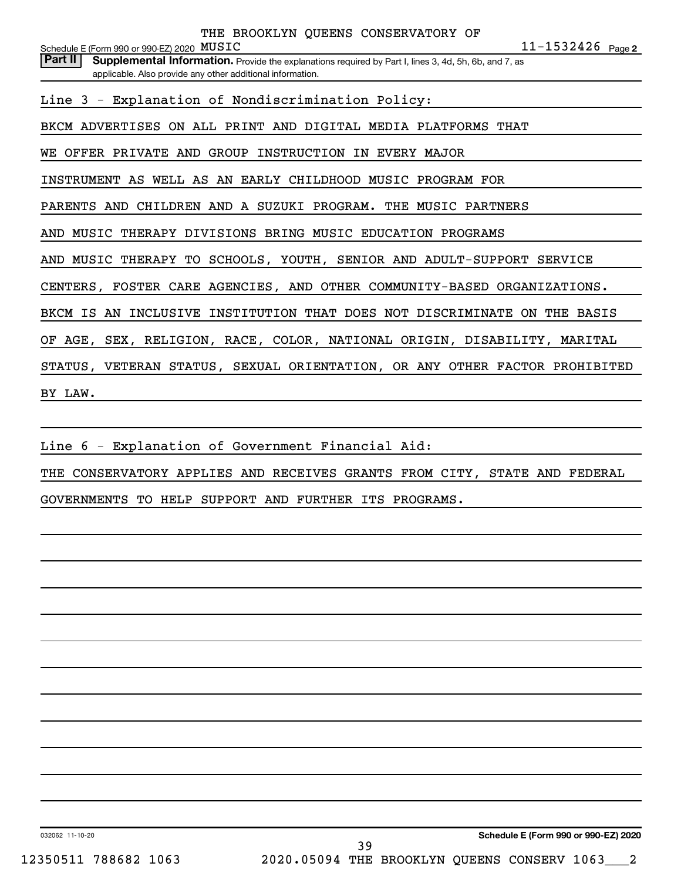**2** MUSIC 11-1532426 Schedule E (Form 990 or 990-EZ) 2020  ${\tt MUSTC}$ Part II | Supplemental Information. Provide the explanations required by Part I, lines 3, 4d, 5h, 6b, and 7, as applicable. Also provide any other additional information. THE BROOKLYN QUEENS CONSERVATORY OF Line 3 - Explanation of Nondiscrimination Policy: BKCM ADVERTISES ON ALL PRINT AND DIGITAL MEDIA PLATFORMS THAT WE OFFER PRIVATE AND GROUP INSTRUCTION IN EVERY MAJOR INSTRUMENT AS WELL AS AN EARLY CHILDHOOD MUSIC PROGRAM FOR PARENTS AND CHILDREN AND A SUZUKI PROGRAM. THE MUSIC PARTNERS AND MUSIC THERAPY DIVISIONS BRING MUSIC EDUCATION PROGRAMS AND MUSIC THERAPY TO SCHOOLS, YOUTH, SENIOR AND ADULT-SUPPORT SERVICE CENTERS, FOSTER CARE AGENCIES, AND OTHER COMMUNITY-BASED ORGANIZATIONS. BKCM IS AN INCLUSIVE INSTITUTION THAT DOES NOT DISCRIMINATE ON THE BASIS OF AGE, SEX, RELIGION, RACE, COLOR, NATIONAL ORIGIN, DISABILITY, MARITAL STATUS, VETERAN STATUS, SEXUAL ORIENTATION, OR ANY OTHER FACTOR PROHIBITED BY LAW.

Line 6 - Explanation of Government Financial Aid:

THE CONSERVATORY APPLIES AND RECEIVES GRANTS FROM CITY, STATE AND FEDERAL

GOVERNMENTS TO HELP SUPPORT AND FURTHER ITS PROGRAMS.

032062 11-10-20

39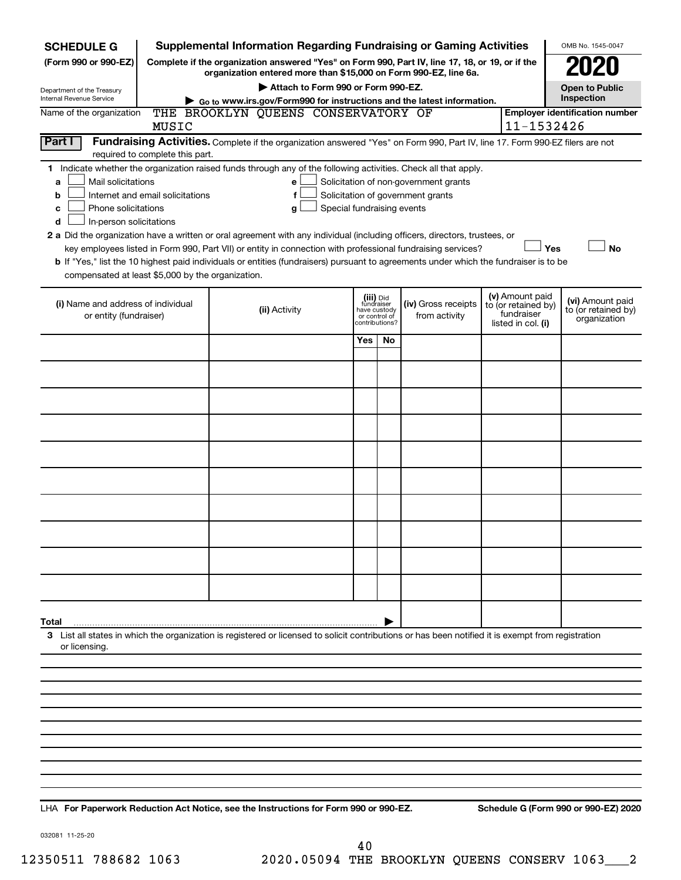| <b>SCHEDULE G</b>                                            |                                                                                                                                                                                                                                                                                                                                                                                                                                                                                      | <b>Supplemental Information Regarding Fundraising or Gaming Activities</b>                                                                         |                       |                                                                            |                                      |  |                                                                            | OMB No. 1545-0047                                       |  |  |  |  |  |
|--------------------------------------------------------------|--------------------------------------------------------------------------------------------------------------------------------------------------------------------------------------------------------------------------------------------------------------------------------------------------------------------------------------------------------------------------------------------------------------------------------------------------------------------------------------|----------------------------------------------------------------------------------------------------------------------------------------------------|-----------------------|----------------------------------------------------------------------------|--------------------------------------|--|----------------------------------------------------------------------------|---------------------------------------------------------|--|--|--|--|--|
| (Form 990 or 990-EZ)                                         | Complete if the organization answered "Yes" on Form 990, Part IV, line 17, 18, or 19, or if the<br>organization entered more than \$15,000 on Form 990-EZ, line 6a.                                                                                                                                                                                                                                                                                                                  |                                                                                                                                                    |                       |                                                                            |                                      |  |                                                                            |                                                         |  |  |  |  |  |
|                                                              |                                                                                                                                                                                                                                                                                                                                                                                                                                                                                      |                                                                                                                                                    | <b>Open to Public</b> |                                                                            |                                      |  |                                                                            |                                                         |  |  |  |  |  |
| Department of the Treasury<br>Internal Revenue Service       | Attach to Form 990 or Form 990-EZ.<br>Inspection<br>Go to www.irs.gov/Form990 for instructions and the latest information.                                                                                                                                                                                                                                                                                                                                                           |                                                                                                                                                    |                       |                                                                            |                                      |  |                                                                            |                                                         |  |  |  |  |  |
| Name of the organization                                     |                                                                                                                                                                                                                                                                                                                                                                                                                                                                                      | THE BROOKLYN QUEENS CONSERVATORY OF                                                                                                                |                       |                                                                            |                                      |  |                                                                            | <b>Employer identification number</b>                   |  |  |  |  |  |
| Part I                                                       | MUSIC                                                                                                                                                                                                                                                                                                                                                                                                                                                                                | Fundraising Activities. Complete if the organization answered "Yes" on Form 990, Part IV, line 17. Form 990-EZ filers are not                      |                       |                                                                            |                                      |  | 11-1532426                                                                 |                                                         |  |  |  |  |  |
|                                                              | required to complete this part.                                                                                                                                                                                                                                                                                                                                                                                                                                                      |                                                                                                                                                    |                       |                                                                            |                                      |  |                                                                            |                                                         |  |  |  |  |  |
| a<br>b<br>с<br>d                                             | 1 Indicate whether the organization raised funds through any of the following activities. Check all that apply.<br>Mail solicitations<br>Solicitation of non-government grants<br>e<br>Internet and email solicitations<br>f<br>Solicitation of government grants<br>Phone solicitations<br>Special fundraising events<br>g<br>In-person solicitations<br>2 a Did the organization have a written or oral agreement with any individual (including officers, directors, trustees, or |                                                                                                                                                    |                       |                                                                            |                                      |  |                                                                            |                                                         |  |  |  |  |  |
|                                                              | Yes<br><b>No</b><br>key employees listed in Form 990, Part VII) or entity in connection with professional fundraising services?                                                                                                                                                                                                                                                                                                                                                      |                                                                                                                                                    |                       |                                                                            |                                      |  |                                                                            |                                                         |  |  |  |  |  |
|                                                              | b If "Yes," list the 10 highest paid individuals or entities (fundraisers) pursuant to agreements under which the fundraiser is to be                                                                                                                                                                                                                                                                                                                                                |                                                                                                                                                    |                       |                                                                            |                                      |  |                                                                            |                                                         |  |  |  |  |  |
| compensated at least \$5,000 by the organization.            |                                                                                                                                                                                                                                                                                                                                                                                                                                                                                      |                                                                                                                                                    |                       |                                                                            |                                      |  |                                                                            |                                                         |  |  |  |  |  |
| (i) Name and address of individual<br>or entity (fundraiser) |                                                                                                                                                                                                                                                                                                                                                                                                                                                                                      | (ii) Activity                                                                                                                                      |                       | (iii) Did<br>fundraiser<br>have custody<br>or control of<br>contributions? | (iv) Gross receipts<br>from activity |  | (v) Amount paid<br>to (or retained by)<br>fundraiser<br>listed in col. (i) | (vi) Amount paid<br>to (or retained by)<br>organization |  |  |  |  |  |
|                                                              |                                                                                                                                                                                                                                                                                                                                                                                                                                                                                      |                                                                                                                                                    | Yes                   | No                                                                         |                                      |  |                                                                            |                                                         |  |  |  |  |  |
|                                                              |                                                                                                                                                                                                                                                                                                                                                                                                                                                                                      |                                                                                                                                                    |                       |                                                                            |                                      |  |                                                                            |                                                         |  |  |  |  |  |
|                                                              |                                                                                                                                                                                                                                                                                                                                                                                                                                                                                      |                                                                                                                                                    |                       |                                                                            |                                      |  |                                                                            |                                                         |  |  |  |  |  |
|                                                              |                                                                                                                                                                                                                                                                                                                                                                                                                                                                                      |                                                                                                                                                    |                       |                                                                            |                                      |  |                                                                            |                                                         |  |  |  |  |  |
|                                                              |                                                                                                                                                                                                                                                                                                                                                                                                                                                                                      |                                                                                                                                                    |                       |                                                                            |                                      |  |                                                                            |                                                         |  |  |  |  |  |
|                                                              |                                                                                                                                                                                                                                                                                                                                                                                                                                                                                      |                                                                                                                                                    |                       |                                                                            |                                      |  |                                                                            |                                                         |  |  |  |  |  |
|                                                              |                                                                                                                                                                                                                                                                                                                                                                                                                                                                                      |                                                                                                                                                    |                       |                                                                            |                                      |  |                                                                            |                                                         |  |  |  |  |  |
|                                                              |                                                                                                                                                                                                                                                                                                                                                                                                                                                                                      |                                                                                                                                                    |                       |                                                                            |                                      |  |                                                                            |                                                         |  |  |  |  |  |
|                                                              |                                                                                                                                                                                                                                                                                                                                                                                                                                                                                      |                                                                                                                                                    |                       |                                                                            |                                      |  |                                                                            |                                                         |  |  |  |  |  |
|                                                              |                                                                                                                                                                                                                                                                                                                                                                                                                                                                                      |                                                                                                                                                    |                       |                                                                            |                                      |  |                                                                            |                                                         |  |  |  |  |  |
| Total                                                        |                                                                                                                                                                                                                                                                                                                                                                                                                                                                                      |                                                                                                                                                    |                       |                                                                            |                                      |  |                                                                            |                                                         |  |  |  |  |  |
| or licensing.                                                |                                                                                                                                                                                                                                                                                                                                                                                                                                                                                      | 3 List all states in which the organization is registered or licensed to solicit contributions or has been notified it is exempt from registration |                       |                                                                            |                                      |  |                                                                            |                                                         |  |  |  |  |  |
|                                                              |                                                                                                                                                                                                                                                                                                                                                                                                                                                                                      |                                                                                                                                                    |                       |                                                                            |                                      |  |                                                                            |                                                         |  |  |  |  |  |
|                                                              |                                                                                                                                                                                                                                                                                                                                                                                                                                                                                      |                                                                                                                                                    |                       |                                                                            |                                      |  |                                                                            |                                                         |  |  |  |  |  |
|                                                              |                                                                                                                                                                                                                                                                                                                                                                                                                                                                                      |                                                                                                                                                    |                       |                                                                            |                                      |  |                                                                            |                                                         |  |  |  |  |  |
|                                                              |                                                                                                                                                                                                                                                                                                                                                                                                                                                                                      |                                                                                                                                                    |                       |                                                                            |                                      |  |                                                                            |                                                         |  |  |  |  |  |
|                                                              |                                                                                                                                                                                                                                                                                                                                                                                                                                                                                      |                                                                                                                                                    |                       |                                                                            |                                      |  |                                                                            |                                                         |  |  |  |  |  |
|                                                              |                                                                                                                                                                                                                                                                                                                                                                                                                                                                                      |                                                                                                                                                    |                       |                                                                            |                                      |  |                                                                            |                                                         |  |  |  |  |  |
|                                                              |                                                                                                                                                                                                                                                                                                                                                                                                                                                                                      |                                                                                                                                                    |                       |                                                                            |                                      |  |                                                                            |                                                         |  |  |  |  |  |
|                                                              |                                                                                                                                                                                                                                                                                                                                                                                                                                                                                      |                                                                                                                                                    |                       |                                                                            |                                      |  |                                                                            |                                                         |  |  |  |  |  |

**For Paperwork Reduction Act Notice, see the Instructions for Form 990 or 990-EZ. Schedule G (Form 990 or 990-EZ) 2020** LHA

032081 11-25-20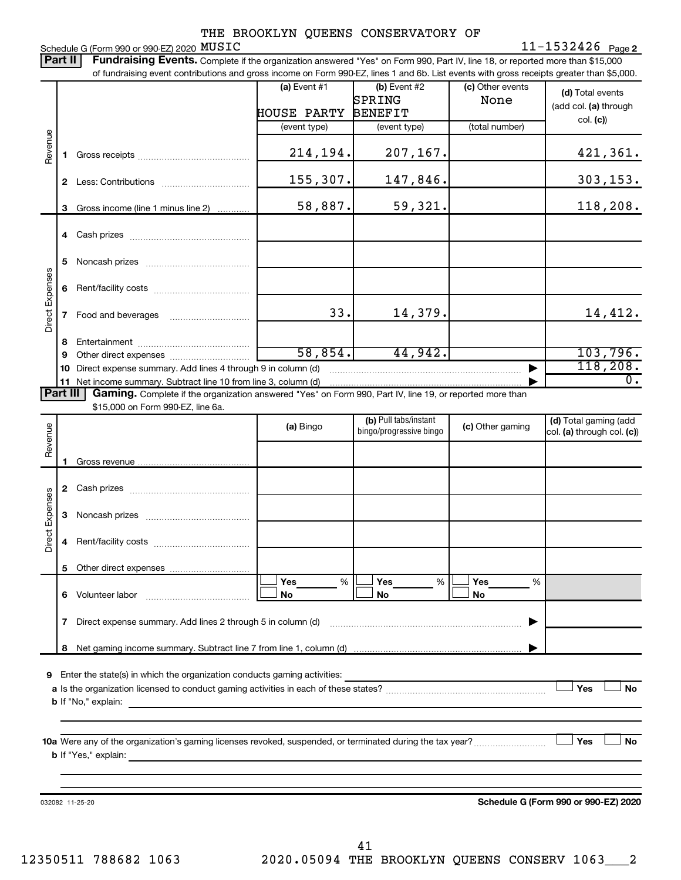Schedule G (Form 990 or 990-EZ)  $2020$   $MUSTC$ 

**2** MUSIC 11-1532426

Part II | Fundraising Events. Complete if the organization answered "Yes" on Form 990, Part IV, line 18, or reported more than \$15,000 of fundraising event contributions and gross income on Form 990-EZ, lines 1 and 6b. List events with gross receipts greater than \$5,000.

|                        |   | ו ומחמושטות טיטות טטותוסמנטוס מות סוטסט וווטטווט טודו טווח טטט בב, ווווטס דמות טט. בוטג טיטותט אותו סוטס וטטטוסט סוטט                                                                                                                     |                    |                                                  |                          |                                                     |
|------------------------|---|-------------------------------------------------------------------------------------------------------------------------------------------------------------------------------------------------------------------------------------------|--------------------|--------------------------------------------------|--------------------------|-----------------------------------------------------|
|                        |   |                                                                                                                                                                                                                                           | $(a)$ Event #1     | (b) Event $#2$<br>SPRING                         | (c) Other events<br>None | (d) Total events<br>(add col. (a) through           |
|                        |   |                                                                                                                                                                                                                                           | <b>HOUSE PARTY</b> | <b>BENEFIT</b>                                   |                          | col. (c)                                            |
|                        |   |                                                                                                                                                                                                                                           | (event type)       | (event type)                                     | (total number)           |                                                     |
| Revenue                |   |                                                                                                                                                                                                                                           | 214,194.           | 207,167.                                         |                          | 421,361.                                            |
|                        |   |                                                                                                                                                                                                                                           | 155,307.           | 147,846.                                         |                          | 303, 153.                                           |
|                        |   | 3 Gross income (line 1 minus line 2)                                                                                                                                                                                                      | 58,887.            | 59,321.                                          |                          | 118,208.                                            |
|                        |   |                                                                                                                                                                                                                                           |                    |                                                  |                          |                                                     |
|                        | 5 |                                                                                                                                                                                                                                           |                    |                                                  |                          |                                                     |
|                        | 6 |                                                                                                                                                                                                                                           |                    |                                                  |                          |                                                     |
| Direct Expenses        |   |                                                                                                                                                                                                                                           | 33.                | 14,379.                                          |                          | 14,412.                                             |
|                        | 8 |                                                                                                                                                                                                                                           |                    |                                                  |                          |                                                     |
|                        | 9 |                                                                                                                                                                                                                                           | 58,854.            | 44,942.                                          |                          | 103,796.                                            |
|                        |   | 10 Direct expense summary. Add lines 4 through 9 in column (d)                                                                                                                                                                            |                    |                                                  |                          | 118,208.                                            |
|                        |   |                                                                                                                                                                                                                                           |                    |                                                  |                          | $\overline{0}$ .                                    |
| Part III               |   | Gaming. Complete if the organization answered "Yes" on Form 990, Part IV, line 19, or reported more than                                                                                                                                  |                    |                                                  |                          |                                                     |
|                        |   | \$15,000 on Form 990-EZ, line 6a.                                                                                                                                                                                                         |                    |                                                  |                          |                                                     |
| Revenue                |   |                                                                                                                                                                                                                                           | (a) Bingo          | (b) Pull tabs/instant<br>bingo/progressive bingo | (c) Other gaming         | (d) Total gaming (add<br>col. (a) through col. (c)) |
|                        |   |                                                                                                                                                                                                                                           |                    |                                                  |                          |                                                     |
|                        |   |                                                                                                                                                                                                                                           |                    |                                                  |                          |                                                     |
| <b>Direct Expenses</b> |   |                                                                                                                                                                                                                                           |                    |                                                  |                          |                                                     |
|                        | 4 |                                                                                                                                                                                                                                           |                    |                                                  |                          |                                                     |
|                        |   |                                                                                                                                                                                                                                           |                    |                                                  |                          |                                                     |
|                        |   |                                                                                                                                                                                                                                           | Yes<br>%           | Yes<br>%                                         | Yes<br>%                 |                                                     |
|                        | 6 | Volunteer labor                                                                                                                                                                                                                           | No                 | No                                               | No                       |                                                     |
|                        | 7 | Direct expense summary. Add lines 2 through 5 in column (d)                                                                                                                                                                               |                    |                                                  |                          |                                                     |
|                        | 8 |                                                                                                                                                                                                                                           |                    |                                                  |                          |                                                     |
| 9                      |   | Enter the state(s) in which the organization conducts gaming activities:<br><b>b</b> If "No," explain:                                                                                                                                    |                    |                                                  |                          | Yes<br>No                                           |
|                        |   |                                                                                                                                                                                                                                           |                    |                                                  |                          |                                                     |
|                        |   | <b>b</b> If "Yes," explain: <u>All and the set of the set of the set of the set of the set of the set of the set of the set of the set of the set of the set of the set of the set of the set of the set of the set of the set of the</u> |                    |                                                  |                          | Yes<br>No                                           |
|                        |   |                                                                                                                                                                                                                                           |                    |                                                  |                          |                                                     |
|                        |   | 032082 11-25-20                                                                                                                                                                                                                           |                    |                                                  |                          | Schedule G (Form 990 or 990-EZ) 2020                |
|                        |   |                                                                                                                                                                                                                                           |                    |                                                  |                          |                                                     |

12350511 788682 1063 2020.05094 THE BROOKLYN QUEENS CONSERV 1063\_\_\_2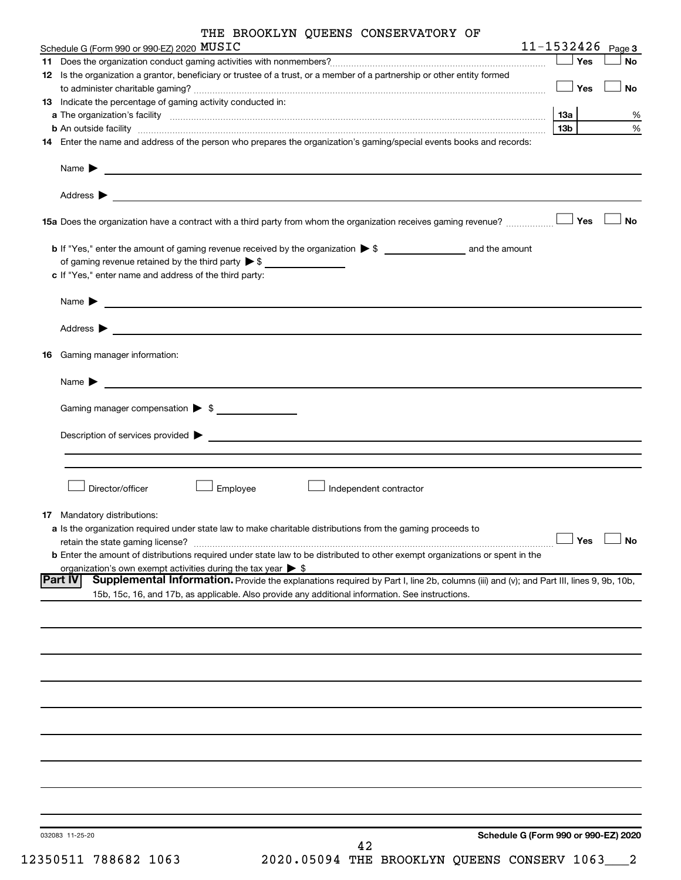| THE BROOKLYN QUEENS CONSERVATORY OF |  |  |
|-------------------------------------|--|--|
|-------------------------------------|--|--|

|    | Schedule G (Form 990 or 990-EZ) 2020 MUSIC                                                                                                                                                                                         |            |            | $11 - 1532426$ Page 3 |
|----|------------------------------------------------------------------------------------------------------------------------------------------------------------------------------------------------------------------------------------|------------|------------|-----------------------|
| 11 | Does the organization conduct gaming activities with nonmembers?<br>[2003]<br>The conduct gaming activities with nonmembers?<br>[2003]                                                                                             |            | Yes        | No                    |
|    | 12 Is the organization a grantor, beneficiary or trustee of a trust, or a member of a partnership or other entity formed                                                                                                           |            | $\Box$ Yes |                       |
|    |                                                                                                                                                                                                                                    |            |            | No                    |
|    | 13 Indicate the percentage of gaming activity conducted in:                                                                                                                                                                        |            |            |                       |
|    |                                                                                                                                                                                                                                    | 13a<br>13b |            | %<br>$\%$             |
|    | 14 Enter the name and address of the person who prepares the organization's gaming/special events books and records:                                                                                                               |            |            |                       |
|    |                                                                                                                                                                                                                                    |            |            |                       |
|    | Name $\blacktriangleright$<br><u> 1989 - Johann Stoff, amerikansk politiker (* 1908)</u>                                                                                                                                           |            |            |                       |
|    | Address $\blacktriangleright$<br><u> 1989 - Johann Stoff, amerikansk politiker (d. 1989)</u>                                                                                                                                       |            |            |                       |
|    |                                                                                                                                                                                                                                    |            | Yes        | No                    |
|    |                                                                                                                                                                                                                                    |            |            |                       |
|    | of gaming revenue retained by the third party $\triangleright$ \$                                                                                                                                                                  |            |            |                       |
|    | c If "Yes," enter name and address of the third party:                                                                                                                                                                             |            |            |                       |
|    | Name $\blacktriangleright$                                                                                                                                                                                                         |            |            |                       |
|    | Address $\blacktriangleright$                                                                                                                                                                                                      |            |            |                       |
|    | <u> 1989 - Johann Stein, mars an deus Amerikaansk kommunister (</u>                                                                                                                                                                |            |            |                       |
|    | <b>16</b> Gaming manager information:                                                                                                                                                                                              |            |            |                       |
|    | Name $\blacktriangleright$<br><u> 1989 - Johann Barn, fransk politik (d. 1989)</u>                                                                                                                                                 |            |            |                       |
|    | Gaming manager compensation > \$                                                                                                                                                                                                   |            |            |                       |
|    |                                                                                                                                                                                                                                    |            |            |                       |
|    |                                                                                                                                                                                                                                    |            |            |                       |
|    |                                                                                                                                                                                                                                    |            |            |                       |
|    | Director/officer<br>Employee<br>Independent contractor                                                                                                                                                                             |            |            |                       |
|    |                                                                                                                                                                                                                                    |            |            |                       |
|    | 17 Mandatory distributions:                                                                                                                                                                                                        |            |            |                       |
|    | a Is the organization required under state law to make charitable distributions from the gaming proceeds to                                                                                                                        |            |            |                       |
|    | retain the state gaming license?                                                                                                                                                                                                   |            | J Yes      | $\Box$ No             |
|    | <b>b</b> Enter the amount of distributions required under state law to be distributed to other exempt organizations or spent in the                                                                                                |            |            |                       |
|    | organization's own exempt activities during the tax year $\triangleright$ \$<br>Supplemental Information. Provide the explanations required by Part I, line 2b, columns (iii) and (v); and Part III, lines 9, 9b, 10b,<br> Part IV |            |            |                       |
|    | 15b, 15c, 16, and 17b, as applicable. Also provide any additional information. See instructions.                                                                                                                                   |            |            |                       |
|    |                                                                                                                                                                                                                                    |            |            |                       |
|    |                                                                                                                                                                                                                                    |            |            |                       |
|    |                                                                                                                                                                                                                                    |            |            |                       |
|    |                                                                                                                                                                                                                                    |            |            |                       |
|    |                                                                                                                                                                                                                                    |            |            |                       |
|    |                                                                                                                                                                                                                                    |            |            |                       |
|    |                                                                                                                                                                                                                                    |            |            |                       |
|    |                                                                                                                                                                                                                                    |            |            |                       |
|    |                                                                                                                                                                                                                                    |            |            |                       |
|    |                                                                                                                                                                                                                                    |            |            |                       |
|    |                                                                                                                                                                                                                                    |            |            |                       |
|    |                                                                                                                                                                                                                                    |            |            |                       |
|    |                                                                                                                                                                                                                                    |            |            |                       |
|    |                                                                                                                                                                                                                                    |            |            |                       |
|    | Schedule G (Form 990 or 990-EZ) 2020<br>032083 11-25-20<br>42                                                                                                                                                                      |            |            |                       |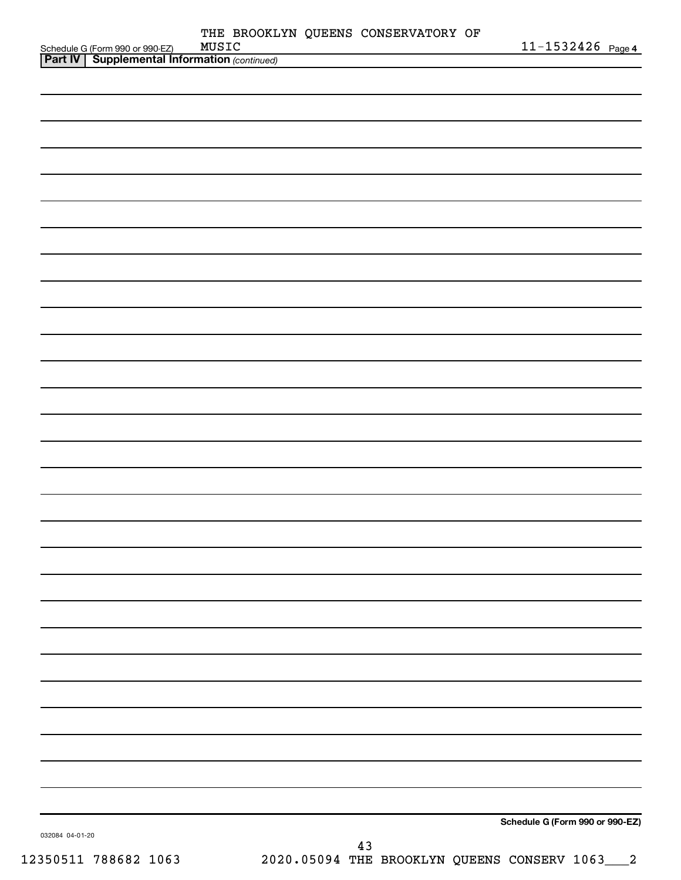|                                                                                                |       | THE BROOKLYN QUEENS CONSERVATORY OF |                                 |
|------------------------------------------------------------------------------------------------|-------|-------------------------------------|---------------------------------|
| Schedule G (Form 990 or 990-EZ) MUSIC<br><b>Part IV   Supplemental Information</b> (continued) | MUSIC |                                     | 11-1532426 Page 4               |
|                                                                                                |       |                                     |                                 |
|                                                                                                |       |                                     |                                 |
|                                                                                                |       |                                     |                                 |
|                                                                                                |       |                                     |                                 |
|                                                                                                |       |                                     |                                 |
|                                                                                                |       |                                     |                                 |
|                                                                                                |       |                                     |                                 |
|                                                                                                |       |                                     |                                 |
|                                                                                                |       |                                     |                                 |
|                                                                                                |       |                                     |                                 |
|                                                                                                |       |                                     |                                 |
|                                                                                                |       |                                     |                                 |
|                                                                                                |       |                                     |                                 |
|                                                                                                |       |                                     |                                 |
|                                                                                                |       |                                     |                                 |
|                                                                                                |       |                                     |                                 |
|                                                                                                |       |                                     |                                 |
|                                                                                                |       |                                     |                                 |
|                                                                                                |       |                                     |                                 |
|                                                                                                |       |                                     |                                 |
|                                                                                                |       |                                     |                                 |
|                                                                                                |       |                                     |                                 |
|                                                                                                |       |                                     |                                 |
|                                                                                                |       |                                     |                                 |
|                                                                                                |       |                                     |                                 |
|                                                                                                |       |                                     |                                 |
|                                                                                                |       |                                     |                                 |
|                                                                                                |       |                                     |                                 |
|                                                                                                |       |                                     |                                 |
|                                                                                                |       |                                     |                                 |
|                                                                                                |       |                                     |                                 |
|                                                                                                |       |                                     |                                 |
|                                                                                                |       |                                     |                                 |
|                                                                                                |       |                                     |                                 |
|                                                                                                |       |                                     |                                 |
|                                                                                                |       |                                     |                                 |
|                                                                                                |       |                                     |                                 |
|                                                                                                |       |                                     |                                 |
|                                                                                                |       |                                     |                                 |
|                                                                                                |       |                                     |                                 |
|                                                                                                |       |                                     |                                 |
|                                                                                                |       |                                     |                                 |
|                                                                                                |       |                                     |                                 |
|                                                                                                |       |                                     |                                 |
|                                                                                                |       |                                     |                                 |
|                                                                                                |       |                                     |                                 |
|                                                                                                |       |                                     | Schedule G (Form 990 or 990-EZ) |
| 032084 04-01-20                                                                                |       | 43                                  |                                 |
|                                                                                                |       |                                     |                                 |

12350511 788682 1063 2020.05094 THE BROOKLYN QUEENS CONSERV 1063\_\_\_2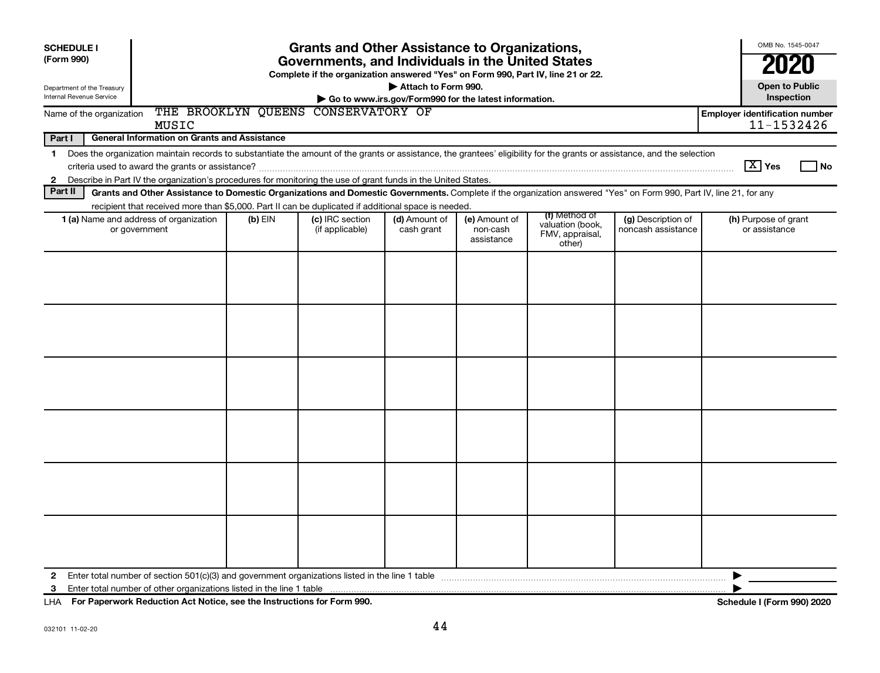| <b>SCHEDULE I</b><br>(Form 990)                                                                                                                                                                                                                                                                    |                                                                                                                                              |  | <b>Grants and Other Assistance to Organizations,</b>                                                                                  |                     |  |  |  | OMB No. 1545-0047                   |  |  |  |  |  |  |  |
|----------------------------------------------------------------------------------------------------------------------------------------------------------------------------------------------------------------------------------------------------------------------------------------------------|----------------------------------------------------------------------------------------------------------------------------------------------|--|---------------------------------------------------------------------------------------------------------------------------------------|---------------------|--|--|--|-------------------------------------|--|--|--|--|--|--|--|
|                                                                                                                                                                                                                                                                                                    |                                                                                                                                              |  | Governments, and Individuals in the United States<br>Complete if the organization answered "Yes" on Form 990, Part IV, line 21 or 22. |                     |  |  |  | 2020                                |  |  |  |  |  |  |  |
| Department of the Treasury<br>Internal Revenue Service                                                                                                                                                                                                                                             |                                                                                                                                              |  |                                                                                                                                       | Attach to Form 990. |  |  |  | <b>Open to Public</b><br>Inspection |  |  |  |  |  |  |  |
| Go to www.irs.gov/Form990 for the latest information.<br>THE BROOKLYN QUEENS CONSERVATORY OF<br><b>Employer identification number</b><br>Name of the organization<br>11-1532426<br>MUSIC                                                                                                           |                                                                                                                                              |  |                                                                                                                                       |                     |  |  |  |                                     |  |  |  |  |  |  |  |
| <b>General Information on Grants and Assistance</b><br>Part I                                                                                                                                                                                                                                      |                                                                                                                                              |  |                                                                                                                                       |                     |  |  |  |                                     |  |  |  |  |  |  |  |
| 1 Does the organization maintain records to substantiate the amount of the grants or assistance, the grantees' eligibility for the grants or assistance, and the selection                                                                                                                         |                                                                                                                                              |  |                                                                                                                                       |                     |  |  |  |                                     |  |  |  |  |  |  |  |
| $\boxed{\text{X}}$ Yes<br>Describe in Part IV the organization's procedures for monitoring the use of grant funds in the United States.<br>$\mathbf{2}$                                                                                                                                            |                                                                                                                                              |  |                                                                                                                                       |                     |  |  |  |                                     |  |  |  |  |  |  |  |
| Part II<br>Grants and Other Assistance to Domestic Organizations and Domestic Governments. Complete if the organization answered "Yes" on Form 990, Part IV, line 21, for any                                                                                                                      |                                                                                                                                              |  |                                                                                                                                       |                     |  |  |  |                                     |  |  |  |  |  |  |  |
|                                                                                                                                                                                                                                                                                                    | recipient that received more than \$5,000. Part II can be duplicated if additional space is needed.<br>(f) Method of<br>(h) Purpose of grant |  |                                                                                                                                       |                     |  |  |  |                                     |  |  |  |  |  |  |  |
| (c) IRC section<br>1 (a) Name and address of organization<br>$(b)$ EIN<br>(d) Amount of<br>(e) Amount of<br>(g) Description of<br>valuation (book,<br>(if applicable)<br>noncash assistance<br>or assistance<br>or government<br>cash grant<br>non-cash<br>FMV, appraisal,<br>assistance<br>other) |                                                                                                                                              |  |                                                                                                                                       |                     |  |  |  |                                     |  |  |  |  |  |  |  |
|                                                                                                                                                                                                                                                                                                    |                                                                                                                                              |  |                                                                                                                                       |                     |  |  |  |                                     |  |  |  |  |  |  |  |
|                                                                                                                                                                                                                                                                                                    |                                                                                                                                              |  |                                                                                                                                       |                     |  |  |  |                                     |  |  |  |  |  |  |  |
|                                                                                                                                                                                                                                                                                                    |                                                                                                                                              |  |                                                                                                                                       |                     |  |  |  |                                     |  |  |  |  |  |  |  |
|                                                                                                                                                                                                                                                                                                    |                                                                                                                                              |  |                                                                                                                                       |                     |  |  |  |                                     |  |  |  |  |  |  |  |
|                                                                                                                                                                                                                                                                                                    |                                                                                                                                              |  |                                                                                                                                       |                     |  |  |  |                                     |  |  |  |  |  |  |  |
|                                                                                                                                                                                                                                                                                                    |                                                                                                                                              |  |                                                                                                                                       |                     |  |  |  |                                     |  |  |  |  |  |  |  |
| 2                                                                                                                                                                                                                                                                                                  | Enter total number of section $501(c)(3)$ and government organizations listed in the line 1 table                                            |  |                                                                                                                                       |                     |  |  |  |                                     |  |  |  |  |  |  |  |
|                                                                                                                                                                                                                                                                                                    |                                                                                                                                              |  |                                                                                                                                       |                     |  |  |  |                                     |  |  |  |  |  |  |  |

**For Paperwork Reduction Act Notice, see the Instructions for Form 990. Schedule I (Form 990) 2020** LHA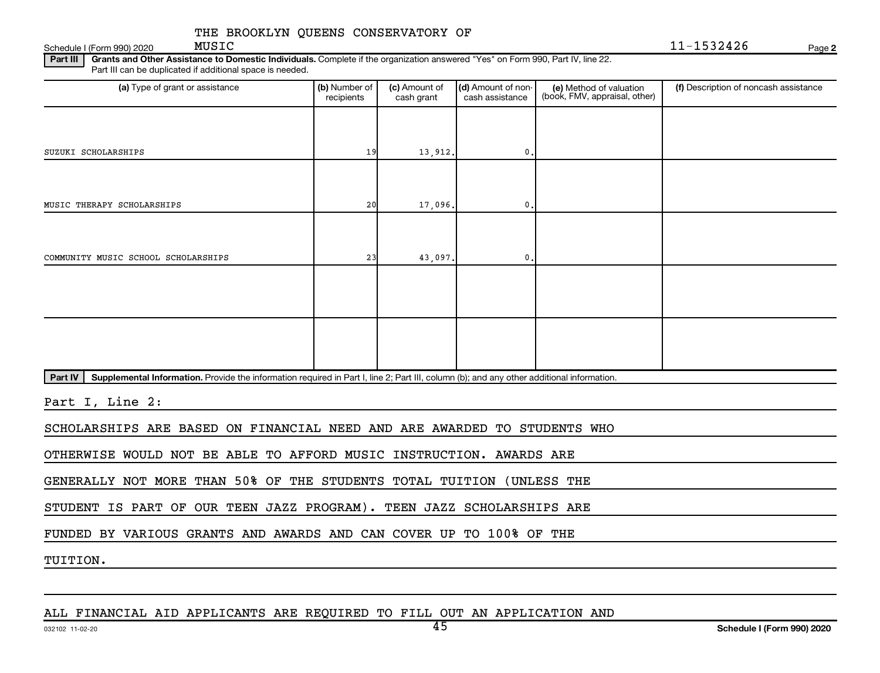Schedule I (Form 990) 2020  $MUSIC$ 

MUSIC 11-1532426

**2**

Part III | Grants and Other Assistance to Domestic Individuals. Complete if the organization answered "Yes" on Form 990, Part IV, line 22. Part III can be duplicated if additional space is needed.

| (a) Type of grant or assistance                                                                                                                      | (b) Number of<br>recipients | (c) Amount of<br>cash grant | (d) Amount of non-<br>cash assistance | (e) Method of valuation<br>(book, FMV, appraisal, other) | (f) Description of noncash assistance |
|------------------------------------------------------------------------------------------------------------------------------------------------------|-----------------------------|-----------------------------|---------------------------------------|----------------------------------------------------------|---------------------------------------|
|                                                                                                                                                      |                             |                             |                                       |                                                          |                                       |
| SUZUKI SCHOLARSHIPS                                                                                                                                  | 19                          | 13,912.                     | 0.                                    |                                                          |                                       |
|                                                                                                                                                      |                             |                             |                                       |                                                          |                                       |
| MUSIC THERAPY SCHOLARSHIPS                                                                                                                           | 20                          | 17,096.                     | 0.                                    |                                                          |                                       |
|                                                                                                                                                      |                             |                             |                                       |                                                          |                                       |
| COMMUNITY MUSIC SCHOOL SCHOLARSHIPS                                                                                                                  | 23                          | 43,097.                     | 0.                                    |                                                          |                                       |
|                                                                                                                                                      |                             |                             |                                       |                                                          |                                       |
|                                                                                                                                                      |                             |                             |                                       |                                                          |                                       |
|                                                                                                                                                      |                             |                             |                                       |                                                          |                                       |
|                                                                                                                                                      |                             |                             |                                       |                                                          |                                       |
| Supplemental Information. Provide the information required in Part I, line 2; Part III, column (b); and any other additional information.<br>Part IV |                             |                             |                                       |                                                          |                                       |

Part I, Line 2:

SCHOLARSHIPS ARE BASED ON FINANCIAL NEED AND ARE AWARDED TO STUDENTS WHO

OTHERWISE WOULD NOT BE ABLE TO AFFORD MUSIC INSTRUCTION. AWARDS ARE

GENERALLY NOT MORE THAN 50% OF THE STUDENTS TOTAL TUITION (UNLESS THE

STUDENT IS PART OF OUR TEEN JAZZ PROGRAM). TEEN JAZZ SCHOLARSHIPS ARE

FUNDED BY VARIOUS GRANTS AND AWARDS AND CAN COVER UP TO 100% OF THE

TUITION.

ALL FINANCIAL AID APPLICANTS ARE REQUIRED TO FILL OUT AN APPLICATION AND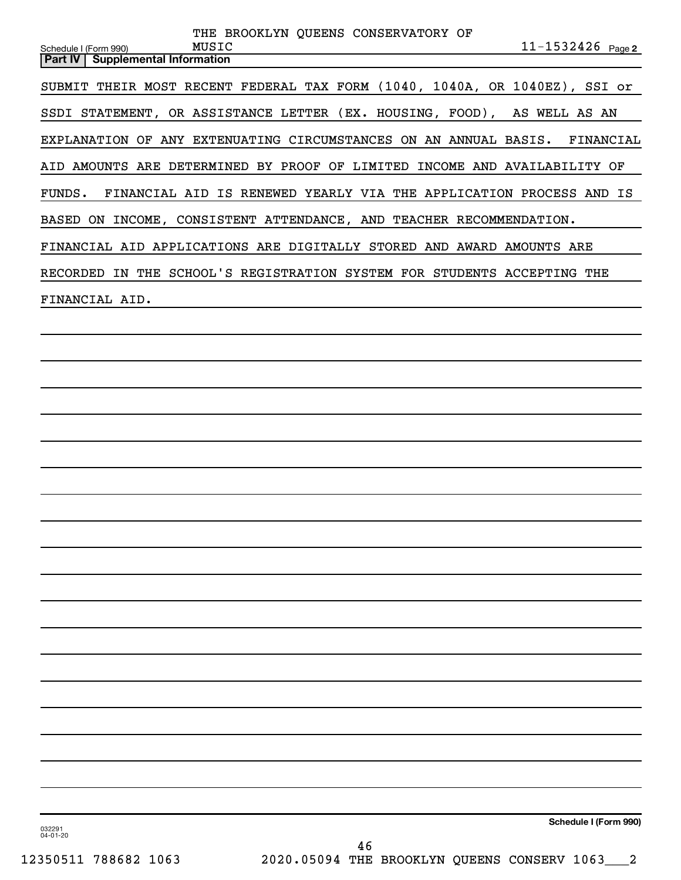| THE BROOKLYN QUEENS CONSERVATORY OF                                                                   |
|-------------------------------------------------------------------------------------------------------|
| $11 - 1532426$ Page 2<br>MUSIC<br>Schedule I (Form 990)<br><b>Supplemental Information</b><br>Part IV |
| SUBMIT THEIR MOST RECENT FEDERAL TAX FORM (1040, 1040A, OR 1040EZ), SSI or                            |
| SSDI STATEMENT, OR ASSISTANCE LETTER (EX. HOUSING, FOOD), AS WELL AS AN                               |
| EXPLANATION OF ANY EXTENUATING CIRCUMSTANCES ON AN ANNUAL BASIS. FINANCIAL                            |
| AID AMOUNTS ARE DETERMINED BY PROOF OF LIMITED INCOME AND AVAILABILITY OF                             |
| FINANCIAL AID IS RENEWED YEARLY VIA THE APPLICATION PROCESS AND IS<br>FUNDS.                          |
| BASED ON INCOME, CONSISTENT ATTENDANCE, AND TEACHER RECOMMENDATION.                                   |
| FINANCIAL AID APPLICATIONS ARE DIGITALLY STORED AND AWARD AMOUNTS ARE                                 |
| RECORDED IN THE SCHOOL'S REGISTRATION SYSTEM FOR STUDENTS ACCEPTING THE                               |
| FINANCIAL AID.                                                                                        |
|                                                                                                       |
|                                                                                                       |
|                                                                                                       |
|                                                                                                       |
|                                                                                                       |
|                                                                                                       |
|                                                                                                       |
|                                                                                                       |
|                                                                                                       |
|                                                                                                       |
|                                                                                                       |
|                                                                                                       |
|                                                                                                       |
|                                                                                                       |
|                                                                                                       |
|                                                                                                       |
|                                                                                                       |
|                                                                                                       |
| Schedule I (Form 990)<br>032291<br>04-01-20<br>46                                                     |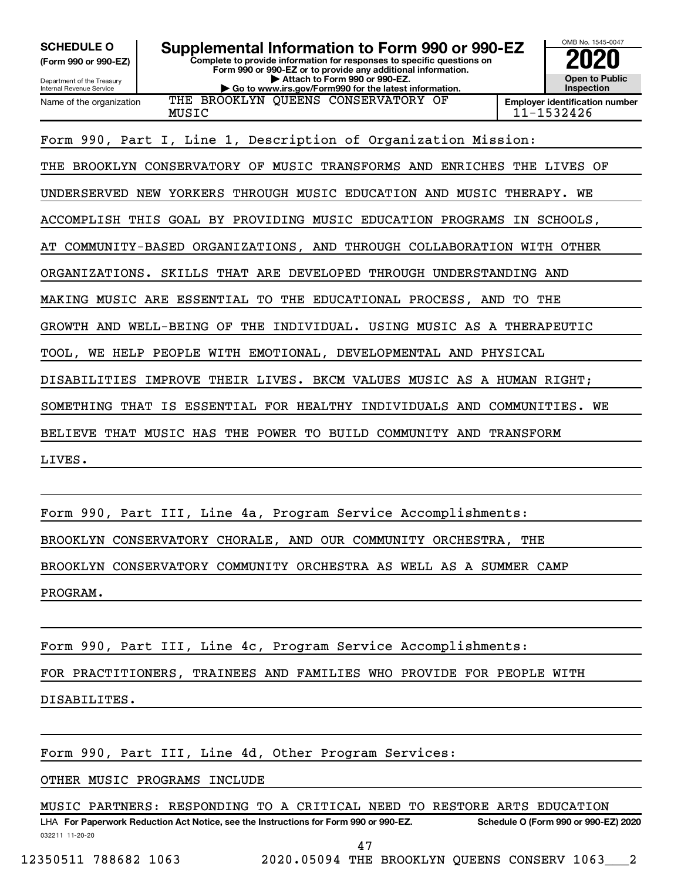**(Form 990 or 990-EZ)**

**Complete to provide information for responses to specific questions on Form 990 or 990-EZ or to provide any additional information. | Attach to Form 990 or 990-EZ. SCHEDULE O Supplemental Information to Form 990 or 990-EZ 2020**<br>(Form 990 or 990-EZ) Complete to provide information for responses to specific questions on



Department of the Treasury Internal Revenue Service Name of the organization

**| Go to www.irs.gov/Form990 for the latest information.** THE BROOKLYN QUEENS CONSERVATORY OF

MUSIC 11-1532426

Form 990, Part I, Line 1, Description of Organization Mission:

THE BROOKLYN CONSERVATORY OF MUSIC TRANSFORMS AND ENRICHES THE LIVES OF

UNDERSERVED NEW YORKERS THROUGH MUSIC EDUCATION AND MUSIC THERAPY. WE

ACCOMPLISH THIS GOAL BY PROVIDING MUSIC EDUCATION PROGRAMS IN SCHOOLS,

AT COMMUNITY-BASED ORGANIZATIONS, AND THROUGH COLLABORATION WITH OTHER

ORGANIZATIONS. SKILLS THAT ARE DEVELOPED THROUGH UNDERSTANDING AND

MAKING MUSIC ARE ESSENTIAL TO THE EDUCATIONAL PROCESS, AND TO THE

GROWTH AND WELL-BEING OF THE INDIVIDUAL. USING MUSIC AS A THERAPEUTIC

TOOL, WE HELP PEOPLE WITH EMOTIONAL, DEVELOPMENTAL AND PHYSICAL

DISABILITIES IMPROVE THEIR LIVES. BKCM VALUES MUSIC AS A HUMAN RIGHT;

SOMETHING THAT IS ESSENTIAL FOR HEALTHY INDIVIDUALS AND COMMUNITIES. WE

BELIEVE THAT MUSIC HAS THE POWER TO BUILD COMMUNITY AND TRANSFORM

LIVES.

Form 990, Part III, Line 4a, Program Service Accomplishments: BROOKLYN CONSERVATORY CHORALE, AND OUR COMMUNITY ORCHESTRA, THE BROOKLYN CONSERVATORY COMMUNITY ORCHESTRA AS WELL AS A SUMMER CAMP PROGRAM.

Form 990, Part III, Line 4c, Program Service Accomplishments:

FOR PRACTITIONERS, TRAINEES AND FAMILIES WHO PROVIDE FOR PEOPLE WITH

DISABILITES.

Form 990, Part III, Line 4d, Other Program Services:

OTHER MUSIC PROGRAMS INCLUDE

MUSIC PARTNERS: RESPONDING TO A CRITICAL NEED TO RESTORE ARTS EDUCATION

032211 11-20-20 **For Paperwork Reduction Act Notice, see the Instructions for Form 990 or 990-EZ. Schedule O (Form 990 or 990-EZ) 2020** LHA 47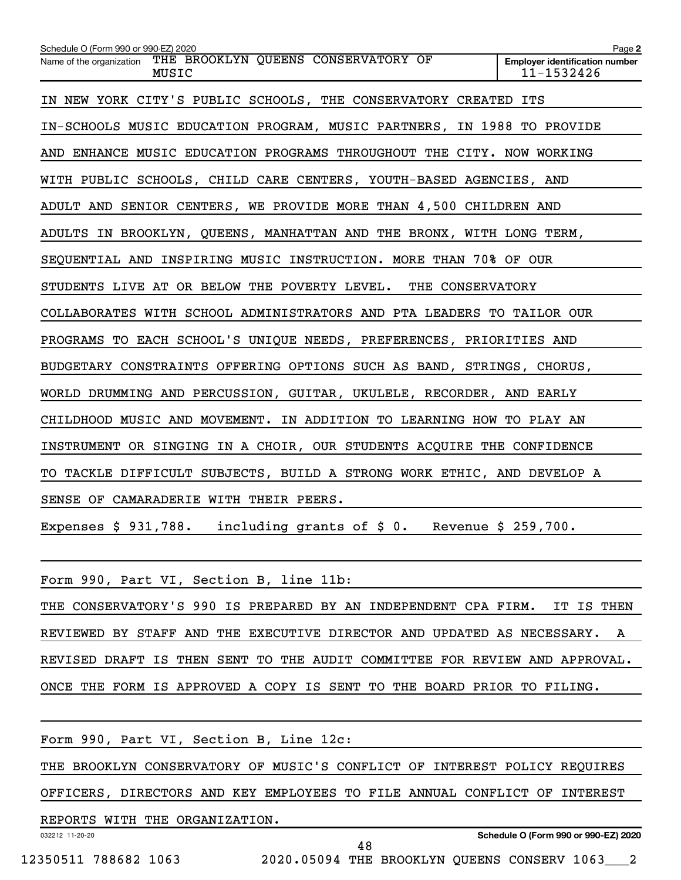| Schedule O (Form 990 or 990-EZ) 2020                                   | Page 2                                              |
|------------------------------------------------------------------------|-----------------------------------------------------|
| Name of the organization THE BROOKLYN QUEENS CONSERVATORY OF<br>MUSIC  | <b>Employer identification number</b><br>11-1532426 |
| IN NEW YORK CITY'S PUBLIC SCHOOLS, THE CONSERVATORY CREATED ITS        |                                                     |
| IN-SCHOOLS MUSIC EDUCATION PROGRAM, MUSIC PARTNERS, IN 1988 TO PROVIDE |                                                     |
| AND ENHANCE MUSIC EDUCATION PROGRAMS THROUGHOUT THE CITY. NOW WORKING  |                                                     |
| WITH PUBLIC SCHOOLS, CHILD CARE CENTERS, YOUTH-BASED AGENCIES, AND     |                                                     |
| ADULT AND SENIOR CENTERS, WE PROVIDE MORE THAN 4,500 CHILDREN AND      |                                                     |
| ADULTS IN BROOKLYN, QUEENS, MANHATTAN AND THE BRONX, WITH LONG TERM,   |                                                     |
| SEQUENTIAL AND INSPIRING MUSIC INSTRUCTION. MORE THAN 70% OF OUR       |                                                     |
| STUDENTS LIVE AT OR BELOW THE POVERTY LEVEL. THE CONSERVATORY          |                                                     |
| COLLABORATES WITH SCHOOL ADMINISTRATORS AND PTA LEADERS TO TAILOR OUR  |                                                     |
| PROGRAMS TO EACH SCHOOL'S UNIQUE NEEDS, PREFERENCES, PRIORITIES AND    |                                                     |
| BUDGETARY CONSTRAINTS OFFERING OPTIONS SUCH AS BAND, STRINGS, CHORUS,  |                                                     |
| WORLD DRUMMING AND PERCUSSION, GUITAR, UKULELE, RECORDER, AND EARLY    |                                                     |
| CHILDHOOD MUSIC AND MOVEMENT. IN ADDITION TO LEARNING HOW TO PLAY AN   |                                                     |
| INSTRUMENT OR SINGING IN A CHOIR, OUR STUDENTS ACQUIRE THE CONFIDENCE  |                                                     |
| TO TACKLE DIFFICULT SUBJECTS, BUILD A STRONG WORK ETHIC, AND DEVELOP A |                                                     |
| SENSE OF CAMARADERIE WITH THEIR PEERS.                                 |                                                     |
| Expenses \$ 931,788. including grants of \$ 0. Revenue \$ 259,700.     |                                                     |
|                                                                        |                                                     |
| Form 990, Part VI, Section B, line 11b:                                |                                                     |
| CONSERVATORY'S 990 IS PREPARED BY AN INDEPENDENT CPA FIRM.<br>THE      | IT<br>IS THEN                                       |
| REVIEWED BY STAFF AND THE EXECUTIVE DIRECTOR AND UPDATED AS NECESSARY. | A                                                   |

REVISED DRAFT IS THEN SENT TO THE AUDIT COMMITTEE FOR REVIEW AND APPROVAL.

ONCE THE FORM IS APPROVED A COPY IS SENT TO THE BOARD PRIOR TO FILING.

| Form 990, Part VI, Section B, Line 12c:                                   |  |  |  |    |  |  |  |                                      |
|---------------------------------------------------------------------------|--|--|--|----|--|--|--|--------------------------------------|
| THE BROOKLYN CONSERVATORY OF MUSIC'S CONFLICT OF INTEREST POLICY REQUIRES |  |  |  |    |  |  |  |                                      |
| OFFICERS, DIRECTORS AND KEY EMPLOYEES TO FILE ANNUAL CONFLICT OF INTEREST |  |  |  |    |  |  |  |                                      |
| REPORTS WITH THE ORGANIZATION.                                            |  |  |  |    |  |  |  |                                      |
| 032212 11-20-20                                                           |  |  |  | 48 |  |  |  | Schedule O (Form 990 or 990-EZ) 2020 |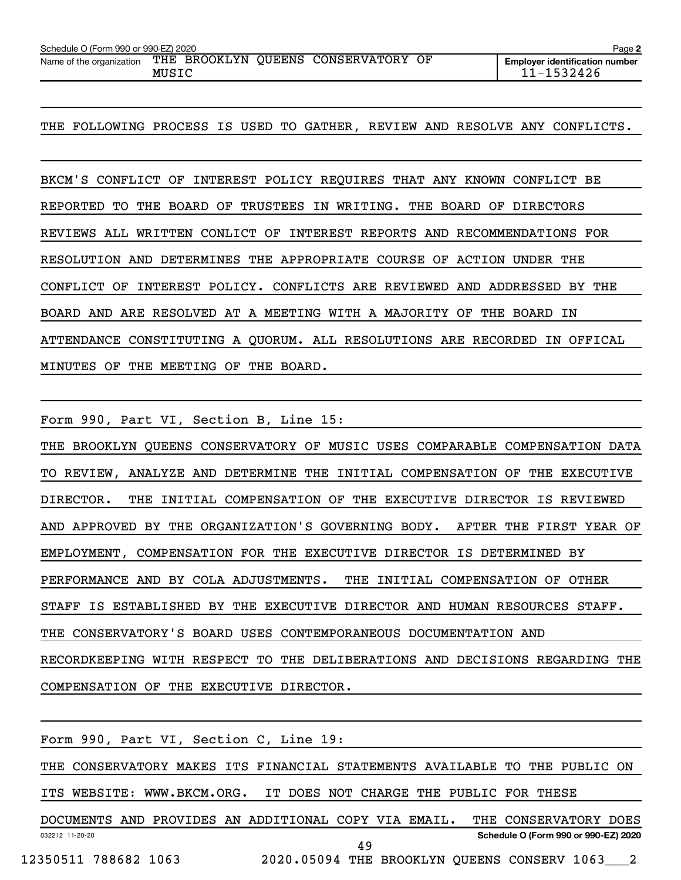| Schedule O (Form 990 or 990-EZ) 2020                         | Page 2 |  |  |                                       |
|--------------------------------------------------------------|--------|--|--|---------------------------------------|
| Name of the organization THE BROOKLYN QUEENS CONSERVATORY OF |        |  |  | <b>Emplover identification number</b> |
|                                                              | MUSIC  |  |  | 11-1532426                            |

### THE FOLLOWING PROCESS IS USED TO GATHER, REVIEW AND RESOLVE ANY CONFLICTS.

BKCM'S CONFLICT OF INTEREST POLICY REQUIRES THAT ANY KNOWN CONFLICT BE REPORTED TO THE BOARD OF TRUSTEES IN WRITING. THE BOARD OF DIRECTORS REVIEWS ALL WRITTEN CONLICT OF INTEREST REPORTS AND RECOMMENDATIONS FOR RESOLUTION AND DETERMINES THE APPROPRIATE COURSE OF ACTION UNDER THE CONFLICT OF INTEREST POLICY. CONFLICTS ARE REVIEWED AND ADDRESSED BY THE BOARD AND ARE RESOLVED AT A MEETING WITH A MAJORITY OF THE BOARD IN ATTENDANCE CONSTITUTING A QUORUM. ALL RESOLUTIONS ARE RECORDED IN OFFICAL MINUTES OF THE MEETING OF THE BOARD.

Form 990, Part VI, Section B, Line 15:

THE BROOKLYN QUEENS CONSERVATORY OF MUSIC USES COMPARABLE COMPENSATION DATA TO REVIEW, ANALYZE AND DETERMINE THE INITIAL COMPENSATION OF THE EXECUTIVE DIRECTOR. THE INITIAL COMPENSATION OF THE EXECUTIVE DIRECTOR IS REVIEWED AND APPROVED BY THE ORGANIZATION'S GOVERNING BODY. AFTER THE FIRST YEAR OF EMPLOYMENT, COMPENSATION FOR THE EXECUTIVE DIRECTOR IS DETERMINED BY PERFORMANCE AND BY COLA ADJUSTMENTS. THE INITIAL COMPENSATION OF OTHER STAFF IS ESTABLISHED BY THE EXECUTIVE DIRECTOR AND HUMAN RESOURCES STAFF. THE CONSERVATORY'S BOARD USES CONTEMPORANEOUS DOCUMENTATION AND RECORDKEEPING WITH RESPECT TO THE DELIBERATIONS AND DECISIONS REGARDING THE COMPENSATION OF THE EXECUTIVE DIRECTOR.

|                      |  |  |  | Form 990, Part VI, Section C, Line 19:                                     |    |  |  |                                      |  |  |
|----------------------|--|--|--|----------------------------------------------------------------------------|----|--|--|--------------------------------------|--|--|
|                      |  |  |  | THE CONSERVATORY MAKES ITS FINANCIAL STATEMENTS AVAILABLE TO THE PUBLIC ON |    |  |  |                                      |  |  |
|                      |  |  |  | ITS WEBSITE: WWW.BKCM.ORG. IT DOES NOT CHARGE THE PUBLIC FOR THESE         |    |  |  |                                      |  |  |
|                      |  |  |  | DOCUMENTS AND PROVIDES AN ADDITIONAL COPY VIA EMAIL.                       |    |  |  | THE CONSERVATORY DOES                |  |  |
| 032212 11-20-20      |  |  |  |                                                                            | 49 |  |  | Schedule O (Form 990 or 990-EZ) 2020 |  |  |
| 12350511 788682 1063 |  |  |  | 2020.05094 THE BROOKLYN OUEENS CONSERV 1063 2                              |    |  |  |                                      |  |  |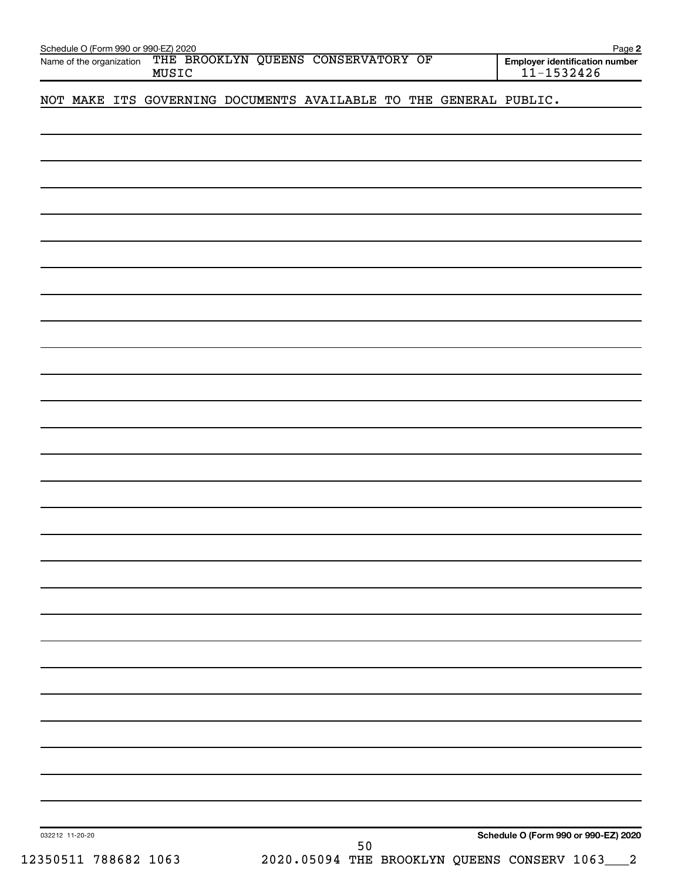| Name of the organization | Schedule O (Form 990 or 990-EZ) 2020<br>MUSIC | THE BROOKLYN QUEENS CONSERVATORY OF                               |    |  | Page 2<br>Employer identification number<br>$11 - 1532426$ |
|--------------------------|-----------------------------------------------|-------------------------------------------------------------------|----|--|------------------------------------------------------------|
|                          |                                               | NOT MAKE ITS GOVERNING DOCUMENTS AVAILABLE TO THE GENERAL PUBLIC. |    |  |                                                            |
|                          |                                               |                                                                   |    |  |                                                            |
|                          |                                               |                                                                   |    |  |                                                            |
|                          |                                               |                                                                   |    |  |                                                            |
|                          |                                               |                                                                   |    |  |                                                            |
|                          |                                               |                                                                   |    |  |                                                            |
|                          |                                               |                                                                   |    |  |                                                            |
|                          |                                               |                                                                   |    |  |                                                            |
|                          |                                               |                                                                   |    |  |                                                            |
|                          |                                               |                                                                   |    |  |                                                            |
|                          |                                               |                                                                   |    |  |                                                            |
|                          |                                               |                                                                   |    |  |                                                            |
|                          |                                               |                                                                   |    |  |                                                            |
|                          |                                               |                                                                   |    |  |                                                            |
|                          |                                               |                                                                   |    |  |                                                            |
|                          |                                               |                                                                   |    |  |                                                            |
|                          |                                               |                                                                   |    |  |                                                            |
|                          |                                               |                                                                   |    |  |                                                            |
|                          |                                               |                                                                   |    |  |                                                            |
|                          |                                               |                                                                   |    |  |                                                            |
|                          |                                               |                                                                   |    |  |                                                            |
|                          |                                               |                                                                   |    |  |                                                            |
|                          |                                               |                                                                   |    |  |                                                            |
|                          |                                               |                                                                   |    |  |                                                            |
|                          |                                               |                                                                   |    |  |                                                            |
|                          |                                               |                                                                   |    |  |                                                            |
| 032212 11-20-20          |                                               |                                                                   | 50 |  | Schedule O (Form 990 or 990-EZ) 2020                       |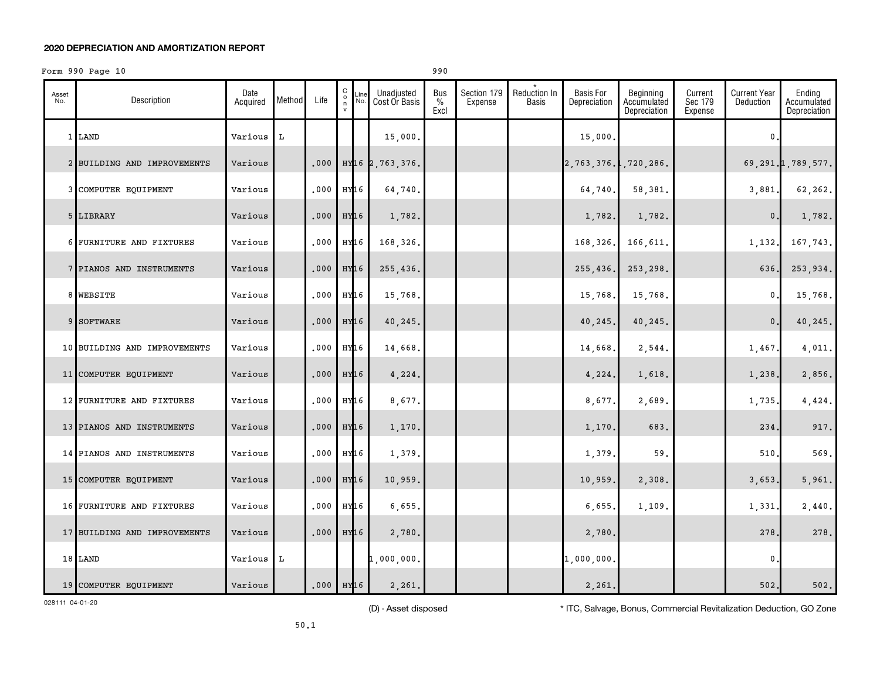#### **2020 DEPRECIATION AND AMORTIZATION REPORT**

#### Form  $990$  Page  $10$

|--|

| Asset<br>No. | Description                  | Date<br>Acquired | Method | Life                    | $\begin{matrix} 0 \\ 0 \\ n \end{matrix}$<br>$\mathsf{v}$ | Line<br>No. | Unadjusted<br>Cost Or Basis   | Bus<br>$\frac{0}{0}$<br>Excl | Section 179<br>Expense | <b>Reduction In</b><br><b>Basis</b> | <b>Basis For</b><br>Depreciation | Beginning<br>Accumulated<br>Depreciation | Current<br>Sec 179<br>Expense | <b>Current Year</b><br>Deduction | Ending<br>Accumulated<br>Depreciation |
|--------------|------------------------------|------------------|--------|-------------------------|-----------------------------------------------------------|-------------|-------------------------------|------------------------------|------------------------|-------------------------------------|----------------------------------|------------------------------------------|-------------------------------|----------------------------------|---------------------------------------|
|              | 1 LAND                       | Various          | L      |                         |                                                           |             | 15,000.                       |                              |                        |                                     | 15,000.                          |                                          |                               | $\mathbf 0$                      |                                       |
|              | 2 BUILDING AND IMPROVEMENTS  | Various          |        | .000                    |                                                           |             | HY <sub>16</sub> 2, 763, 376. |                              |                        |                                     | 2,763,376.1,720,286.             |                                          |                               |                                  | 69, 291. 1, 789, 577.                 |
|              | 3 COMPUTER EQUIPMENT         | Various          |        | .000                    | HY <sub>16</sub>                                          |             | 64,740.                       |                              |                        |                                     | 64,740                           | 58,381.                                  |                               | 3,881                            | 62,262.                               |
|              | 5 LIBRARY                    | Various          |        | .000                    | HY <sub>16</sub>                                          |             | 1,782.                        |                              |                        |                                     | 1,782.                           | 1,782.                                   |                               | 0.                               | 1,782.                                |
|              | 6 FURNITURE AND FIXTURES     | Various          |        | .000                    | HY16                                                      |             | 168,326.                      |                              |                        |                                     | 168,326.                         | 166,611.                                 |                               | 1,132.                           | 167,743.                              |
|              | 7 PIANOS AND INSTRUMENTS     | Various          |        | .000                    | HY <sub>16</sub>                                          |             | 255,436.                      |                              |                        |                                     | 255,436.                         | 253, 298.                                |                               | 636                              | 253,934.                              |
|              | 8 WEBSITE                    | Various          |        | .000                    | HY <sub>16</sub>                                          |             | 15,768.                       |                              |                        |                                     | 15,768.                          | 15,768.                                  |                               | $\pmb{0}$                        | 15,768.                               |
|              | 9 SOFTWARE                   | Various          |        | .000                    | HY <sub>16</sub>                                          |             | 40,245.                       |                              |                        |                                     | 40,245                           | 40,245.                                  |                               | $\mathbf{0}$ .                   | 40,245.                               |
|              | 10 BUILDING AND IMPROVEMENTS | Various          |        | .000                    | HY <sub>16</sub>                                          |             | 14,668.                       |                              |                        |                                     | 14,668.                          | 2,544.                                   |                               | 1,467.                           | 4,011.                                |
|              | 11 COMPUTER EQUIPMENT        | Various          |        | .000                    | HY <sub>16</sub>                                          |             | 4,224.                        |                              |                        |                                     | 4,224.                           | 1,618.                                   |                               | 1,238.                           | 2,856.                                |
|              | 12 FURNITURE AND FIXTURES    | Various          |        | .000                    | HY16                                                      |             | 8,677.                        |                              |                        |                                     | 8,677.                           | 2,689.                                   |                               | 1,735.                           | 4,424.                                |
|              | 13 PIANOS AND INSTRUMENTS    | Various          |        | .000                    | HY <sub>16</sub>                                          |             | 1,170.                        |                              |                        |                                     | 1,170.                           | 683.                                     |                               | 234                              | 917.                                  |
|              | 14 PIANOS AND INSTRUMENTS    | Various          |        | .000                    | HY16                                                      |             | 1,379.                        |                              |                        |                                     | 1,379                            | 59.                                      |                               | 510                              | 569.                                  |
|              | 15 COMPUTER EQUIPMENT        | Various          |        | .000                    | HY <sub>16</sub>                                          |             | 10,959.                       |                              |                        |                                     | 10,959.                          | 2,308.                                   |                               | 3,653.                           | 5,961.                                |
|              | 16 FURNITURE AND FIXTURES    | Various          |        | .000                    | HY <sub>16</sub>                                          |             | 6,655.                        |                              |                        |                                     | 6,655.                           | 1,109.                                   |                               | 1,331                            | 2,440.                                |
|              | 17 BUILDING AND IMPROVEMENTS | Various          |        | .000                    | HY <sub>16</sub>                                          |             | 2,780.                        |                              |                        |                                     | 2,780.                           |                                          |                               | 278                              | 278.                                  |
|              | 18 LAND                      | Various          | L      |                         |                                                           |             | 1,000,000.                    |                              |                        |                                     | 1,000,000.                       |                                          |                               | $\mathbf{0}$                     |                                       |
|              | 19 COMPUTER EQUIPMENT        | Various          |        | $.000$ HY <sub>16</sub> |                                                           |             | 2,261.                        |                              |                        |                                     | 2,261.                           |                                          |                               | 502.                             | 502.                                  |

028111 04-01-20

(D) - Asset disposed \* ITC, Salvage, Bonus, Commercial Revitalization Deduction, GO Zone